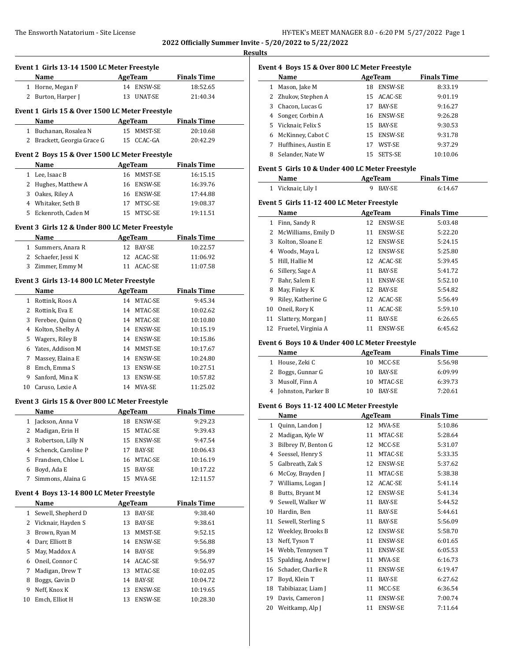$\overline{\phantom{a}}$ 

#### **Results**

| Event 1 Girls 13-14 1500 LC Meter Freestyle |                                                 |         |                |                     |  |  |
|---------------------------------------------|-------------------------------------------------|---------|----------------|---------------------|--|--|
|                                             | Name                                            |         | <b>AgeTeam</b> | <b>Finals Time</b>  |  |  |
|                                             | 1 Horne, Megan F                                |         | 14 ENSW-SE     | 18:52.65            |  |  |
|                                             | 2 Burton, Harper J                              |         | 13 UNAT-SE     | 21:40.34            |  |  |
|                                             | Event 1 Girls 15 & Over 1500 LC Meter Freestyle |         |                |                     |  |  |
|                                             | Name                                            |         | AgeTeam        | <b>Finals Time</b>  |  |  |
|                                             | 1 Buchanan, Rosalea N                           |         | 15 MMST-SE     | 20:10.68            |  |  |
|                                             | 2 Brackett, Georgia Grace G                     |         | 15 CCAC-GA     | 20:42.29            |  |  |
|                                             | Event 2 Boys 15 & Over 1500 LC Meter Freestyle  |         |                |                     |  |  |
|                                             | Name                                            | AgeTeam |                | <b>Finals Time</b>  |  |  |
|                                             | 1 Lee, Isaac B                                  |         | 16 MMST-SE     | 16:15.15            |  |  |
|                                             | 2 Hughes, Matthew A                             | 16      | ENSW-SE        | 16:39.76            |  |  |
|                                             | 3 Oakes, Riley A                                |         | 16 ENSW-SE     | 17:44.88            |  |  |
|                                             | 4 Whitaker, Seth B                              |         | 17 MTSC-SE     | 19:08.37            |  |  |
|                                             | 5 Eckenroth, Caden M                            |         | 15 MTSC-SE     | 19:11.51            |  |  |
|                                             | Event 3 Girls 12 & Under 800 LC Meter Freestyle |         |                |                     |  |  |
|                                             | Name                                            |         |                | AgeTeam Finals Time |  |  |
|                                             | 1 Summers, Anara R                              |         | 12 BAY-SE      | 10:22.57            |  |  |
|                                             | 2 Schaefer, Jessi K                             |         | 12 ACAC-SE     | 11:06.92            |  |  |
|                                             | 3 Zimmer, Emmy M                                |         | 11 ACAC-SE     | 11:07.58            |  |  |
|                                             | Event 3 Girls 13-14 800 LC Meter Freestyle      |         |                |                     |  |  |
|                                             | Name                                            |         | <b>AgeTeam</b> | <b>Finals Time</b>  |  |  |
|                                             | 1 Rottink, Roos A                               |         | 14 MTAC-SE     | 9:45.34             |  |  |
|                                             | 2 Rottink, Eva E                                |         | 14 MTAC-SE     | 10:02.62            |  |  |
|                                             | 3 Ferebee, Quinn Q                              |         | 14 MTAC-SE     | 10:10.80            |  |  |
|                                             | 4 Kolton, Shelby A                              |         | 14 ENSW-SE     | 10:15.19            |  |  |
|                                             | 5 Wagers, Riley B                               |         | 14 ENSW-SE     | 10:15.86            |  |  |
|                                             | 6 Yates, Addison M                              |         | 14 MMST-SE     | 10:17.67            |  |  |
|                                             | 7 Massey, Elaina E                              |         | 14 ENSW-SE     | 10:24.80            |  |  |
|                                             | 8 Emch, Emma S                                  |         | 13 ENSW-SE     | 10:27.51            |  |  |
|                                             | 9 Sanford, Mina K                               |         | 13 ENSW-SE     | 10:57.82            |  |  |
|                                             | 10 Caruso, Lexie A                              |         | 14 MVA-SE      | 11:25.02            |  |  |
|                                             | Event 3 Girls 15 & Over 800 LC Meter Freestyle  |         |                |                     |  |  |
|                                             | Name                                            |         | AgeTeam        | <b>Finals Time</b>  |  |  |
|                                             | 1 Jackson, Anna V                               |         | 18 ENSW-SE     | 9:29.23             |  |  |
|                                             | 2 Madigan, Erin H                               |         | 15 MTAC-SE     | 9:39.43             |  |  |
| 3                                           | Robertson, Lilly N                              | 15      | ENSW-SE        | 9:47.54             |  |  |
| 4                                           | Schenck, Caroline P                             | 17      | BAY-SE         | 10:06.43            |  |  |
|                                             | 5 Frandsen, Chloe L                             | 16      | MTAC-SE        | 10:16.19            |  |  |
| 6                                           | Boyd, Ada E                                     | 15      | <b>BAY-SE</b>  | 10:17.22            |  |  |
| 7                                           | Simmons, Alaina G                               | 15      | MVA-SE         | 12:11.57            |  |  |
|                                             | Event 4 Boys 13-14 800 LC Meter Freestyle       |         |                |                     |  |  |
|                                             | Name                                            |         | AgeTeam        | <b>Finals Time</b>  |  |  |
| 1                                           | Sewell, Shepherd D                              | 13      | BAY-SE         | 9:38.40             |  |  |
|                                             | 2 Vicknair, Hayden S                            | 13      | BAY-SE         | 9:38.61             |  |  |
| 3                                           | Brown, Ryan M                                   | 13      | MMST-SE        | 9:52.15             |  |  |
| 4                                           | Darr, Elliott B                                 | 14      | ENSW-SE        | 9:56.88             |  |  |
| 5                                           | May, Maddox A                                   | 14      | BAY-SE         | 9:56.89             |  |  |
| 6                                           | Oneil, Connor C                                 | 14      | ACAC-SE        | 9:56.97             |  |  |
| 7                                           | Madigan, Drew T                                 | 13      | MTAC-SE        | 10:02.05            |  |  |
| 8                                           | Boggs, Gavin D                                  | 14      | BAY-SE         | 10:04.72            |  |  |
| 9                                           | Neff, Knox K                                    | 13      | ENSW-SE        | 10:19.65            |  |  |
| 10                                          | Emch, Elliot H                                  | 13      | ENSW-SE        | 10:28.30            |  |  |
|                                             |                                                 |         |                |                     |  |  |

| Event 4 Boys 15 & Over 800 LC Meter Freestyle |                     |     |                |                    |  |  |
|-----------------------------------------------|---------------------|-----|----------------|--------------------|--|--|
|                                               | Name                |     | AgeTeam        | <b>Finals Time</b> |  |  |
|                                               | Mason, Jake M       | 18  | <b>ENSW-SE</b> | 8:33.19            |  |  |
|                                               | 2 Zhukov, Stephen A |     | 15 ACAC-SE     | 9:01.19            |  |  |
| 3                                             | Chacon, Lucas G     | 17  | <b>BAY-SE</b>  | 9:16.27            |  |  |
|                                               | 4 Songer, Corbin A  |     | 16 ENSW-SE     | 9:26.28            |  |  |
|                                               | 5 Vicknair, Felix S | 15  | BAY-SE         | 9:30.53            |  |  |
| 6                                             | McKinney, Cabot C   | 15  | <b>ENSW-SE</b> | 9:31.78            |  |  |
|                                               | Huffhines, Austin E | 17  | WST-SE         | 9:37.29            |  |  |
| 8                                             | Selander, Nate W    | 15. | SETS-SE        | 10:10.06           |  |  |

### **Event 5 Girls 10 & Under 400 LC Meter Freestyle**

| Name               | AgeTeam  |         |  |
|--------------------|----------|---------|--|
| 1 Vicknair, Lily I | 9 BAY-SE | 6:14.67 |  |

#### **Event 5 Girls 11-12 400 LC Meter Freestyle**

|    | Name                | AgeTeam |                | <b>Finals Time</b> |  |
|----|---------------------|---------|----------------|--------------------|--|
| 1  | Finn, Sandy R       | 12      | <b>ENSW-SE</b> | 5:03.48            |  |
| 2  | McWilliams, Emily D | 11      | <b>ENSW-SE</b> | 5:22.20            |  |
| 3  | Kolton, Sloane E    | 12      | <b>ENSW-SE</b> | 5:24.15            |  |
| 4  | Woods, Maya L       | 12      | <b>ENSW-SE</b> | 5:25.80            |  |
| 5. | Hill, Hallie M      |         | 12 ACAC-SE     | 5:39.45            |  |
| 6  | Sillery, Sage A     | 11      | <b>BAY-SE</b>  | 5:41.72            |  |
| 7  | Bahr, Salem E       | 11      | <b>ENSW-SE</b> | 5:52.10            |  |
| 8  | May, Finley K       | 12      | <b>BAY-SE</b>  | 5:54.82            |  |
| 9  | Riley, Katherine G  |         | 12 ACAC-SE     | 5:56.49            |  |
| 10 | Oneil, Rory K       | 11      | ACAC-SE        | 5:59.10            |  |
| 11 | Slattery, Morgan J  | 11      | BAY-SE         | 6:26.65            |  |
| 12 | Fruetel, Virginia A | 11      | <b>ENSW-SE</b> | 6:45.62            |  |

### **Event 6 Boys 10 & Under 400 LC Meter Freestyle**

| AgeTeam<br>Name      |    |               | <b>Finals Time</b> |  |
|----------------------|----|---------------|--------------------|--|
| 1 House, Zeki C      |    | 10 MCC-SE     | 5:56.98            |  |
| 2 Boggs, Gunnar G    | 10 | BAY-SE        | 6:09.99            |  |
| 3 Musolf, Finn A     | 10 | MTAC-SE       | 6:39.73            |  |
| 4 Johnston, Parker B | 10 | <b>BAY-SE</b> | 7:20.61            |  |

### **Event 6 Boys 11-12 400 LC Meter Freestyle**

|              | Name                 | <b>AgeTeam</b> |                | <b>Finals Time</b> |
|--------------|----------------------|----------------|----------------|--------------------|
| $\mathbf{1}$ | Quinn, Landon J      | 12             | MVA-SE         | 5:10.86            |
| 2            | Madigan, Kyle W      | 11             | MTAC-SE        | 5:28.64            |
| 3            | Bilbrey IV, Benton G | 12             | MCC-SE         | 5:31.07            |
| 4            | Seessel, Henry S     | 11             | MTAC-SE        | 5:33.35            |
| 5            | Galbreath, Zak S     | 12             | ENSW-SE        | 5:37.62            |
| 6            | McCoy, Brayden J     | 11             | MTAC-SE        | 5:38.38            |
| 7            | Williams, Logan J    | 12             | ACAC-SE        | 5:41.14            |
| 8            | Butts, Bryant M      | 12             | ENSW-SE        | 5:41.34            |
| 9            | Sewell, Walker W     | 11             | BAY-SE         | 5:44.52            |
| 10           | Hardin, Ben          | 11             | BAY-SE         | 5:44.61            |
| 11           | Sewell, Sterling S   | 11             | BAY-SE         | 5:56.09            |
| 12           | Weekley, Brooks B    | 12             | ENSW-SE        | 5:58.70            |
| 13           | Neff, Tyson T        | 11             | <b>ENSW-SE</b> | 6:01.65            |
| 14           | Webb, Tennysen T     | 11             | ENSW-SE        | 6:05.53            |
| 15           | Spalding, Andrew J   | 11             | MVA-SE         | 6:16.73            |
| 16           | Schader, Charlie R   | 11             | ENSW-SE        | 6:19.47            |
| 17           | Boyd, Klein T        | 11             | BAY-SE         | 6:27.62            |
| 18           | Tabibiazar, Liam J   | 11             | MCC-SE         | 6:36.54            |
| 19           | Davis, Cameron J     | 11             | ENSW-SE        | 7:00.74            |
| 20           | Weitkamp, Alp J      | 11             | ENSW-SE        | 7:11.64            |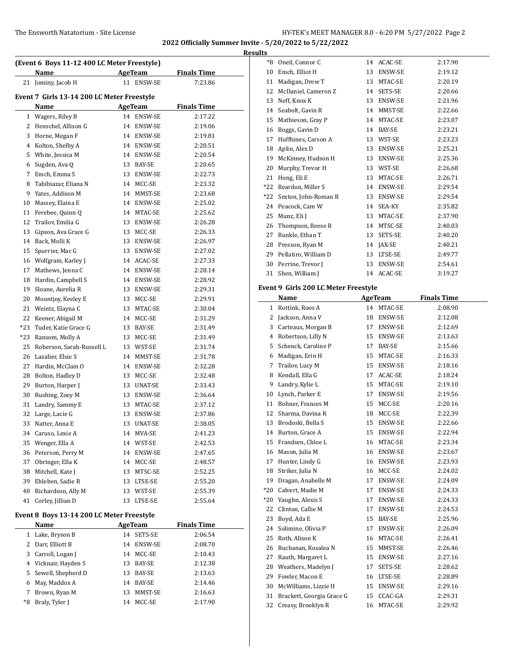#### The Ensworth Natatorium - Site License **HY-TEK's MEET MANAGER 8.0 - 6:20 PM 5/27/2022** Page 2

\*8 Oneil, Connor C 14 ACAC-SE 2:17.90 10 Emch, Elliot H 13 ENSW-SE 2:19.12

**2022 Officially Summer Invite - 5/20/2022 to 5/22/2022**

**Results**

| (Event 6 Boys 11-12 400 LC Meter Freestyle) |                                            |         |                |                    |  |  |
|---------------------------------------------|--------------------------------------------|---------|----------------|--------------------|--|--|
|                                             | Name                                       | AgeTeam |                | <b>Finals Time</b> |  |  |
|                                             | 21 Jominy, Jacob H                         |         | 11 ENSW-SE     | 7:23.86            |  |  |
|                                             | Event 7 Girls 13-14 200 LC Meter Freestyle |         |                |                    |  |  |
|                                             | Name                                       |         | <b>AgeTeam</b> | <b>Finals Time</b> |  |  |
|                                             | 1 Wagers, Riley B                          |         | 14 ENSW-SE     | 2:17.22            |  |  |
|                                             | 2 Henschel, Allison G                      |         | 14 ENSW-SE     | 2:19.06            |  |  |
|                                             | 3 Horne, Megan F                           |         | 14 ENSW-SE     | 2:19.81            |  |  |
|                                             | 4 Kolton, Shelby A                         |         | 14 ENSW-SE     | 2:20.51            |  |  |
|                                             | 5 White, Jessica M                         |         | 14 ENSW-SE     | 2:20.54            |  |  |
| 6                                           | Sugden, Ava Q                              |         | 13 BAY-SE      | 2:20.65            |  |  |
| 7                                           | Emch, Emma S                               |         | 13 ENSW-SE     | 2:22.73            |  |  |
| 8                                           | Tabibiazar, Eliana N                       |         | 14 MCC-SE      | 2:23.32            |  |  |
| 9                                           | Yates, Addison M                           |         | 14 MMST-SE     | 2:23.68            |  |  |
| 10                                          | Massey, Elaina E                           |         | 14 ENSW-SE     | 2:25.02            |  |  |
| 11                                          | Ferebee, Quinn Q                           |         | 14 MTAC-SE     | 2:25.62            |  |  |
| 12                                          | Trailov, Emilia G                          |         | 13 ENSW-SE     | 2:26.28            |  |  |
| 13                                          | Gipson, Ava Grace G                        |         | 13 MCC-SE      | 2:26.33            |  |  |
|                                             | 14 Back, Molli K                           |         | 13 ENSW-SE     | 2:26.97            |  |  |
| 15                                          | Spurrier, Mac G                            |         | 13 ENSW-SE     | 2:27.02            |  |  |
|                                             | 16 Wolfgram, Karley J                      |         | 14 ACAC-SE     | 2:27.33            |  |  |
| 17                                          | Mathews, Jenna C                           |         | 14 ENSW-SE     | 2:28.14            |  |  |
| 18                                          | Hardin, Campbell S                         |         | 14 ENSW-SE     | 2:28.92            |  |  |
| 19                                          | Sloane, Aurelia R                          |         | 13 ENSW-SE     | 2:29.31            |  |  |
| 20                                          | Mountjoy, Keeley E                         |         | 13 MCC-SE      | 2:29.91            |  |  |
| 21                                          | Weintz, Elayna C                           |         | 13 MTAC-SE     | 2:30.04            |  |  |
| 22                                          | Keener, Abigail M                          |         | 14 MCC-SE      | 2:31.29            |  |  |
| $*23$                                       | Tuder, Katie Grace G                       |         | 13 BAY-SE      | 2:31.49            |  |  |
| *23                                         | Ransom, Molly A                            |         | 13 MCC-SE      | 2:31.49            |  |  |
| 25                                          | Roberson, Sarah-Russell L                  |         | 13 WST-SE      | 2:31.74            |  |  |
|                                             | 26 Lazalier, Elsie S                       |         | 14 MMST-SE     | 2:31.78            |  |  |
|                                             | 27 Hardin, McClain O                       |         | 14 ENSW-SE     | 2:32.28            |  |  |
| 28                                          | Bolton, Hadley D                           |         | 13 MCC-SE      | 2:32.48            |  |  |
| 29                                          | Burton, Harper J                           |         | 13 UNAT-SE     | 2:33.43            |  |  |
| 30                                          | Rushing, Zoey M                            |         | 13 ENSW-SE     | 2:36.64            |  |  |
| 31                                          | Landry, Sammy E                            |         | 13 MTAC-SE     | 2:37.12            |  |  |
| 32                                          | Large, Lacie G                             | 13      | ENSW-SE        | 2:37.86            |  |  |
| 33                                          | Natter, Anna E                             |         | 13 UNAT-SE     | 2:38.05            |  |  |
| 34                                          | Caruso, Lexie A                            | 14      | MVA-SE         | 2:41.23            |  |  |
| 35                                          | Wenger, Ella A                             | 14      | WST-SE         | 2:42.53            |  |  |
| 36                                          | Peterson, Perry M                          | 14      | ENSW-SE        | 2:47.65            |  |  |
| 37                                          | Obringer, Ella K                           | 14      | MCC-SE         | 2:48.57            |  |  |
| 38                                          | Mitchell, Kate J                           | 13      | MTSC-SE        | 2:52.25            |  |  |
|                                             | 39 Ehleben, Sadie R                        | 13      | LTSE-SE        | 2:55.20            |  |  |
| 40                                          | Richardson, Ally M                         | 13      | WST-SE         | 2:55.39            |  |  |
| 41                                          | Corley, Jillian D                          | 13      | LTSE-SE        | 2:55.64            |  |  |
|                                             |                                            |         |                |                    |  |  |
|                                             | Event 8 Boys 13-14 200 LC Meter Freestyle  |         |                |                    |  |  |
|                                             | Name                                       |         | <b>AgeTeam</b> | <b>Finals Time</b> |  |  |
| $\mathbf{1}$                                | Lake, Bryson B                             |         | 14 SETS-SE     | 2:06.54            |  |  |

2 Darr, Elliott B 14 ENSW-SE 2:08.70 3 Carroll, Logan J 14 MCC-SE 2:10.43 Vicknair, Hayden S 13 BAY-SE 2:12.38 Sewell, Shepherd D 13 BAY-SE 2:13.63 May, Maddox A 14 BAY-SE 2:14.46 Brown, Ryan M 13 MMST-SE 2:16.63 \*8 Braly, Tyler J 14 MCC-SE 2:17.90

| 11  | Madigan, Drew T                      | 13 | MTAC-SE        | 2:20.19            |
|-----|--------------------------------------|----|----------------|--------------------|
| 12  | McDaniel, Cameron Z                  | 14 | SETS-SE        | 2:20.66            |
| 13  | Neff, Knox K                         | 13 | ENSW-SE        | 2:21.96            |
|     | 14 Seabolt, Gavin R                  |    | 14 MMST-SE     | 2:22.66            |
|     | 15 Mathieson, Gray P                 | 14 | MTAC-SE        | 2:23.07            |
|     | 16 Boggs, Gavin D                    |    | 14 BAY-SE      | 2:23.21            |
|     | 17 Huffhines, Carson A               |    | 13 WST-SE      | 2:23.23            |
|     | 18 Aplin, Alex D                     | 13 | ENSW-SE        | 2:25.21            |
|     | 19 McKinney, Hudson H                | 13 | ENSW-SE        | 2:25.36            |
| 20  | Murphy, Trevor H                     |    | 13 WST-SE      | 2:26.68            |
| 21  | Hong, Eli E                          |    | 13 MTAC-SE     | 2:26.71            |
| *22 | Reardon, Miller S                    |    | 14 ENSW-SE     | 2:29.54            |
| *22 | Sexton, John-Roman R                 | 13 | ENSW-SE        | 2:29.54            |
| 24  | Peacock, Cam W                       | 14 | SEA-KY         | 2:35.82            |
| 25  | Munz, Eli J                          | 13 | MTAC-SE        | 2:37.90            |
| 26  | Thompson, Reese R                    |    | 14 MTSC-SE     | 2:40.03            |
| 27  | Runkle, Ethan T                      | 13 | SETS-SE        | 2:40.20            |
|     | 28 Presson, Ryan M                   | 14 | JAX-SE         | 2:40.21            |
| 29  | Pellatiro, William D                 | 13 | LTSE-SE        | 2:49.77            |
| 30  | Perrine, Trevor J                    | 13 | ENSW-SE        | 2:54.61            |
| 31  | Shen, William J                      |    | 14 ACAC-SE     | 3:19.27            |
|     | Event 9 Girls 200 LC Meter Freestyle |    |                |                    |
|     | Name                                 |    | <b>AgeTeam</b> | <b>Finals Time</b> |
|     | 1 Rottink, Roos A                    |    | 14 MTAC-SE     | 2:08.90            |
|     | 2 Jackson, Anna V                    |    | 18 ENSW-SE     | 2:12.08            |
| 3   | Carteaux, Morgan B                   | 17 | ENSW-SE        | 2:12.69            |
| 4   | Robertson, Lilly N                   | 15 | <b>ENSW-SE</b> | 2:13.63            |
| 5   | Schenck, Caroline P                  |    | 17 BAY-SE      | 2:15.66            |
| 6   | Madigan, Erin H                      | 15 | MTAC-SE        | 2:16.33            |
| 7   | Trailov, Lucy M                      | 15 | ENSW-SE        | 2:18.16            |
| 8   | Kendall, Ella G                      | 17 | ACAC-SE        | 2:18.24            |
| 9   | Landry, Kylie L                      | 15 | MTAC-SE        | 2:19.10            |
| 10  | Lynch, Parker E                      | 17 | ENSW-SE        | 2:19.56            |
| 11  | Bohner, Frances M                    | 15 | MCC-SE         | 2:20.16            |
| 12  | Sharma, Davina R                     | 18 | MCC-SE         | 2:22.39            |
|     | 13 Brodoski, Bella S                 | 15 | ENSW-SE        | 2:22.66            |
|     | 14 Burton, Grace A                   | 15 | ENSW-SE        | 2:22.94            |
|     | 15 Frandsen, Chloe L                 | 16 | MTAC-SE        | 2:23.34            |
|     | 16 Mason, Julia M                    |    | 16 ENSW-SE     | 2:23.67            |
| 17  | Hunter, Lindy G                      | 16 | ENSW-SE        | 2:23.93            |
| 18  | Striker, Julia N                     | 16 | MCC-SE         | 2:24.02            |
| 19  | Dragan, Anabelle M                   | 17 | ENSW-SE        | 2:24.09            |
| *20 | Calvert, Madie M                     | 17 | ENSW-SE        | 2:24.33            |
| *20 | Vaughn, Alexis S                     | 17 | ENSW-SE        | 2:24.33            |
| 22  | Clinton, Callie M                    | 17 | ENSW-SE        | 2:24.53            |
| 23  | Boyd, Ada E                          | 15 | BAY-SE         | 2:25.96            |
| 24  | Solimine, Olivia P                   | 17 | ENSW-SE        | 2:26.09            |
| 25  | Roth, Alison K                       | 16 | MTAC-SE        | 2:26.41            |
| 26  | Buchanan, Rosalea N                  | 15 | MMST-SE        | 2:26.46            |
| 27  | Rauth, Margaret L                    | 15 | ENSW-SE        | 2:27.16            |
| 28  | Weathers, Madelyn J                  | 17 | SETS-SE        | 2:28.62            |
| 29  | Fowler, Macon E                      | 16 | LTSE-SE        | 2:28.89            |
| 30  | McWilliams, Lizzie H                 | 15 | ENSW-SE        | 2:29.16            |
| 31  | Brackett, Georgia Grace G            | 15 | CCAC-GA        | 2:29.31            |
| 32  | Creasy, Brooklyn R                   | 16 | MTAC-SE        | 2:29.92            |
|     |                                      |    |                |                    |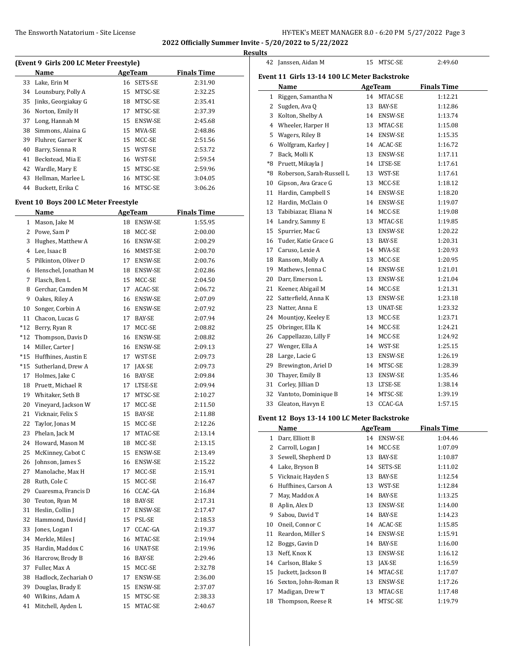|              |                                          |    |                          |                    | <b>Results</b> |
|--------------|------------------------------------------|----|--------------------------|--------------------|----------------|
|              | (Event 9 Girls 200 LC Meter Freestyle)   |    |                          |                    | 4              |
|              | Name                                     |    | <b>AgeTeam</b>           | <b>Finals Time</b> | Eve            |
|              | 33 Lake, Erin M<br>34 Lounsbury, Polly A |    | 16 SETS-SE<br>15 MTSC-SE | 2:31.90<br>2:32.25 |                |
| 35           | Jinks, Georgiakay G                      |    | 18 MTSC-SE               | 2:35.41            |                |
| 36           | Norton, Emily H                          |    | 17 MTSC-SE               | 2:37.39            |                |
| 37           | Long, Hannah M                           |    | 15 ENSW-SE               | 2:45.68            |                |
| 38           | Simmons, Alaina G                        |    | 15 MVA-SE                | 2:48.86            |                |
|              |                                          |    |                          |                    |                |
| 39           | Fluhrer, Garner K<br>Barry, Sienna R     |    | 15 MCC-SE                | 2:51.56            |                |
| 40           |                                          |    | 15 WST-SE                | 2:53.72            |                |
| 41           | Beckstead, Mia E                         |    | 16 WST-SE                | 2:59.54            |                |
|              | 42 Wardle, Mary E                        |    | 15 MTSC-SE               | 2:59.96            |                |
| 43           | Hellman, Marlee L                        |    | 16 MTSC-SE               | 3:04.05            | 1              |
| 44           | Buckett, Erika C                         |    | 16 MTSC-SE               | 3:06.26            | 1              |
|              | Event 10 Boys 200 LC Meter Freestyle     |    |                          |                    | 1              |
|              | Name                                     |    | AgeTeam                  | <b>Finals Time</b> | 1              |
|              | 1 Mason, Jake M                          |    | 18 ENSW-SE               | 1:55.95            | 1              |
| $\mathbf{2}$ | Powe, Sam P                              |    | 18 MCC-SE                | 2:00.00            | 1              |
| 3            | Hughes, Matthew A                        |    | 16 ENSW-SE               | 2:00.29            | 1              |
| 4            | Lee, Isaac B                             |    | 16 MMST-SE               | 2:00.70            | 1              |
| 5.           | Pilkinton, Oliver D                      |    | 17 ENSW-SE               | 2:00.76            | 1              |
| 6            | Henschel, Jonathan M                     |    | 18 ENSW-SE               | 2:02.86            | 1              |
| 7            | Flasch, Ben L                            |    | 15 MCC-SE                | 2:04.50            | $\overline{c}$ |
| 8            | Gerchar, Camden M                        |    | 17 ACAC-SE               | 2:06.72            | $\overline{c}$ |
| 9            | Oakes, Riley A                           |    | 16 ENSW-SE               | 2:07.09            | 2              |
| 10           | Songer, Corbin A                         |    | 16 ENSW-SE               | 2:07.92            | 2              |
| 11           | Chacon, Lucas G                          |    | 17 BAY-SE                | 2:07.94            | 2              |
| *12          | Berry, Ryan R                            |    | 17 MCC-SE                | 2:08.82            | 2              |
| *12          | Thompson, Davis D                        |    | 16 ENSW-SE               | 2:08.82            | 2              |
|              | 14 Miller, Carter J                      |    | 16 ENSW-SE               | 2:09.13            | $\overline{c}$ |
|              | *15 Huffhines, Austin E                  |    | 17 WST-SE                | 2:09.73            | 2              |
| $*15$        | Sutherland, Drew A                       |    | 17 JAX-SE                | 2:09.73            | 2              |
| 17           | Holmes, Jake C                           |    | 16 BAY-SE                | 2:09.84            | 3              |
|              | 18 Pruett, Michael R                     |    | 17 LTSE-SE               | 2:09.94            | 3              |
|              | 19 Whitaker, Seth B                      |    | 17 MTSC-SE               | 2:10.27            | 3              |
|              | 20 Vineyard, Jackson W                   |    | 17 MCC-SE                | 2:11.50            | 3              |
|              | 21 Vicknair, Felix S                     |    | 15 BAY-SE                | 2:11.88            |                |
|              | 22 Taylor, Jonas M                       |    | 15 MCC-SE                | 2:12.26            | Eve            |
|              | 23 Phelan, Jack M                        | 17 | MTAC-SE                  | 2:13.14            |                |
| 24           | Howard, Mason M                          | 18 | MCC-SE                   | 2:13.15            |                |
| 25           | McKinney, Cabot C                        | 15 | ENSW-SE                  | 2:13.49            |                |
| 26           | Johnson, James S                         | 16 | ENSW-SE                  | 2:15.22            |                |
| 27           | Manolache, Max H                         | 17 | MCC-SE                   | 2:15.91            |                |
| 28           | Ruth, Cole C                             | 15 | MCC-SE                   | 2:16.47            |                |
| 29           | Cuaresma, Francis D                      | 16 | CCAC-GA                  | 2:16.84            |                |
| 30           | Teuton, Ryan M                           |    | BAY-SE                   | 2:17.31            |                |
| 31           | Heslin, Collin J                         | 18 |                          |                    |                |
|              | Hammond, David J                         | 17 | ENSW-SE                  | 2:17.47            |                |
| 32           | Jones, Logan I                           | 15 | PSL-SE                   | 2:18.53            | 1              |
| 33           |                                          | 17 | CCAC-GA                  | 2:19.37            | 1              |
| 34           | Merkle, Miles J                          | 16 | MTAC-SE                  | 2:19.94            | 1              |
| 35           | Hardin, Maddox C                         |    | 16 UNAT-SE               | 2:19.96            | 1              |
| 36           | Harcrow, Brody B                         |    | 16 BAY-SE                | 2:29.46            | 1              |
| 37           | Fuller, Max A                            |    | 15 MCC-SE                | 2:32.78            | 1              |
| 38           | Hadlock, Zechariah O                     | 17 | ENSW-SE                  | 2:36.00            | 1              |
| 39           | Douglas, Brady E                         | 15 | ENSW-SE                  | 2:37.07            | 1              |
| 40           | Wilkins, Adam A                          | 15 | MTSC-SE                  | 2:38.33            | 1              |
| 41           | Mitchell, Ayden L                        | 15 | MTAC-SE                  | 2:40.67            |                |

| 42   | Janssen, Aidan M                             |    | 15 MTSC-SE | 2:49.60            |  |
|------|----------------------------------------------|----|------------|--------------------|--|
|      | Event 11 Girls 13-14 100 LC Meter Backstroke |    |            |                    |  |
|      | Name                                         |    | AgeTeam    | <b>Finals Time</b> |  |
| 1    | Riggen, Samantha N                           |    | 14 MTAC-SE | 1:12.21            |  |
| 2    | Sugden, Ava Q                                | 13 | BAY-SE     | 1:12.86            |  |
| 3    | Kolton, Shelby A                             |    | 14 ENSW-SE | 1:13.74            |  |
| 4    | Wheeler, Harper H                            |    | 13 MTAC-SE | 1:15.08            |  |
| 5    | Wagers, Riley B                              |    | 14 ENSW-SE | 1:15.35            |  |
| 6    | Wolfgram, Karley J                           |    | 14 ACAC-SE | 1:16.72            |  |
| 7    | Back, Molli K                                |    | 13 ENSW-SE | 1:17.11            |  |
| $*8$ | Pruett, Mikayla J                            |    | 14 LTSE-SE | 1:17.61            |  |
| *8   | Roberson, Sarah-Russell L                    |    | 13 WST-SE  | 1:17.61            |  |
| 10   | Gipson, Ava Grace G                          |    | 13 MCC-SE  | 1:18.12            |  |
| 11   | Hardin, Campbell S                           |    | 14 ENSW-SE | 1:18.20            |  |
| 12   | Hardin, McClain O                            |    | 14 ENSW-SE | 1:19.07            |  |
| 13   | Tabibiazar, Eliana N                         |    | 14 MCC-SE  | 1:19.08            |  |
| 14   | Landry, Sammy E                              | 13 | MTAC-SE    | 1:19.85            |  |
| 15   | Spurrier, Mac G                              |    | 13 ENSW-SE | 1:20.22            |  |
| 16   | Tuder, Katie Grace G                         | 13 | BAY-SE     | 1:20.31            |  |
| 17   | Caruso, Lexie A                              |    | 14 MVA-SE  | 1:20.93            |  |
| 18   | Ransom, Molly A                              | 13 | MCC-SE     | 1:20.95            |  |
| 19   | Mathews, Jenna C                             |    | 14 ENSW-SE | 1:21.01            |  |
| 20   | Darr, Emerson L                              |    | 13 ENSW-SE | 1:21.04            |  |
| 21   | Keener, Abigail M                            |    | 14 MCC-SE  | 1:21.31            |  |
| 22   | Satterfield, Anna K                          |    | 13 ENSW-SE | 1:23.18            |  |
| 23   | Natter, Anna E                               | 13 | UNAT-SE    | 1:23.32            |  |
| 24   | Mountjoy, Keeley E                           | 13 | MCC-SE     | 1:23.71            |  |
| 25   | Obringer, Ella K                             | 14 | MCC-SE     | 1:24.21            |  |
| 26   | Cappellazzo, Lilly F                         | 14 | MCC-SE     | 1:24.92            |  |
| 27   | Wenger, Ella A                               |    | 14 WST-SE  | 1:25.15            |  |
| 28   | Large, Lacie G                               | 13 | ENSW-SE    | 1:26.19            |  |
| 29   | Brewington, Ariel D                          |    | 14 MTSC-SE | 1:28.39            |  |
| 30   | Thayer, Emily B                              | 13 | ENSW-SE    | 1:35.46            |  |
| 31   | Corley, Jillian D                            |    | 13 LTSE-SE | 1:38.14            |  |
| 32   | Vantoto, Dominique B                         | 14 | MTSC-SE    | 1:39.19            |  |
| 33   | Gleaton, Havyn E                             | 13 | CCAC-GA    | 1:57.15            |  |
|      |                                              |    |            |                    |  |

## **Event 12 Boys 13-14 100 LC Meter Backstroke**

|    | Name                 | AgeTeam |                | <b>Finals Time</b> |
|----|----------------------|---------|----------------|--------------------|
| 1  | Darr, Elliott B      |         | 14 ENSW-SE     | 1:04.46            |
| 2  | Carroll, Logan J     | 14      | MCC-SE         | 1:07.09            |
| 3  | Sewell, Shepherd D   | 13      | <b>BAY-SE</b>  | 1:10.87            |
| 4  | Lake, Bryson B       | 14      | SETS-SE        | 1:11.02            |
| 5. | Vicknair, Hayden S   | 13      | <b>BAY-SE</b>  | 1:12.54            |
| 6  | Huffhines, Carson A  | 13      | WST-SE         | 1:12.84            |
| 7  | May, Maddox A        | 14      | <b>BAY-SE</b>  | 1:13.25            |
| 8  | Aplin, Alex D        | 13      | ENSW-SE        | 1:14.00            |
| 9  | Sabou, David T       | 14      | BAY-SE         | 1:14.23            |
| 10 | Oneil, Connor C      | 14      | ACAC-SE        | 1:15.85            |
| 11 | Reardon, Miller S    | 14      | <b>ENSW-SE</b> | 1:15.91            |
| 12 | Boggs, Gavin D       | 14      | BAY-SE         | 1:16.00            |
| 13 | Neff, Knox K         | 13      | ENSW-SE        | 1:16.12            |
| 14 | Carlson, Blake S     | 13      | JAX-SE         | 1:16.59            |
| 15 | Juckett, Jackson B   | 14      | MTAC-SE        | 1:17.07            |
| 16 | Sexton, John-Roman R | 13      | <b>ENSW-SE</b> | 1:17.26            |
| 17 | Madigan, Drew T      | 13      | MTAC-SE        | 1:17.48            |
| 18 | Thompson, Reese R    |         | 14 MTSC-SE     | 1:19.79            |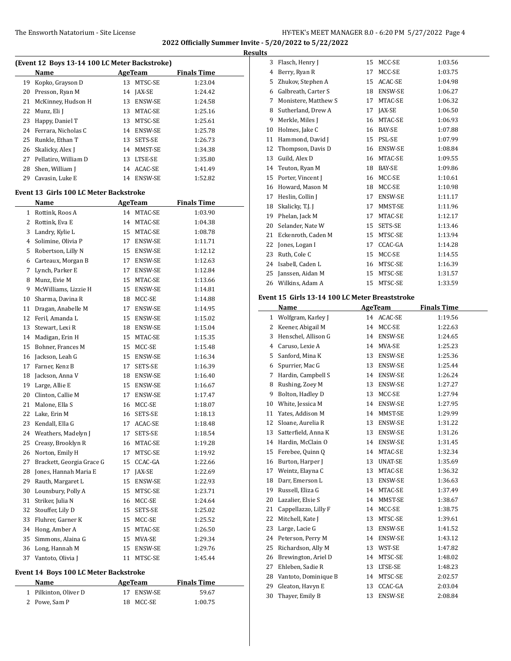## The Ensworth Natatorium - Site License **HY-TEK's MEET MANAGER 8.0 - 6:20 PM 5/27/2022** Page 4

**2022 Officially Summer Invite - 5/20/2022 to 5/22/2022 Results**

| (Event 12 Boys 13-14 100 LC Meter Backstroke) |                                         |                |            |                    |  |  |
|-----------------------------------------------|-----------------------------------------|----------------|------------|--------------------|--|--|
|                                               |                                         |                |            |                    |  |  |
|                                               | Name                                    | <b>AgeTeam</b> |            | <b>Finals Time</b> |  |  |
| 19                                            | Kopko, Grayson D                        |                | 13 MTSC-SE | 1:23.04            |  |  |
| 20                                            | Presson, Ryan M                         |                | 14 JAX-SE  | 1:24.42            |  |  |
| 21                                            | McKinney, Hudson H                      |                | 13 ENSW-SE | 1:24.58            |  |  |
| 22                                            | Munz, Eli J                             |                | 13 MTAC-SE | 1:25.16            |  |  |
| 23                                            | Happy, Daniel T                         |                | 13 MTSC-SE | 1:25.61            |  |  |
| 24                                            | Ferrara, Nicholas C                     |                | 14 ENSW-SE | 1:25.78            |  |  |
| 25                                            | Runkle, Ethan T                         |                | 13 SETS-SE | 1:26.73            |  |  |
| 26                                            | Skalicky, Alex J                        |                | 14 MMST-SE | 1:34.38            |  |  |
| 27                                            | Pellatiro, William D                    |                | 13 LTSE-SE | 1:35.80            |  |  |
| 28                                            | Shen, William I                         |                | 14 ACAC-SE | 1:41.49            |  |  |
|                                               | 29 Cavasin, Luke E                      |                | 14 ENSW-SE | 1:52.82            |  |  |
|                                               | Event 13  Girls 100 LC Meter Backstroke |                |            |                    |  |  |
|                                               | Name                                    |                | AgeTeam    | <b>Finals Time</b> |  |  |
|                                               | 1 Rottink, Roos A                       |                | 14 MTAC-SE | 1:03.90            |  |  |
| 2                                             | Rottink, Eva E                          |                | 14 MTAC-SE | 1:04.38            |  |  |
| 3                                             | Landry, Kylie L                         |                | 15 MTAC-SE | 1:08.78            |  |  |
| 4                                             | Solimine, Olivia P                      |                |            | 1:11.71            |  |  |
|                                               |                                         |                | 17 ENSW-SE |                    |  |  |
| 5                                             | Robertson, Lilly N                      |                | 15 ENSW-SE | 1:12.12            |  |  |
| 6                                             | Carteaux, Morgan B                      |                | 17 ENSW-SE | 1:12.63            |  |  |
| 7                                             | Lynch, Parker E                         |                | 17 ENSW-SE | 1:12.84            |  |  |
| 8                                             | Munz, Evie M                            |                | 15 MTAC-SE | 1:13.66            |  |  |
| 9                                             | McWilliams, Lizzie H                    |                | 15 ENSW-SE | 1:14.81            |  |  |
| 10                                            | Sharma, Davina R                        |                | 18 MCC-SE  | 1:14.88            |  |  |
| 11                                            | Dragan, Anabelle M                      |                | 17 ENSW-SE | 1:14.95            |  |  |
| 12                                            | Feril, Amanda L                         |                | 15 ENSW-SE | 1:15.02            |  |  |
| 13                                            | Stewart, Lexi R                         |                | 18 ENSW-SE | 1:15.04            |  |  |
| 14                                            | Madigan, Erin H                         |                | 15 MTAC-SE | 1:15.35            |  |  |
| 15                                            | Bohner, Frances M                       |                | 15 MCC-SE  | 1:15.48            |  |  |
| 16                                            | Jackson, Leah G                         |                | 15 ENSW-SE | 1:16.34            |  |  |
| 17                                            | Farner, Kenz B                          | 17             | SETS-SE    | 1:16.39            |  |  |
| 18                                            | Jackson, Anna V                         |                | 18 ENSW-SE | 1:16.40            |  |  |
| 19                                            | Large, Allie E                          |                | 15 ENSW-SE | 1:16.67            |  |  |
| 20                                            | Clinton, Callie M                       |                | 17 ENSW-SE | 1:17.47            |  |  |
| 21                                            | Malone, Ella S                          |                | 16 MCC-SE  | 1:18.07            |  |  |
| 22                                            | Lake, Erin M                            |                | 16 SETS-SE | 1:18.13            |  |  |
| 23                                            | Kendall, Ella G                         | 17             | ACAC-SE    | 1:18.48            |  |  |
| 24                                            | Weathers, Madelyn J                     | 17             | SETS-SE    | 1:18.54            |  |  |
| 25                                            | Creasy, Brooklyn R                      | 16             | MTAC-SE    | 1:19.28            |  |  |
| 26                                            | Norton, Emily H                         | 17             | MTSC-SE    | 1:19.92            |  |  |
| 27                                            | Brackett, Georgia Grace G               | 15             | CCAC-GA    | 1:22.66            |  |  |
| 28                                            | Jones, Hannah Maria E                   | 17             | JAX-SE     | 1:22.69            |  |  |
| 29                                            | Rauth, Margaret L                       | 15             | ENSW-SE    | 1:22.93            |  |  |
| 30                                            | Lounsbury, Polly A                      | 15             | MTSC-SE    | 1:23.71            |  |  |
| 31                                            | Striker, Julia N                        | 16             | MCC-SE     | 1:24.64            |  |  |
| 32                                            | Stouffer, Lily D                        | 15             |            |                    |  |  |
|                                               |                                         |                | SETS-SE    | 1:25.02            |  |  |
| 33                                            | Fluhrer, Garner K                       | 15             | MCC-SE     | 1:25.52            |  |  |
| 34                                            | Hong, Amber A                           | 15             | MTAC-SE    | 1:26.50            |  |  |
| 35                                            | Simmons, Alaina G                       | 15             | MVA-SE     | 1:29.34            |  |  |
| 36                                            | Long, Hannah M                          | 15             | ENSW-SE    | 1:29.76            |  |  |
| 37                                            | Vantoto, Olivia J                       | 11             | MTSC-SE    | 1:45.44            |  |  |

# **Event 14 Boys 100 LC Meter Backstroke**

| Name                  | AgeTeam    | <b>Finals Time</b> |  |
|-----------------------|------------|--------------------|--|
| 1 Pilkinton, Oliver D | 17 ENSW-SE | 59.67              |  |
| 2 Powe, Sam P         | 18 MCC-SE  | 1:00.75            |  |

| 3  | Flasch, Henry J      | 15 | MCC-SE        | 1:03.56 |
|----|----------------------|----|---------------|---------|
| 4  | Berry, Ryan R        | 17 | MCC-SE        | 1:03.75 |
| 5  | Zhukov, Stephen A    | 15 | ACAC-SE       | 1:04.98 |
| 6  | Galbreath, Carter S  | 18 | ENSW-SE       | 1:06.27 |
| 7  | Monistere, Matthew S | 17 | MTAC-SE       | 1:06.32 |
| 8  | Sutherland, Drew A   | 17 | <b>JAX-SE</b> | 1:06.50 |
| 9  | Merkle, Miles J      | 16 | MTAC-SE       | 1:06.93 |
| 10 | Holmes, Jake C       | 16 | BAY-SE        | 1:07.88 |
| 11 | Hammond, David J     | 15 | PSL-SE        | 1:07.99 |
| 12 | Thompson, Davis D    | 16 | ENSW-SE       | 1:08.84 |
| 13 | Guild, Alex D        | 16 | MTAC-SE       | 1:09.55 |
| 14 | Teuton, Ryan M       | 18 | BAY-SE        | 1:09.86 |
| 15 | Porter, Vincent J    | 16 | MCC-SE        | 1:10.61 |
| 16 | Howard, Mason M      | 18 | MCC-SE        | 1:10.98 |
| 17 | Heslin, Collin J     | 17 | ENSW-SE       | 1:11.17 |
| 18 | Skalicky, T.J. J     | 17 | MMST-SE       | 1:11.96 |
| 19 | Phelan, Jack M       | 17 | MTAC-SE       | 1:12.17 |
| 20 | Selander, Nate W     | 15 | SETS-SE       | 1:13.46 |
| 21 | Eckenroth, Caden M   | 15 | MTSC-SE       | 1:13.94 |
| 22 | Jones, Logan I       | 17 | CCAC-GA       | 1:14.28 |
| 23 | Ruth, Cole C         | 15 | MCC-SE        | 1:14.55 |
| 24 | Isabell, Caden L     | 16 | MTSC-SE       | 1:16.39 |
| 25 | Janssen, Aidan M     | 15 | MTSC-SE       | 1:31.57 |
| 26 | Wilkins. Adam A      | 15 | MTSC-SE       | 1:33.59 |

# **Event 15 Girls 13-14 100 LC Meter Breaststroke**

|              | Name                 |    | <b>AgeTeam</b> | <b>Finals Time</b> |
|--------------|----------------------|----|----------------|--------------------|
| $\mathbf{1}$ | Wolfgram, Karley J   |    | 14 ACAC-SE     | 1:19.56            |
| 2            | Keener, Abigail M    | 14 | MCC-SE         | 1:22.63            |
| 3            | Henschel, Allison G  | 14 | ENSW-SE        | 1:24.65            |
| 4            | Caruso, Lexie A      | 14 | MVA-SE         | 1:25.23            |
| 5            | Sanford, Mina K      | 13 | ENSW-SE        | 1:25.36            |
| 6            | Spurrier, Mac G      | 13 | <b>ENSW-SE</b> | 1:25.44            |
| 7            | Hardin, Campbell S   | 14 | ENSW-SE        | 1:26.24            |
| 8            | Rushing, Zoey M      | 13 | <b>ENSW-SE</b> | 1:27.27            |
| 9            | Bolton, Hadley D     | 13 | MCC-SE         | 1:27.94            |
| 10           | White, Jessica M     | 14 | ENSW-SE        | 1:27.95            |
| 11           | Yates, Addison M     | 14 | MMST-SE        | 1:29.99            |
| 12           | Sloane, Aurelia R    | 13 | ENSW-SE        | 1:31.22            |
| 13           | Satterfield, Anna K  | 13 | ENSW-SE        | 1:31.26            |
| 14           | Hardin, McClain O    | 14 | <b>ENSW-SE</b> | 1:31.45            |
| 15           | Ferebee, Quinn Q     | 14 | MTAC-SE        | 1:32.34            |
| 16           | Burton, Harper J     | 13 | UNAT-SE        | 1:35.69            |
| 17           | Weintz, Elayna C     | 13 | MTAC-SE        | 1:36.32            |
| 18           | Darr. Emerson L      | 13 | <b>ENSW-SE</b> | 1:36.63            |
| 19           | Russell, Eliza G     | 14 | MTAC-SE        | 1:37.49            |
| 20           | Lazalier, Elsie S    | 14 | MMST-SE        | 1:38.67            |
| 21           | Cappellazzo, Lilly F | 14 | MCC-SE         | 1:38.75            |
| 22           | Mitchell, Kate J     | 13 | MTSC-SE        | 1:39.61            |
| 23           | Large, Lacie G       | 13 | ENSW-SE        | 1:41.52            |
| 24           | Peterson, Perry M    | 14 | ENSW-SE        | 1:43.12            |
| 25           | Richardson, Ally M   | 13 | WST-SE         | 1:47.82            |
| 26           | Brewington, Ariel D  | 14 | MTSC-SE        | 1:48.02            |
| 27           | Ehleben, Sadie R     | 13 | LTSE-SE        | 1:48.23            |
| 28           | Vantoto, Dominique B | 14 | MTSC-SE        | 2:02.57            |
| 29           | Gleaton, Havyn E     | 13 | CCAC-GA        | 2:03.04            |
| 30           | Thayer, Emily B      | 13 | <b>ENSW-SE</b> | 2:08.84            |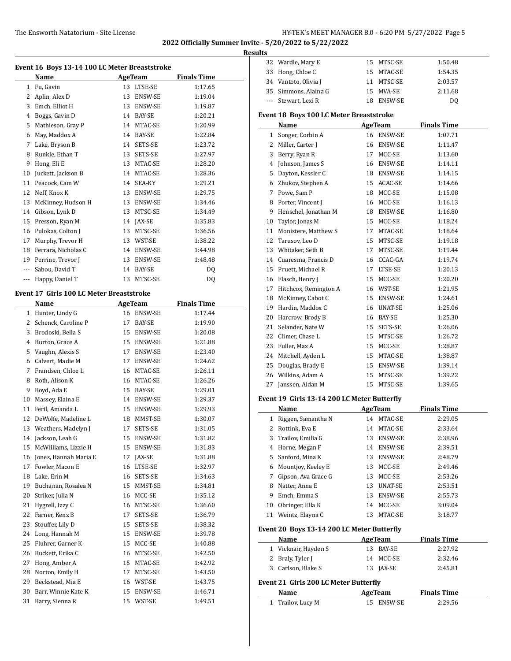**Results**

|                | Event 16 Boys 13-14 100 LC Meter Breaststroke<br>Name |    | <b>AgeTeam</b> | <b>Finals Time</b> |
|----------------|-------------------------------------------------------|----|----------------|--------------------|
| 1              | Fu, Gavin                                             | 13 | LTSE-SE        | 1:17.65            |
| $\overline{2}$ | Aplin, Alex D                                         |    | 13 ENSW-SE     | 1:19.04            |
| 3              | Emch, Elliot H                                        |    | 13 ENSW-SE     | 1:19.87            |
| 4              | Boggs, Gavin D                                        |    | 14 BAY-SE      | 1:20.21            |
| 5              | Mathieson, Gray P                                     |    | 14 MTAC-SE     | 1:20.99            |
| 6              | May, Maddox A                                         | 14 | <b>BAY-SE</b>  | 1:22.84            |
| 7              | Lake, Bryson B                                        |    | 14 SETS-SE     | 1:23.72            |
| 8              | Runkle, Ethan T                                       |    | 13 SETS-SE     | 1:27.97            |
| 9              | Hong, Eli E                                           |    | 13 MTAC-SE     | 1:28.20            |
| 10             | Juckett, Jackson B                                    | 14 | MTAC-SE        | 1:28.36            |
| 11             | Peacock, Cam W                                        | 14 | SEA-KY         | 1:29.21            |
| 12             | Neff, Knox K                                          |    | 13 ENSW-SE     | 1:29.75            |
| 13             | McKinney, Hudson H                                    |    | 13 ENSW-SE     | 1:34.46            |
| 14             | Gibson, Lynk D                                        |    | 13 MTSC-SE     | 1:34.49            |
| 15             | Presson, Ryan M                                       |    | 14 JAX-SE      | 1:35.83            |
| 16             | Pulokas, Colton J                                     |    | 13 MTSC-SE     | 1:36.56            |
| 17             | Murphy, Trevor H                                      |    | 13 WST-SE      | 1:38.22            |
| 18             | Ferrara, Nicholas C                                   |    | 14 ENSW-SE     | 1:44.98            |
| 19             | Perrine, Trevor J                                     | 13 | ENSW-SE        | 1:48.48            |
| ---            | Sabou, David T                                        | 14 | <b>BAY-SE</b>  | DQ                 |
| ---            | Happy, Daniel T                                       |    | 13 MTSC-SE     | DQ                 |
|                | <b>Event 17 Girls 100 LC Meter Breaststroke</b>       |    |                |                    |
|                | Name                                                  |    | <b>AgeTeam</b> | <b>Finals Time</b> |
| $1 \quad$      | Hunter, Lindy G                                       | 16 | <b>ENSW-SE</b> | 1:17.44            |
| 2              | Schenck, Caroline P                                   | 17 | BAY-SE         | 1:19.90            |
| 3              | Brodoski, Bella S                                     |    | 15 ENSW-SE     | 1:20.08            |
| 4              | Burton, Grace A                                       |    | 15 ENSW-SE     | 1:21.88            |
| 5              | Vaughn, Alexis S                                      | 17 | <b>ENSW-SE</b> | 1:23.40            |
| 6              | Calvert, Madie M                                      | 17 | <b>ENSW-SE</b> | 1:24.62            |
| 7              | Frandsen, Chloe L                                     | 16 | MTAC-SE        | 1:26.11            |
| 8              | Roth, Alison K                                        | 16 | MTAC-SE        | 1:26.26            |

 Boyd, Ada E 15 BAY-SE 1:29.01 10 Massey, Elaina E 14 ENSW-SE 1:29.37 Feril, Amanda L 15 ENSW-SE 1:29.93 12 DeWolfe, Madeline L 18 MMST-SE 1:30.07 13 Weathers, Madelyn J 17 SETS-SE 1:31.05 14 Jackson, Leah G 15 ENSW-SE 1:31.82 15 McWilliams, Lizzie H 15 ENSW-SE 1:31.83 16 Jones, Hannah Maria E 17 JAX-SE 1:31.88 17 Fowler, Macon E 16 LTSE-SE 1:32.97 18 Lake, Erin M 16 SETS-SE 1:34.63 19 Buchanan, Rosalea N 15 MMST-SE 1:34.81 20 Striker, Julia N 16 MCC-SE 1:35.12 21 Hygrell, Izzy C 16 MTSC-SE 1:36.60 22 Farner, Kenz B 17 SETS-SE 1:36.79 23 Stouffer, Lily D 15 SETS-SE 1:38.32 Long, Hannah M 15 ENSW-SE 1:39.78 25 Fluhrer, Garner K 15 MCC-SE 1:40.88 Buckett, Erika C 16 MTSC-SE 1:42.50 Hong, Amber A 15 MTAC-SE 1:42.92 28 Norton, Emily H 17 MTSC-SE 1:43.50 29 Beckstead, Mia E 16 WST-SE 1:43.75 30 Barr, Winnie Kate K 15 ENSW-SE 1:46.71 31 Barry, Sienna R 15 WST-SE 1:49.51

| 32           | Wardle, Mary E                              |    | 15 MTSC-SE     | 1:50.48            |
|--------------|---------------------------------------------|----|----------------|--------------------|
| 33           | Hong, Chloe C                               |    | 15 MTAC-SE     | 1:54.35            |
|              | 34 Vantoto, Olivia J                        |    | 11 MTSC-SE     | 2:03.57            |
|              | 35 Simmons, Alaina G                        |    | 15 MVA-SE      | 2:11.68            |
| $---$        | Stewart, Lexi R                             |    | 18 ENSW-SE     | DQ                 |
|              |                                             |    |                |                    |
|              | Event 18 Boys 100 LC Meter Breaststroke     |    |                |                    |
|              | Name                                        |    | AgeTeam        | <b>Finals Time</b> |
| $\mathbf{1}$ | Songer, Corbin A                            |    | 16 ENSW-SE     | 1:07.71            |
| 2            | Miller, Carter J                            |    | 16 ENSW-SE     | 1:11.47            |
| 3            | Berry, Ryan R                               |    | 17 MCC-SE      | 1:13.60            |
| 4            | Johnson, James S                            |    | 16 ENSW-SE     | 1:14.11            |
| 5.           | Dayton, Kessler C                           |    | 18 ENSW-SE     | 1:14.15            |
| 6            | Zhukov, Stephen A                           |    | 15 ACAC-SE     | 1:14.66            |
| 7            | Powe, Sam P                                 |    | 18 MCC-SE      | 1:15.08            |
| 8            | Porter, Vincent J                           |    | 16 MCC-SE      | 1:16.13            |
| 9            | Henschel, Jonathan M                        |    | 18 ENSW-SE     | 1:16.80            |
| 10           | Taylor, Jonas M                             |    | 15 MCC-SE      | 1:18.24            |
| 11           | Monistere, Matthew S                        |    | 17 MTAC-SE     | 1:18.64            |
|              | 12 Tarusov, Leo D                           |    | 15 MTSC-SE     | 1:19.18            |
|              | 13 Whitaker, Seth B                         |    | 17 MTSC-SE     | 1:19.44            |
|              | 14 Cuaresma, Francis D                      |    | 16 CCAC-GA     | 1:19.74            |
|              | 15 Pruett, Michael R                        |    | 17 LTSE-SE     | 1:20.13            |
|              | 16 Flasch, Henry J                          |    | 15 MCC-SE      | 1:20.20            |
|              | 17 Hitchcox, Remington A                    |    | 16 WST-SE      | 1:21.95            |
| 18           | McKinney, Cabot C                           |    | 15 ENSW-SE     | 1:24.61            |
|              | 19 Hardin, Maddox C                         |    | 16 UNAT-SE     | 1:25.06            |
|              | 20 Harcrow, Brody B                         |    | 16 BAY-SE      | 1:25.30            |
|              | 21 Selander, Nate W                         |    | 15 SETS-SE     | 1:26.06            |
|              | 22 Climer, Chase L                          |    | 15 MTSC-SE     | 1:26.72            |
|              | 23 Fuller, Max A                            |    | 15 MCC-SE      | 1:28.87            |
|              | 24 Mitchell, Ayden L                        |    | 15 MTAC-SE     | 1:38.87            |
| 25           | Douglas, Brady E                            |    | 15 ENSW-SE     | 1:39.14            |
| 26           | Wilkins, Adam A                             |    | 15 MTSC-SE     | 1:39.22            |
| 27           | Janssen, Aidan M                            |    | 15 MTSC-SE     | 1:39.65            |
|              |                                             |    |                |                    |
|              | Event 19 Girls 13-14 200 LC Meter Butterfly |    |                |                    |
|              | Name                                        |    | <b>AgeTeam</b> | <b>Finals Time</b> |
| $\mathbf{1}$ | Riggen, Samantha N                          | 14 | MTAC-SE        | 2:29.05            |
| 2            | Rottink, Eva E                              | 14 | MTAC-SE        | 2:33.64            |
| 3            | Trailov, Emilia G                           | 13 | ENSW-SE        | 2:38.96            |
| 4            | Horne, Megan F                              | 14 | ENSW-SE        | 2:39.51            |
| 5            | Sanford, Mina K                             |    | 13 ENSW-SE     | 2:48.79            |
| 6            | Mountjoy, Keeley E                          |    | 13 MCC-SE      | 2:49.46            |
| 7            | Gipson, Ava Grace G                         |    | 13 MCC-SE      | 2:53.26            |
| 8            | Natter, Anna E                              |    | 13 UNAT-SE     | 2:53.51            |
| 9            | Emch, Emma S                                |    | 13 ENSW-SE     | 2:55.73            |
| 10           | Obringer, Ella K                            | 14 | MCC-SE         | 3:09.04            |
| 11           | Weintz, Elayna C                            | 13 | MTAC-SE        | 3:18.77            |
|              | Event 20 Boys 13-14 200 LC Meter Butterfly  |    |                |                    |
|              | Name                                        |    | AgeTeam        | <b>Finals Time</b> |
| 1            | Vicknair, Hayden S                          | 13 | BAY-SE         | 2:27.92            |
| 2            | Braly, Tyler J                              | 14 | MCC-SE         | 2:32.46            |
| 3            | Carlson, Blake S                            |    | 13 JAX-SE      | 2:45.81            |
|              |                                             |    |                |                    |
|              | Event 21 Girls 200 LC Meter Butterfly       |    |                |                    |
|              | Name                                        |    | AgeTeam        | <b>Finals Time</b> |
| $\mathbf{1}$ | Trailov, Lucy M                             | 15 | ENSW-SE        | 2:29.56            |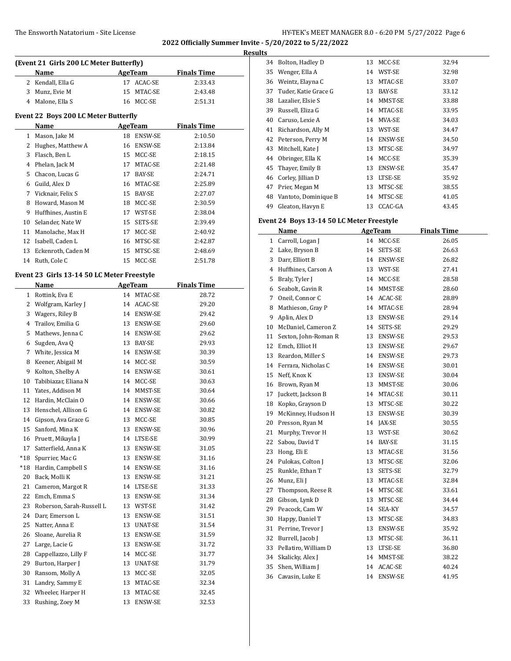**Results**

| (Event 21 Girls 200 LC Meter Butterfly) |                                            |    |                |                    |  |
|-----------------------------------------|--------------------------------------------|----|----------------|--------------------|--|
|                                         | Name                                       |    | <b>AgeTeam</b> | <b>Finals Time</b> |  |
|                                         | 2 Kendall, Ella G                          | 17 | ACAC-SE        | 2:33.43            |  |
|                                         | 3 Munz, Evie M                             | 15 | MTAC-SE        | 2:43.48            |  |
|                                         | 4 Malone, Ella S                           | 16 | MCC-SE         | 2:51.31            |  |
|                                         | Event 22 Boys 200 LC Meter Butterfly       |    |                |                    |  |
|                                         | Name                                       |    | AgeTeam        | <b>Finals Time</b> |  |
|                                         | 1 Mason, Jake M                            | 18 | ENSW-SE        | 2:10.50            |  |
|                                         | 2 Hughes, Matthew A                        | 16 | ENSW-SE        | 2:13.84            |  |
|                                         | 3 Flasch, Ben L                            | 15 | MCC-SE         | 2:18.15            |  |
|                                         | 4 Phelan, Jack M                           | 17 | MTAC-SE        | 2:21.48            |  |
| 5                                       | Chacon, Lucas G                            | 17 | BAY-SE         | 2:24.71            |  |
|                                         | 6 Guild, Alex D                            | 16 | MTAC-SE        | 2:25.89            |  |
|                                         | 7 Vicknair, Felix S                        |    | 15 BAY-SE      | 2:27.07            |  |
| 8                                       | Howard, Mason M                            |    | 18 MCC-SE      | 2:30.59            |  |
| 9                                       |                                            |    |                |                    |  |
|                                         | Huffhines, Austin E                        | 17 | WST-SE         | 2:38.04<br>2:39.49 |  |
| 10                                      | Selander, Nate W                           | 15 | SETS-SE        |                    |  |
| 11                                      | Manolache, Max H                           | 17 | MCC-SE         | 2:40.92            |  |
| 12                                      | Isabell, Caden L                           | 16 | MTSC-SE        | 2:42.87            |  |
| 13                                      | Eckenroth, Caden M                         | 15 | MTSC-SE        | 2:48.69            |  |
|                                         | 14 Ruth, Cole C                            | 15 | MCC-SE         | 2:51.78            |  |
|                                         | Event 23 Girls 13-14 50 LC Meter Freestyle |    |                |                    |  |
|                                         | Name                                       |    | AgeTeam        | <b>Finals Time</b> |  |
|                                         | 1 Rottink, Eva E                           |    | 14 MTAC-SE     | 28.72              |  |
|                                         | 2 Wolfgram, Karley J                       | 14 | ACAC-SE        | 29.20              |  |
|                                         | 3 Wagers, Riley B                          |    | 14 ENSW-SE     | 29.42              |  |
|                                         | 4 Trailov, Emilia G                        |    | 13 ENSW-SE     | 29.60              |  |
|                                         | 5 Mathews, Jenna C                         |    | 14 ENSW-SE     | 29.62              |  |
| 6                                       | Sugden, Ava Q                              |    | 13 BAY-SE      | 29.93              |  |
|                                         | 7 White, Jessica M                         |    | 14 ENSW-SE     | 30.39              |  |
| 8                                       | Keener, Abigail M                          |    | 14 MCC-SE      | 30.59              |  |
| 9                                       | Kolton, Shelby A                           | 14 | ENSW-SE        | 30.61              |  |
| 10                                      | Tabibiazar, Eliana N                       | 14 | MCC-SE         | 30.63              |  |
| 11                                      | Yates, Addison M                           | 14 | MMST-SE        | 30.64              |  |
| 12                                      | Hardin, McClain O                          | 14 | ENSW-SE        | 30.66              |  |
| 13                                      | Henschel, Allison G                        |    | 14 ENSW-SE     | 30.82              |  |
| 14                                      | Gipson, Ava Grace G                        | 13 | MCC-SE         | 30.85              |  |
|                                         | 15 Sanford, Mina K                         |    | 13 ENSW-SE     | 30.96              |  |
|                                         | 16 Pruett, Mikayla J                       |    | 14 LTSE-SE     | 30.99              |  |
| 17                                      | Satterfield, Anna K                        | 13 | ENSW-SE        | 31.05              |  |
| *18                                     | Spurrier, Mac G                            | 13 | ENSW-SE        | 31.16              |  |
| *18                                     | Hardin, Campbell S                         | 14 | ENSW-SE        | 31.16              |  |
| 20                                      | Back, Molli K                              | 13 | ENSW-SE        | 31.21              |  |
| 21                                      | Cameron, Margot R                          | 14 | LTSE-SE        | 31.33              |  |
| 22                                      | Emch, Emma S                               | 13 | ENSW-SE        | 31.34              |  |
| 23                                      | Roberson, Sarah-Russell L                  | 13 | WST-SE         | 31.42              |  |
| 24                                      | Darr, Emerson L                            | 13 | ENSW-SE        | 31.51              |  |
| 25                                      | Natter, Anna E                             | 13 | UNAT-SE        | 31.54              |  |
| 26                                      | Sloane, Aurelia R                          | 13 | ENSW-SE        | 31.59              |  |
| 27                                      | Large, Lacie G                             | 13 | ENSW-SE        | 31.72              |  |
| 28                                      | Cappellazzo, Lilly F                       | 14 | $MCC-SE$       | 31.77              |  |
| 29                                      | Burton, Harper J                           | 13 | UNAT-SE        | 31.79              |  |
| 30                                      | Ransom, Molly A                            | 13 | MCC-SE         | 32.05              |  |
| 31                                      | Landry, Sammy E                            | 13 | MTAC-SE        | 32.34              |  |
| 32                                      | Wheeler, Harper H                          | 13 | MTAC-SE        | 32.45              |  |
| 33                                      | Rushing, Zoey M                            | 13 | ENSW-SE        | 32.53              |  |

| .S |                      |    |                |       |
|----|----------------------|----|----------------|-------|
| 34 | Bolton, Hadley D     | 13 | MCC-SE         | 32.94 |
| 35 | Wenger, Ella A       | 14 | WST-SE         | 32.98 |
| 36 | Weintz, Elayna C     | 13 | MTAC-SE        | 33.07 |
| 37 | Tuder, Katie Grace G | 13 | <b>BAY-SE</b>  | 33.12 |
| 38 | Lazalier, Elsie S    | 14 | MMST-SE        | 33.88 |
| 39 | Russell, Eliza G     | 14 | MTAC-SE        | 33.95 |
| 40 | Caruso, Lexie A      | 14 | MVA-SE         | 34.03 |
| 41 | Richardson, Ally M   | 13 | WST-SE         | 34.47 |
| 42 | Peterson, Perry M    | 14 | <b>ENSW-SE</b> | 34.50 |
| 43 | Mitchell, Kate J     | 13 | MTSC-SE        | 34.97 |
| 44 | Obringer, Ella K     | 14 | MCC-SE         | 35.39 |
| 45 | Thayer, Emily B      | 13 | ENSW-SE        | 35.47 |
| 46 | Corley, Jillian D    | 13 | LTSE-SE        | 35.92 |
| 47 | Prier, Megan M       | 13 | MTSC-SE        | 38.55 |
| 48 | Vantoto, Dominique B | 14 | MTSC-SE        | 41.05 |
| 49 | Gleaton, Havyn E     | 13 | CCAC-GA        | 43.45 |

# **Event 24 Boys 13-14 50 LC Meter Freestyle**

|    | Name                 |    | AgeTeam        | <b>Finals Time</b> |
|----|----------------------|----|----------------|--------------------|
| 1  | Carroll, Logan J     | 14 | MCC-SE         | 26.05              |
| 2  | Lake, Bryson B       | 14 | SETS-SE        | 26.63              |
| 3  | Darr, Elliott B      | 14 | ENSW-SE        | 26.82              |
| 4  | Huffhines, Carson A  | 13 | WST-SE         | 27.41              |
| 5  | Braly, Tyler J       | 14 | MCC-SE         | 28.58              |
| 6  | Seabolt, Gavin R     | 14 | MMST-SE        | 28.60              |
| 7  | Oneil, Connor C      | 14 | ACAC-SE        | 28.89              |
| 8  | Mathieson, Gray P    | 14 | MTAC-SE        | 28.94              |
| 9  | Aplin, Alex D        | 13 | ENSW-SE        | 29.14              |
| 10 | McDaniel, Cameron Z  | 14 | SETS-SE        | 29.29              |
| 11 | Sexton, John-Roman R | 13 | <b>ENSW-SE</b> | 29.53              |
| 12 | Emch, Elliot H       | 13 | ENSW-SE        | 29.67              |
| 13 | Reardon, Miller S    | 14 | <b>ENSW-SE</b> | 29.73              |
| 14 | Ferrara, Nicholas C  | 14 | ENSW-SE        | 30.01              |
| 15 | Neff, Knox K         | 13 | ENSW-SE        | 30.04              |
| 16 | Brown, Ryan M        | 13 | MMST-SE        | 30.06              |
| 17 | Juckett, Jackson B   | 14 | MTAC-SE        | 30.11              |
| 18 | Kopko, Grayson D     | 13 | MTSC-SE        | 30.22              |
| 19 | McKinney, Hudson H   | 13 | <b>ENSW-SE</b> | 30.39              |
| 20 | Presson, Ryan M      | 14 | JAX-SE         | 30.55              |
| 21 | Murphy, Trevor H     | 13 | WST-SE         | 30.62              |
| 22 | Sabou, David T       | 14 | BAY-SE         | 31.15              |
| 23 | Hong, Eli E          | 13 | MTAC-SE        | 31.56              |
| 24 | Pulokas, Colton J    | 13 | MTSC-SE        | 32.06              |
| 25 | Runkle, Ethan T      | 13 | SETS-SE        | 32.79              |
| 26 | Munz, Eli J          | 13 | MTAC-SE        | 32.84              |
| 27 | Thompson, Reese R    | 14 | MTSC-SE        | 33.61              |
| 28 | Gibson, Lynk D       | 13 | MTSC-SE        | 34.44              |
| 29 | Peacock, Cam W       | 14 | SEA-KY         | 34.57              |
| 30 | Happy, Daniel T      | 13 | MTSC-SE        | 34.83              |
| 31 | Perrine, Trevor J    | 13 | ENSW-SE        | 35.92              |
| 32 | Burrell, Jacob J     | 13 | MTSC-SE        | 36.11              |
| 33 | Pellatiro, William D | 13 | LTSE-SE        | 36.80              |
| 34 | Skalicky, Alex J     | 14 | MMST-SE        | 38.22              |
| 35 | Shen, William J      | 14 | ACAC-SE        | 40.24              |
| 36 | Cavasin, Luke E      | 14 | ENSW-SE        | 41.95              |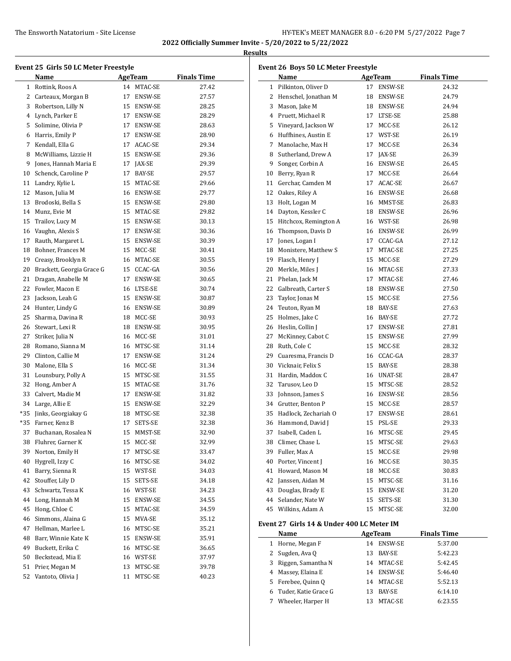**2022 Officially Summer Invite - 5/20/2022 to 5/22/2022 Results**

| Event 25  Girls 50 LC Meter Freestyle |                           |    |                          |                    |  |
|---------------------------------------|---------------------------|----|--------------------------|--------------------|--|
|                                       | Name                      |    | <b>AgeTeam</b>           | <b>Finals Time</b> |  |
| $\mathbf{1}$                          | Rottink, Roos A           |    | 14 MTAC-SE               | 27.42              |  |
| 2                                     | Carteaux, Morgan B        | 17 | ENSW-SE                  | 27.57              |  |
| 3                                     | Robertson, Lilly N        |    | 15 ENSW-SE               | 28.25              |  |
| 4                                     | Lynch, Parker E           |    | 17 ENSW-SE               | 28.29              |  |
| 5                                     | Solimine, Olivia P        |    | 17 ENSW-SE               | 28.63              |  |
| 6                                     | Harris, Emily P           |    | 17 ENSW-SE               | 28.90              |  |
| 7                                     | Kendall, Ella G           |    | 17 ACAC-SE               | 29.34              |  |
| 8                                     | McWilliams, Lizzie H      |    | 15 ENSW-SE               | 29.36              |  |
| 9                                     | Jones, Hannah Maria E     |    | 17 JAX-SE                | 29.39              |  |
| 10                                    | Schenck, Caroline P       | 17 | BAY-SE                   | 29.57              |  |
| 11                                    | Landry, Kylie L           |    | 15 MTAC-SE               | 29.66              |  |
| 12                                    | Mason, Julia M            |    | 16 ENSW-SE               | 29.77              |  |
| 13                                    | Brodoski, Bella S         |    | 15 ENSW-SE               | 29.80              |  |
| 14                                    | Munz, Evie M              |    | 15 MTAC-SE               | 29.82              |  |
| 15                                    | Trailov, Lucy M           |    | 15 ENSW-SE               | 30.13              |  |
| 16                                    | Vaughn, Alexis S          |    | 17 ENSW-SE               | 30.36              |  |
| 17                                    | Rauth, Margaret L         |    | 15 ENSW-SE               | 30.39              |  |
| 18                                    | Bohner, Frances M         |    | 15 MCC-SE                | 30.41              |  |
| 19                                    | Creasy, Brooklyn R        |    | 16 MTAC-SE               | 30.55              |  |
| 20                                    | Brackett, Georgia Grace G |    | 15 CCAC-GA               | 30.56              |  |
| 21                                    | Dragan, Anabelle M        |    |                          |                    |  |
| 22                                    | Fowler, Macon E           |    | 17 ENSW-SE<br>16 LTSE-SE | 30.65              |  |
|                                       |                           |    |                          | 30.74              |  |
| 23                                    | Jackson, Leah G           |    | 15 ENSW-SE               | 30.87              |  |
| 24                                    | Hunter, Lindy G           |    | 16 ENSW-SE               | 30.89              |  |
| 25                                    | Sharma, Davina R          |    | 18 MCC-SE                | 30.93              |  |
| 26                                    | Stewart, Lexi R           |    | 18 ENSW-SE               | 30.95              |  |
| 27                                    | Striker, Julia N          |    | 16 MCC-SE                | 31.01              |  |
| 28                                    | Romano, Sianna M          |    | 16 MTSC-SE               | 31.14              |  |
| 29                                    | Clinton, Callie M         |    | 17 ENSW-SE               | 31.24              |  |
| 30                                    | Malone, Ella S            |    | 16 MCC-SE                | 31.34              |  |
| 31                                    | Lounsbury, Polly A        |    | 15 MTSC-SE               | 31.55              |  |
| 32                                    | Hong, Amber A             |    | 15 MTAC-SE               | 31.76              |  |
| 33                                    | Calvert, Madie M          |    | 17 ENSW-SE               | 31.82              |  |
| 34                                    | Large, Allie E            |    | 15 ENSW-SE               | 32.29              |  |
| *35                                   | Jinks, Georgiakay G       |    | 18 MTSC-SE               | 32.38              |  |
| *35                                   | Farner, Kenz B            | 17 | SETS-SE                  | 32.38              |  |
|                                       | 37 Buchanan, Rosalea N    |    | 15 MMST-SE               | 32.90              |  |
| 38                                    | Fluhrer, Garner K         |    | 15 MCC-SE                | 32.99              |  |
| 39                                    | Norton, Emily H           | 17 | MTSC-SE                  | 33.47              |  |
| 40                                    | Hygrell, Izzy C           | 16 | MTSC-SE                  | 34.02              |  |
| 41                                    | Barry, Sienna R           |    | 15 WST-SE                | 34.03              |  |
| 42                                    | Stouffer, Lily D          | 15 | SETS-SE                  | 34.18              |  |
| 43                                    | Schwartz, Tessa K         |    | 16 WST-SE                | 34.23              |  |
| 44                                    | Long, Hannah M            | 15 | ENSW-SE                  | 34.55              |  |
| 45                                    | Hong, Chloe C             | 15 | MTAC-SE                  | 34.59              |  |
| 46                                    | Simmons, Alaina G         | 15 | MVA-SE                   | 35.12              |  |
| 47                                    | Hellman, Marlee L         | 16 | MTSC-SE                  | 35.21              |  |
| 48                                    | Barr, Winnie Kate K       |    | 15 ENSW-SE               | 35.91              |  |
| 49                                    | Buckett, Erika C          | 16 | MTSC-SE                  | 36.65              |  |
| 50                                    | Beckstead, Mia E          |    | 16 WST-SE                | 37.97              |  |
| 51                                    | Prier, Megan M            | 13 | MTSC-SE                  | 39.78              |  |
| 52                                    | Vantoto, Olivia J         | 11 | MTSC-SE                  | 40.23              |  |
|                                       |                           |    |                          |                    |  |

| Event 26 Boys 50 LC Meter Freestyle |                                           |    |                |                    |  |
|-------------------------------------|-------------------------------------------|----|----------------|--------------------|--|
|                                     | Name                                      |    | <b>AgeTeam</b> | <b>Finals Time</b> |  |
| $\mathbf{1}$                        | Pilkinton, Oliver D                       | 17 | ENSW-SE        | 24.32              |  |
|                                     | 2 Henschel, Jonathan M                    |    | 18 ENSW-SE     | 24.79              |  |
|                                     | 3 Mason, Jake M                           |    | 18 ENSW-SE     | 24.94              |  |
|                                     | 4 Pruett, Michael R                       |    | 17 LTSE-SE     | 25.88              |  |
|                                     | 5 Vineyard, Jackson W                     | 17 | MCC-SE         | 26.12              |  |
|                                     | 6 Huffhines, Austin E                     |    | 17 WST-SE      | 26.19              |  |
|                                     | 7 Manolache, Max H                        | 17 | MCC-SE         | 26.34              |  |
|                                     | 8 Sutherland, Drew A                      |    | 17 JAX-SE      | 26.39              |  |
|                                     | 9 Songer, Corbin A                        |    | 16 ENSW-SE     | 26.45              |  |
|                                     | 10 Berry, Ryan R                          |    | 17 MCC-SE      | 26.64              |  |
|                                     | 11 Gerchar, Camden M                      |    | 17 ACAC-SE     | 26.67              |  |
|                                     | 12 Oakes, Riley A                         |    | 16 ENSW-SE     | 26.68              |  |
|                                     | 13 Holt, Logan M                          |    | 16 MMST-SE     | 26.83              |  |
|                                     | 14 Dayton, Kessler C                      |    | 18 ENSW-SE     | 26.96              |  |
|                                     | 15 Hitchcox, Remington A                  |    | 16 WST-SE      | 26.98              |  |
|                                     | 16 Thompson, Davis D                      |    | 16 ENSW-SE     | 26.99              |  |
|                                     | 17 Jones, Logan I                         |    | 17 CCAC-GA     | 27.12              |  |
|                                     | 18 Monistere, Matthew S                   |    | 17 MTAC-SE     | 27.25              |  |
|                                     | 19 Flasch, Henry J                        |    | 15 MCC-SE      | 27.29              |  |
| 20                                  | Merkle, Miles J                           |    | 16 MTAC-SE     | 27.33              |  |
| 21                                  | Phelan, Jack M                            |    | 17 MTAC-SE     | 27.46              |  |
|                                     | 22 Galbreath, Carter S                    |    | 18 ENSW-SE     | 27.50              |  |
| 23                                  | Taylor, Jonas M                           |    | 15 MCC-SE      | 27.56              |  |
|                                     | 24 Teuton, Ryan M                         |    | 18 BAY-SE      | 27.63              |  |
| 25                                  | Holmes, Jake C                            |    | 16 BAY-SE      | 27.72              |  |
|                                     | 26 Heslin, Collin J                       | 17 | ENSW-SE        | 27.81              |  |
| 27                                  | McKinney, Cabot C                         |    | 15 ENSW-SE     | 27.99              |  |
|                                     | 28 Ruth, Cole C                           |    | 15 MCC-SE      | 28.32              |  |
| 29                                  | Cuaresma, Francis D                       |    | 16 CCAC-GA     | 28.37              |  |
|                                     | 30 Vicknair, Felix S                      |    | 15 BAY-SE      | 28.38              |  |
|                                     | 31 Hardin, Maddox C                       |    | 16 UNAT-SE     | 28.47              |  |
|                                     | 32 Tarusov, Leo D                         |    | 15 MTSC-SE     | 28.52              |  |
|                                     | 33 Johnson, James S                       |    | 16 ENSW-SE     | 28.56              |  |
|                                     | 34 Grutter, Benton P                      |    | 15 MCC-SE      | 28.57              |  |
|                                     | 35 Hadlock, Zechariah O                   | 17 | ENSW-SE        | 28.61              |  |
|                                     | 36 Hammond, David J                       |    | 15 PSL-SE      | 29.33              |  |
| 37                                  | Isabell, Caden L                          |    | 16 MTSC-SE     | 29.45              |  |
| 38                                  | Climer, Chase L                           | 15 | MTSC-SE        | 29.63              |  |
| 39                                  | Fuller, Max A                             | 15 | MCC-SE         | 29.98              |  |
| 40                                  | Porter, Vincent J                         | 16 | MCC-SE         | 30.35              |  |
| 41                                  | Howard, Mason M                           | 18 | MCC-SE         | 30.83              |  |
| 42                                  | Janssen, Aidan M                          | 15 | MTSC-SE        | 31.16              |  |
| 43                                  | Douglas, Brady E                          | 15 | ENSW-SE        | 31.20              |  |
| 44                                  | Selander, Nate W                          | 15 | SETS-SE        | 31.30              |  |
| 45                                  | Wilkins, Adam A                           | 15 | MTSC-SE        | 32.00              |  |
|                                     |                                           |    |                |                    |  |
|                                     | Event 27 Girls 14 & Under 400 LC Meter IM |    |                |                    |  |
|                                     | Name                                      |    | <b>AgeTeam</b> | <b>Finals Time</b> |  |
| 1                                   | Horne, Megan F                            | 14 | ENSW-SE        | 5:37.00            |  |
| 2                                   | Sugden, Ava Q                             | 13 | BAY-SE         | 5:42.23            |  |
| 3                                   | Riggen, Samantha N                        | 14 | MTAC-SE        | 5:42.45            |  |
| 4                                   | Massey, Elaina E                          | 14 | ENSW-SE        | 5:46.40            |  |
| 5                                   | Ferebee, Quinn Q                          |    | 14 MTAC-SE     | 5:52.13            |  |

 Tuder, Katie Grace G 13 BAY-SE 6:14.10 7 Wheeler, Harper H 13 MTAC-SE 6:23.55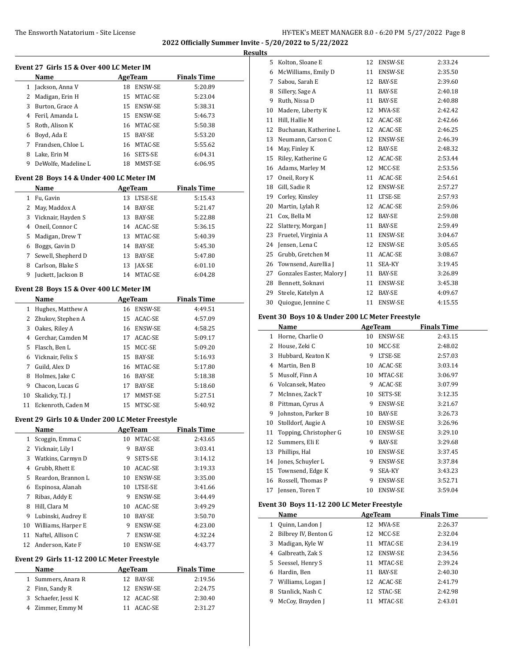| Results |
|---------|
|         |

|    | Event 27 Girls 15 & Over 400 LC Meter IM         |    |                |                    |
|----|--------------------------------------------------|----|----------------|--------------------|
|    | Name                                             |    | AgeTeam        | <b>Finals Time</b> |
| 1  | Jackson, Anna V                                  |    | 18 ENSW-SE     | 5:20.89            |
|    | 2 Madigan, Erin H                                |    | 15 MTAC-SE     | 5:23.04            |
|    | 3 Burton, Grace A                                |    | 15 ENSW-SE     | 5:38.31            |
|    | 4 Feril, Amanda L                                |    | 15 ENSW-SE     | 5:46.73            |
|    | 5 Roth, Alison K                                 |    | 16 MTAC-SE     | 5:50.38            |
|    | 6 Boyd, Ada E                                    |    | 15 BAY-SE      | 5:53.20            |
|    | 7 Frandsen, Chloe L                              |    | 16 MTAC-SE     | 5:55.62            |
|    | 8 Lake, Erin M                                   |    | 16 SETS-SE     | 6:04.31            |
| 9  | DeWolfe, Madeline L                              |    | 18 MMST-SE     | 6:06.95            |
|    | Event 28 Boys 14 & Under 400 LC Meter IM         |    |                |                    |
|    | Name                                             |    | AgeTeam        | <b>Finals Time</b> |
|    | 1 Fu, Gavin                                      |    | 13 LTSE-SE     | 5:15.43            |
|    | 2 May, Maddox A                                  |    | 14 BAY-SE      | 5:21.47            |
|    | 3 Vicknair, Hayden S                             |    | 13 BAY-SE      | 5:22.88            |
|    | 4 Oneil, Connor C                                |    | 14 ACAC-SE     | 5:36.15            |
| 5  | Madigan, Drew T                                  |    | 13 MTAC-SE     | 5:40.39            |
|    | 6 Boggs, Gavin D                                 |    | 14 BAY-SE      | 5:45.30            |
| 7  | Sewell, Shepherd D                               |    | 13 BAY-SE      | 5:47.80            |
|    | 8 Carlson, Blake S                               |    | 13 JAX-SE      | 6:01.10            |
| 9  | Juckett, Jackson B                               |    | 14 MTAC-SE     | 6:04.28            |
|    | Event 28 Boys 15 & Over 400 LC Meter IM          |    |                |                    |
|    | Name                                             |    | <b>AgeTeam</b> | <b>Finals Time</b> |
| 1  | Hughes, Matthew A                                |    | 16 ENSW-SE     | 4:49.51            |
|    | 2 Zhukov, Stephen A                              |    | 15 ACAC-SE     | 4:57.09            |
|    | 3 Oakes, Riley A                                 |    | 16 ENSW-SE     | 4:58.25            |
|    | 4 Gerchar, Camden M                              |    | 17 ACAC-SE     | 5:09.17            |
| 5  | Flasch, Ben L                                    |    | 15 MCC-SE      | 5:09.20            |
|    | 6 Vicknair, Felix S                              |    | 15 BAY-SE      | 5:16.93            |
|    | 7 Guild, Alex D                                  |    | 16 MTAC-SE     | 5:17.80            |
|    | 8 Holmes, Jake C                                 |    | 16 BAY-SE      | 5:18.38            |
|    | 9 Chacon, Lucas G                                |    | 17 BAY-SE      | 5:18.60            |
| 10 | Skalicky, T.J. J                                 |    | 17 MMST-SE     | 5:27.51            |
|    | 11 Eckenroth, Caden M                            |    | 15 MTSC-SE     | 5:40.92            |
|    | Event 29 Girls 10 & Under 200 LC Meter Freestyle |    |                |                    |
|    | <u>Name</u>                                      |    | <b>AgeTeam</b> | <b>Finals Time</b> |
| 1  | Scoggin, Emma C                                  | 10 | MTAC-SE        | 2:43.65            |
| 2  | Vicknair, Lily I                                 | 9  | BAY-SE         | 3:03.41            |
| 3  | Watkins, Carmyn D                                | 9  | SETS-SE        | 3:14.12            |
| 4  | Grubb, Rhett E                                   |    | 10 ACAC-SE     | 3:19.33            |
| 5  | Reardon, Brannon L                               |    | 10 ENSW-SE     | 3:35.00            |
| 6  | Espinosa, Alanah                                 |    | 10 LTSE-SE     | 3:41.66            |
| 7  | Ribas, Addy E                                    |    | 9 ENSW-SE      | 3:44.49            |
| 8  | Hill, Clara M                                    |    | 10 ACAC-SE     | 3:49.29            |
| 9  | Lubinski, Audrey E                               |    | 10 BAY-SE      | 3:50.70            |
| 10 | Williams, Harper E                               | 9  | ENSW-SE        | 4:23.00            |
| 11 | Naftel, Allison C                                | 7  | ENSW-SE        | 4:32.24            |
| 12 | Anderson, Kate F                                 | 10 | ENSW-SE        | 4:43.77            |
|    | Event 29 Girls 11-12 200 LC Meter Freestyle      |    |                |                    |
|    | Name                                             |    | <b>AgeTeam</b> | <b>Finals Time</b> |
| 1  | Summers, Anara R                                 | 12 | BAY-SE         | 2:19.56            |
| 2  | Finn, Sandy R                                    | 12 | ENSW-SE        | 2:24.75            |
| 3  | Schaefer, Jessi K                                | 12 | ACAC-SE        | 2:30.40            |
| 4  | Zimmer, Emmy M                                   | 11 | ACAC-SE        | 2:31.27            |
|    |                                                  |    |                |                    |

| 5  | Kolton, Sloane E          | 12 | ENSW-SE        | 2:33.24 |
|----|---------------------------|----|----------------|---------|
| 6  | McWilliams, Emily D       | 11 | ENSW-SE        | 2:35.50 |
| 7  | Sabou, Sarah E            | 12 | BAY-SE         | 2:39.60 |
| 8  | Sillery, Sage A           | 11 | <b>BAY-SE</b>  | 2:40.18 |
| 9  | Ruth, Nissa D             | 11 | BAY-SE         | 2:40.88 |
| 10 | Madere, Liberty K         | 12 | MVA-SE         | 2:42.42 |
| 11 | Hill, Hallie M            | 12 | ACAC-SE        | 2:42.66 |
| 12 | Buchanan, Katherine L     | 12 | ACAC-SE        | 2:46.25 |
| 13 | Neumann, Carson C         | 12 | ENSW-SE        | 2:46.39 |
| 14 | May, Finley K             | 12 | <b>BAY-SE</b>  | 2:48.32 |
| 15 | Riley, Katherine G        | 12 | ACAC-SE        | 2:53.44 |
| 16 | Adams, Marley M           | 12 | MCC-SE         | 2:53.56 |
| 17 | Oneil, Rory K             | 11 | ACAC-SE        | 2:54.61 |
| 18 | Gill, Sadie R             | 12 | ENSW-SE        | 2:57.27 |
| 19 | Corley, Kinsley           | 11 | LTSE-SE        | 2:57.93 |
| 20 | Martin, Lylah R           | 12 | ACAC-SE        | 2:59.06 |
| 21 | Cox, Bella M              | 12 | BAY-SE         | 2:59.08 |
| 22 | Slattery, Morgan J        | 11 | BAY-SE         | 2:59.49 |
| 23 | Fruetel, Virginia A       | 11 | ENSW-SE        | 3:04.67 |
| 24 | Jensen, Lena C            | 12 | ENSW-SE        | 3:05.65 |
| 25 | Grubb, Gretchen M         | 11 | ACAC-SE        | 3:08.67 |
| 26 | Townsend, Aurellia J      | 11 | SEA-KY         | 3:19.45 |
| 27 | Gonzales Easter, Malory J | 11 | BAY-SE         | 3:26.89 |
| 28 | Bennett, Soknavi          | 11 | ENSW-SE        | 3:45.38 |
| 29 | Steele, Katelyn A         | 12 | BAY-SE         | 4:09.67 |
| 30 | Quiogue, Jennine C        | 11 | <b>ENSW-SE</b> | 4:15.55 |
|    |                           |    |                |         |

# **Event 30 Boys 10 & Under 200 LC Meter Freestyle**

|    | Name                   |    | <b>AgeTeam</b> | <b>Finals Time</b> |  |
|----|------------------------|----|----------------|--------------------|--|
| 1  | Horne, Charlie O       | 10 | <b>ENSW-SE</b> | 2:43.15            |  |
| 2  | House, Zeki C          | 10 | MCC-SE         | 2:48.02            |  |
| 3  | Hubbard, Keaton K      | 9  | LTSE-SE        | 2:57.03            |  |
| 4  | Martin, Ben B          | 10 | ACAC-SE        | 3:03.14            |  |
| 5  | Musolf, Finn A         | 10 | MTAC-SE        | 3:06.97            |  |
| 6  | Volcansek, Mateo       | 9  | ACAC-SE        | 3:07.99            |  |
| 7  | McInnes, Zack T        | 10 | SETS-SE        | 3:12.35            |  |
| 8  | Pittman, Cyrus A       | 9  | ENSW-SE        | 3:21.67            |  |
| 9  | Johnston, Parker B     | 10 | BAY-SE         | 3:26.73            |  |
| 10 | Stolldorf, Augie A     | 10 | <b>ENSW-SE</b> | 3:26.96            |  |
| 11 | Topping, Christopher G | 10 | ENSW-SE        | 3:29.10            |  |
| 12 | Summers, Eli E         | 9  | BAY-SE         | 3:29.68            |  |
| 13 | Phillips, Hal          | 10 | <b>ENSW-SE</b> | 3:37.45            |  |
| 14 | Jones, Schuyler L      | 9  | ENSW-SE        | 3:37.84            |  |
| 15 | Townsend, Edge K       | 9  | SEA-KY         | 3:43.23            |  |
| 16 | Rossell, Thomas P      | 9  | ENSW-SE        | 3:52.71            |  |
| 17 | Jensen, Toren T        | 10 | ENSW-SE        | 3:59.04            |  |

### **Event 30 Boys 11-12 200 LC Meter Freestyle**

 $\overline{a}$ 

|   | Name                 | AgeTeam |               | <b>Finals Time</b> |  |
|---|----------------------|---------|---------------|--------------------|--|
|   | Quinn, Landon J      | 12      | MVA-SE        | 2:26.37            |  |
|   | Bilbrey IV, Benton G | 12.     | MCC-SE        | 2:32.04            |  |
| 3 | Madigan, Kyle W      | 11      | MTAC-SE       | 2:34.19            |  |
| 4 | Galbreath, Zak S     | 12.     | ENSW-SE       | 2:34.56            |  |
|   | 5 Seessel, Henry S   | 11      | MTAC-SE       | 2:39.24            |  |
| 6 | Hardin, Ben          | 11      | <b>BAY-SE</b> | 2:40.30            |  |
|   | Williams, Logan J    |         | 12 ACAC-SE    | 2:41.79            |  |
| 8 | Stanlick, Nash C     | 12.     | STAC-SE       | 2:42.98            |  |
| 9 | McCoy, Brayden J     |         | MTAC-SE       | 2:43.01            |  |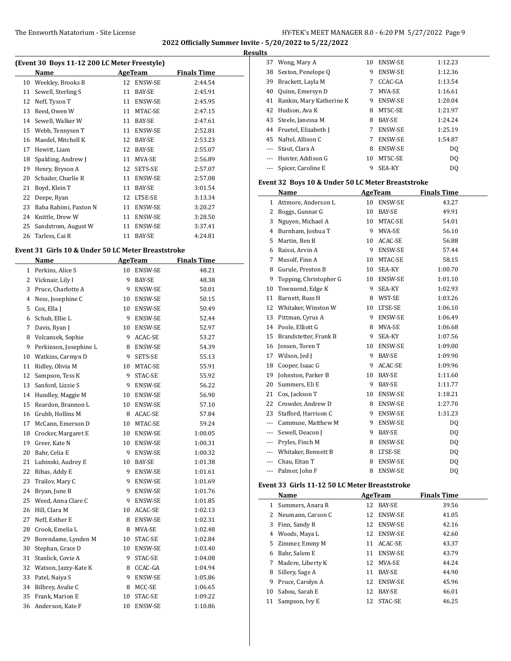**2022 Officially Summer Invite - 5/20/2022 to 5/22/2022 Results**

| (Event 30 Boys 11-12 200 LC Meter Freestyle) |                       |    |                |                    |  |  |
|----------------------------------------------|-----------------------|----|----------------|--------------------|--|--|
|                                              | Name                  |    | AgeTeam        | <b>Finals Time</b> |  |  |
| 10                                           | Weekley, Brooks B     | 12 | ENSW-SE        | 2:44.54            |  |  |
| 11                                           | Sewell, Sterling S    | 11 | BAY-SE         | 2:45.91            |  |  |
| 12                                           | Neff, Tyson T         | 11 | <b>ENSW-SE</b> | 2:45.95            |  |  |
| 13                                           | Reed, Owen W          | 11 | MTAC-SE        | 2:47.15            |  |  |
| 14                                           | Sewell, Walker W      | 11 | <b>BAY-SE</b>  | 2:47.61            |  |  |
| 15                                           | Webb, Tennysen T      | 11 | ENSW-SE        | 2:52.81            |  |  |
| 16                                           | Maedel, Mitchell K    | 12 | <b>BAY-SE</b>  | 2:53.23            |  |  |
| 17                                           | Hewitt, Liam          | 12 | <b>BAY-SE</b>  | 2:55.07            |  |  |
| 18                                           | Spalding, Andrew J    | 11 | MVA-SE         | 2:56.89            |  |  |
| 19                                           | Henry, Bryson A       | 12 | SETS-SE        | 2:57.07            |  |  |
| 20                                           | Schader, Charlie R    | 11 | ENSW-SE        | 2:57.08            |  |  |
| 21                                           | Boyd, Klein T         | 11 | BAY-SE         | 3:01.54            |  |  |
| 22                                           | Deepe, Ryan           | 12 | LTSE-SE        | 3:13.34            |  |  |
| 23                                           | Baba Rahimi, Paxton N | 11 | ENSW-SE        | 3:20.27            |  |  |
| 24                                           | Knittle, Drew W       | 11 | ENSW-SE        | 3:28.50            |  |  |
| 25                                           | Sandstrom, August W   | 11 | <b>ENSW-SE</b> | 3:37.41            |  |  |
| 26                                           | Tarless, Cai R        | 11 | BAY-SE         | 4:24.81            |  |  |

### **Event 31 Girls 10 & Under 50 LC Meter Breaststroke**

|              | Name                   |    | <b>AgeTeam</b> | <b>Finals Time</b> |
|--------------|------------------------|----|----------------|--------------------|
| $\mathbf{1}$ | Perkins, Alice S       | 10 | ENSW-SE        | 48.21              |
| 2            | Vicknair, Lily I       | 9  | BAY-SE         | 48.38              |
| 3            | Pruce, Charlotte A     | 9  | ENSW-SE        | 50.01              |
| 4            | Ness, Josephine C      | 10 | <b>ENSW-SE</b> | 50.15              |
| 5            | Cox, Ella J            |    | 10 ENSW-SE     | 50.49              |
| 6            | Schuh, Ellie L         | 9  | <b>ENSW-SE</b> | 52.44              |
| 7            | Davis, Ryan J          | 10 | <b>ENSW-SE</b> | 52.97              |
| 8            | Volcansek, Sophie      | 9  | ACAC-SE        | 53.27              |
| 9            | Perkinson, Josephine L | 8  | <b>ENSW-SE</b> | 54.39              |
| 10           | Watkins, Carmyn D      | 9  | SETS-SE        | 55.13              |
| 11           | Ridley, Olivia M       | 10 | MTAC-SE        | 55.91              |
| 12           | Sampson, Tess K        | 9  | STAC-SE        | 55.92              |
| 13           | Sanford, Lizzie S      | 9  | <b>ENSW-SE</b> | 56.22              |
| 14           | Hundley, Maggie M      | 10 | <b>ENSW-SE</b> | 56.90              |
| 15           | Reardon, Brannon L     | 10 | <b>ENSW-SE</b> | 57.10              |
| 16           | Grubb, Hollins M       | 8  | ACAC-SE        | 57.84              |
| 17           | McCann, Emerson D      | 10 | MTAC-SE        | 59.24              |
| 18           | Crocker, Margaret E    | 10 | <b>ENSW-SE</b> | 1:00.05            |
| 19           | Greer, Kate N          | 10 | <b>ENSW-SE</b> | 1:00.31            |
| 20           | Bahr, Celia E          | 9  | <b>ENSW-SE</b> | 1:00.32            |
| 21           | Lubinski, Audrey E     | 10 | <b>BAY-SE</b>  | 1:01.38            |
| 22           | Ribas, Addy E          | 9  | <b>ENSW-SE</b> | 1:01.61            |
| 23           | Trailov, Mary C        | 9  | ENSW-SE        | 1:01.69            |
| 24           | Bryan, June B          | 9  | <b>ENSW-SE</b> | 1:01.76            |
| 25           | Weed, Anna Clare C     | 9  | <b>ENSW-SE</b> | 1:01.85            |
| 26           | Hill, Clara M          | 10 | ACAC-SE        | 1:02.13            |
| 27           | Neff, Esther E         | 8  | <b>ENSW-SE</b> | 1:02.31            |
| 28           | Crook, Emelia L        | 8  | MVA-SE         | 1:02.48            |
| 29           | Borendame, Lynden M    | 10 | STAC-SE        | 1:02.84            |
| 30           | Stephan, Grace D       | 10 | ENSW-SE        | 1:03.40            |
| 31           | Stanlick, Covie A      | 9  | STAC-SE        | 1:04.08            |
| 32           | Watson, Jazzy-Kate K   | 8  | CCAC-GA        | 1:04.94            |
| 33           | Patel, Naiya S         | 9  | ENSW-SE        | 1:05.86            |
| 34           | Bilbrey, Avalie C      | 8  | MCC-SE         | 1:06.65            |
| 35           | Frank, Marion E        | 10 | STAC-SE        | 1:09.22            |
| 36           | Anderson, Kate F       | 10 | <b>ENSW-SE</b> | 1:10.86            |

| 37      | Wong, Mary A             | 10 | <b>ENSW-SE</b> | 1:12.23        |
|---------|--------------------------|----|----------------|----------------|
| 38      | Sexton, Penelope Q       | 9  | <b>ENSW-SE</b> | 1:12.36        |
| 39      | Brackett, Layla M        | 7  | CCAC-GA        | 1:13.54        |
| 40      | Quinn, Emersyn D         | 7  | MVA-SE         | 1:16.61        |
| 41      | Rankin, Mary Katherine K | 9  | <b>ENSW-SE</b> | 1:20.04        |
| 42      | Hudson, Ava K            | 8  | MTSC-SE        | 1:21.97        |
| 43      | Steele, Janessa M        | 8  | BAY-SE         | 1:24.24        |
| 44      | Fruetel, Elizabeth J     | 7  | <b>ENSW-SE</b> | 1:25.19        |
| 45      | Naftel, Allison C        | 7  | <b>ENSW-SE</b> | 1:54.87        |
| $- - -$ | Staut, Clara A           | 8  | <b>ENSW-SE</b> | DQ             |
| $- - -$ | Hunter, Addison G        | 10 | MTSC-SE        | D <sub>0</sub> |
|         | Spicer, Caroline E       | 9  | <b>SEA-KY</b>  | DO             |

### **Event 32 Boys 10 & Under 50 LC Meter Breaststroke**

|     | Name                   |    | <b>AgeTeam</b> | <b>Finals Time</b> |
|-----|------------------------|----|----------------|--------------------|
| 1   | Attmore, Anderson L    | 10 | <b>ENSW-SE</b> | 43.27              |
| 2   | Boggs, Gunnar G        | 10 | BAY-SE         | 49.91              |
| 3   | Nguyen, Michael A      | 10 | MTAC-SE        | 54.01              |
| 4   | Burnham, Joshua T      | 9  | MVA-SE         | 56.10              |
| 5   | Martin, Ben B          | 10 | ACAC-SE        | 56.88              |
| 6   | Raissi, Arvin A        | 9  | <b>ENSW-SE</b> | 57.44              |
| 7   | Musolf, Finn A         | 10 | MTAC-SE        | 58.15              |
| 8   | Gurule, Preston B      | 10 | SEA-KY         | 1:00.70            |
| 9   | Topping, Christopher G | 10 | <b>ENSW-SE</b> | 1:01.10            |
| 10  | Townsend, Edge K       | 9  | SEA-KY         | 1:02.93            |
| 11  | Barnett, Russ H        | 8  | WST-SE         | 1:03.26            |
| 12  | Whitaker, Winston W    | 10 | LTSE-SE        | 1:06.10            |
| 13  | Pittman, Cyrus A       | 9  | ENSW-SE        | 1:06.49            |
| 14  | Poole, Elliott G       | 8  | MVA-SE         | 1:06.68            |
| 15  | Brandstetter, Frank B  | 9  | SEA-KY         | 1:07.56            |
| 16  | Jensen, Toren T        | 10 | <b>ENSW-SE</b> | 1:09.00            |
| 17  | Wilson, Jed J          | 9  | <b>BAY-SE</b>  | 1:09.90            |
| 18  | Cooper, Isaac G        | 9  | ACAC-SE        | 1:09.96            |
| 19  | Johnston, Parker B     | 10 | BAY-SE         | 1:11.60            |
| 20  | Summers, Eli E         | 9  | BAY-SE         | 1:11.77            |
| 21  | Cox, Jackson T         | 10 | ENSW-SE        | 1:18.21            |
| 22  | Crowder, Andrew D      | 8  | ENSW-SE        | 1:27.70            |
| 23  | Stafford, Harrison C   | 9  | <b>ENSW-SE</b> | 1:31.23            |
| --- | Cammuse, Matthew M     | 9  | <b>ENSW-SE</b> | DQ                 |
| --- | Sewell, Deacon J       | 9  | BAY-SE         | DQ                 |
| --- | Pryles, Finch M        | 8  | <b>ENSW-SE</b> | DQ                 |
| --- | Whitaker, Bennett B    | 8  | LTSE-SE        | DQ                 |
|     | Chau, Eitan T          | 8  | <b>ENSW-SE</b> | DQ                 |
| --- | Palmer, John F         | 8  | <b>ENSW-SE</b> | DQ                 |

### **Event 33 Girls 11-12 50 LC Meter Breaststroke**

|    | Name                | AgeTeam |                | <b>Finals Time</b> |  |
|----|---------------------|---------|----------------|--------------------|--|
| 1  | Summers, Anara R    | 12      | <b>BAY-SE</b>  | 39.56              |  |
|    | 2 Neumann, Carson C |         | 12 ENSW-SE     | 41.05              |  |
| 3  | Finn, Sandy R       | 12      | <b>ENSW-SE</b> | 42.16              |  |
| 4  | Woods, Maya L       |         | 12 ENSW-SE     | 42.60              |  |
| 5  | Zimmer, Emmy M      | 11      | ACAC-SE        | 43.37              |  |
| 6  | Bahr, Salem E       | 11      | <b>ENSW-SE</b> | 43.79              |  |
| 7  | Madere, Liberty K   |         | 12 MVA-SE      | 44.24              |  |
| 8  | Sillery, Sage A     | 11      | <b>BAY-SE</b>  | 44.90              |  |
| 9  | Pruce, Carolyn A    | 12      | <b>ENSW-SE</b> | 45.96              |  |
| 10 | Sabou, Sarah E      | 12      | <b>BAY-SE</b>  | 46.01              |  |
| 11 | Sampson, Ivy E      | 12      | STAC-SE        | 46.25              |  |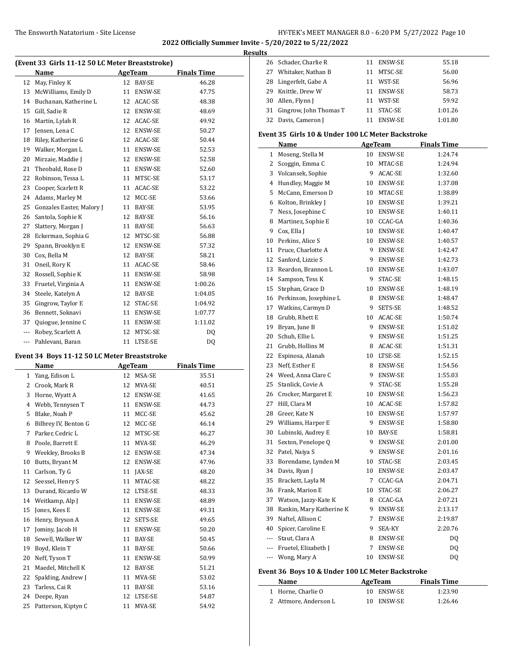#### **Results**

| (Event 33 Girls 11-12 50 LC Meter Breaststroke) |                           |         |                |                    |  |  |
|-------------------------------------------------|---------------------------|---------|----------------|--------------------|--|--|
|                                                 | Name                      | AgeTeam |                | <b>Finals Time</b> |  |  |
| 12                                              | May, Finley K             | 12      | BAY-SE         | 46.28              |  |  |
| 13                                              | McWilliams, Emily D       | 11      | <b>ENSW-SE</b> | 47.75              |  |  |
| 14                                              | Buchanan, Katherine L     | 12      | ACAC-SE        | 48.38              |  |  |
| 15                                              | Gill, Sadie R             | 12      | <b>ENSW-SE</b> | 48.69              |  |  |
| 16                                              | Martin, Lylah R           | 12      | ACAC-SE        | 49.92              |  |  |
| 17                                              | Jensen, Lena C            | 12      | ENSW-SE        | 50.27              |  |  |
| 18                                              | Riley, Katherine G        | 12      | ACAC-SE        | 50.44              |  |  |
| 19                                              | Walker, Morgan L          | 11      | ENSW-SE        | 52.53              |  |  |
| 20                                              | Mirzaie, Maddie J         | 12      | ENSW-SE        | 52.58              |  |  |
| 21                                              | Theobald, Rose D          | 11      | <b>ENSW-SE</b> | 52.60              |  |  |
| 22                                              | Robinson, Tessa L         | 11      | MTSC-SE        | 53.17              |  |  |
| 23                                              | Cooper, Scarlett R        | 11      | ACAC-SE        | 53.22              |  |  |
| 24                                              | Adams, Marley M           | 12      | MCC-SE         | 53.66              |  |  |
| 25                                              | Gonzales Easter, Malory J | 11      | <b>BAY-SE</b>  | 53.95              |  |  |
| 26                                              | Santola, Sophie K         | 12      | BAY-SE         | 56.16              |  |  |
| 27                                              | Slattery, Morgan J        | 11      | <b>BAY-SE</b>  | 56.63              |  |  |
| 28                                              | Eckerman, Sophia G        | 12      | MTSC-SE        | 56.88              |  |  |
| 29                                              | Spann, Brooklyn E         | 12      | <b>ENSW-SE</b> | 57.32              |  |  |
| 30                                              | Cox, Bella M              | 12      | BAY-SE         | 58.21              |  |  |
| 31                                              | Oneil, Rory K             | 11      | ACAC-SE        | 58.46              |  |  |
| 32                                              | Rossell, Sophie K         | 11      | ENSW-SE        | 58.98              |  |  |
| 33                                              | Fruetel, Virginia A       | 11      | <b>ENSW-SE</b> | 1:00.26            |  |  |
| 34                                              | Steele, Katelyn A         | 12      | BAY-SE         | 1:04.05            |  |  |
| 35                                              | Gingrow, Taylor E         | 12      | STAC-SE        | 1:04.92            |  |  |
| 36                                              | Bennett, Soknavi          | 11      | ENSW-SE        | 1:07.77            |  |  |
| 37                                              | Quiogue, Jennine C        | 11      | <b>ENSW-SE</b> | 1:11.02            |  |  |
| ---                                             | Robey, Scarlett A         | 12      | MTSC-SE        | DO.                |  |  |
| ---                                             | Pahlevani, Baran          | 11      | LTSE-SE        | DQ                 |  |  |
|                                                 |                           |         |                |                    |  |  |

#### **Event 34 Boys 11-12 50 LC Meter Breaststroke**

| Name |                      |    | <b>AgeTeam</b> | <b>Finals Time</b> |  |  |
|------|----------------------|----|----------------|--------------------|--|--|
| 1    | Yang, Edison L       | 12 | MSA-SE         | 35.51              |  |  |
| 2    | Crook, Mark R        | 12 | MVA-SE         | 40.51              |  |  |
| 3    | Horne, Wyatt A       | 12 | ENSW-SE        | 41.65              |  |  |
| 4    | Webb, Tennysen T     | 11 | ENSW-SE        | 44.73              |  |  |
| 5    | Blake, Noah P        | 11 | MCC-SE         | 45.62              |  |  |
| 6    | Bilbrey IV, Benton G | 12 | MCC-SE         | 46.14              |  |  |
| 7    | Parker, Cedric L     | 12 | MTSC-SE        | 46.27              |  |  |
| 8    | Poole, Barrett E     | 11 | MVA-SE         | 46.29              |  |  |
| 9    | Weekley, Brooks B    | 12 | ENSW-SE        | 47.34              |  |  |
| 10   | Butts, Bryant M      | 12 | ENSW-SE        | 47.96              |  |  |
| 11   | Carlson, Ty G        | 11 | <b>JAX-SE</b>  | 48.20              |  |  |
| 12   | Seessel, Henry S     | 11 | MTAC-SE        | 48.22              |  |  |
| 13   | Durand, Ricardo W    | 12 | LTSE-SE        | 48.33              |  |  |
| 14   | Weitkamp, Alp J      | 11 | ENSW-SE        | 48.89              |  |  |
| 15   | Jones, Kees E        | 11 | ENSW-SE        | 49.31              |  |  |
| 16   | Henry, Bryson A      | 12 | SETS-SE        | 49.65              |  |  |
| 17   | Jominy, Jacob H      | 11 | ENSW-SE        | 50.20              |  |  |
| 18   | Sewell, Walker W     | 11 | BAY-SE         | 50.45              |  |  |
| 19   | Boyd, Klein T        | 11 | <b>BAY-SE</b>  | 50.66              |  |  |
| 20   | Neff, Tyson T        | 11 | ENSW-SE        | 50.99              |  |  |
| 21   | Maedel, Mitchell K   | 12 | BAY-SE         | 51.21              |  |  |
| 22   | Spalding, Andrew J   | 11 | MVA-SE         | 53.02              |  |  |
| 23   | Tarless, Cai R       | 11 | BAY-SE         | 53.16              |  |  |
| 24   | Deepe, Ryan          | 12 | LTSE-SE        | 54.87              |  |  |
| 25   | Patterson, Kiptyn C  | 11 | MVA-SE         | 54.92              |  |  |

|    | 26 Schader, Charlie R     |    | 11 ENSW-SE     | 55.18   |
|----|---------------------------|----|----------------|---------|
|    | 27 Whitaker, Nathan B     | 11 | MTSC-SE        | 56.00   |
|    | 28 Lingerfelt, Gabe A     | 11 | WST-SE         | 56.96   |
| 29 | Knittle, Drew W           | 11 | ENSW-SE        | 58.73   |
|    | 30 Allen, Flynn J         |    | 11 WST-SE      | 59.92   |
|    | 31 Gingrow, John Thomas T |    | 11 STAC-SE     | 1:01.26 |
|    | 32 Davis, Cameron J       |    | <b>ENSW-SE</b> | 1:01.80 |

## **Event 35 Girls 10 & Under 100 LC Meter Backstroke**

|                                                                                                | Name                     |        | AgeTeam        | <b>Finals Time</b> |
|------------------------------------------------------------------------------------------------|--------------------------|--------|----------------|--------------------|
| 1                                                                                              | Moseng, Stella M         | 10     | ENSW-SE        | 1:24.74            |
| 2                                                                                              | Scoggin, Emma C          |        | 10 MTAC-SE     | 1:24.94            |
| 3                                                                                              | Volcansek, Sophie        | 9      | ACAC-SE        | 1:32.60            |
| 4                                                                                              | Hundley, Maggie M        |        | 10 ENSW-SE     | 1:37.08            |
| 5                                                                                              | McCann, Emerson D        |        | 10 MTAC-SE     | 1:38.89            |
| 6                                                                                              | Kolton, Brinkley J       | 10     | ENSW-SE        | 1:39.21            |
| 7                                                                                              | Ness, Josephine C        | 10     | <b>ENSW-SE</b> | 1:40.11            |
| 8                                                                                              | Martinez, Sophie E       |        | 10 CCAC-GA     | 1:40.36            |
| 9                                                                                              | Cox, Ella J              |        | 10 ENSW-SE     | 1:40.47            |
| 10                                                                                             | Perkins, Alice S         |        | 10 ENSW-SE     | 1:40.57            |
| 11                                                                                             | Pruce, Charlotte A       |        | 9 ENSW-SE      | 1:42.47            |
| 12                                                                                             | Sanford, Lizzie S        |        | 9 ENSW-SE      | 1:42.73            |
| 13                                                                                             | Reardon, Brannon L       | 10     | ENSW-SE        | 1:43.07            |
| 14                                                                                             | Sampson, Tess K          | 9      | STAC-SE        | 1:48.15            |
| 15                                                                                             | Stephan, Grace D         |        | 10 ENSW-SE     | 1:48.19            |
| 16                                                                                             | Perkinson, Josephine L   |        | 8 ENSW-SE      | 1:48.47            |
| 17                                                                                             | Watkins, Carmyn D        | 9      | SETS-SE        | 1:48.52            |
| 18                                                                                             | Grubb, Rhett E           |        | 10 ACAC-SE     | 1:50.74            |
| 19                                                                                             | Bryan, June B            | 9      | ENSW-SE        | 1:51.02            |
| 20                                                                                             | Schuh, Ellie L           | 9      | ENSW-SE        | 1:51.25            |
| 21                                                                                             | Grubb, Hollins M         |        | 8 ACAC-SE      | 1:51.31            |
| 22                                                                                             | Espinosa, Alanah         |        | 10 LTSE-SE     | 1:52.15            |
| 23                                                                                             | Neff, Esther E           |        | 8 ENSW-SE      | 1:54.56            |
| 24                                                                                             | Weed, Anna Clare C       |        | 9 ENSW-SE      | 1:55.03            |
| 25                                                                                             | Stanlick, Covie A        | 9      | STAC-SE        | 1:55.28            |
| 26                                                                                             | Crocker, Margaret E      |        | 10 ENSW-SE     | 1:56.23            |
| 27                                                                                             | Hill, Clara M            |        | 10 ACAC-SE     | 1:57.82            |
| 28                                                                                             | Greer, Kate N            |        | 10 ENSW-SE     | 1:57.97            |
| 29                                                                                             | Williams, Harper E       | 9      | <b>ENSW-SE</b> | 1:58.80            |
| 30                                                                                             | Lubinski, Audrey E       |        | 10 BAY-SE      | 1:58.81            |
| 31                                                                                             | Sexton, Penelope Q       |        | 9 ENSW-SE      | 2:01.00            |
| 32                                                                                             | Patel, Naiya S           | 9      | ENSW-SE        | 2:01.16            |
| 33                                                                                             | Borendame, Lynden M      | 10     | STAC-SE        | 2:03.45            |
| 34                                                                                             | Davis, Ryan J            |        | 10 ENSW-SE     | 2:03.47            |
| 35                                                                                             | Brackett, Layla M        | 7      | CCAC-GA        | 2:04.71            |
| 36                                                                                             | Frank, Marion E          | 10     | STAC-SE        | 2:06.27            |
| 37                                                                                             | Watson, Jazzy-Kate K     |        | 8 CCAC-GA      | 2:07.21            |
| 38                                                                                             | Rankin, Mary Katherine K |        | 9 ENSW-SE      | 2:13.17            |
| 39                                                                                             | Naftel, Allison C        | 7      | ENSW-SE        | 2:19.87            |
| 40                                                                                             | Spicer, Caroline E       |        | 9 SEA-KY       | 2:20.76            |
| $\frac{1}{2} \left( \frac{1}{2} \right) \left( \frac{1}{2} \right) \left( \frac{1}{2} \right)$ | Staut, Clara A           |        | 8 ENSW-SE      | DQ                 |
| $\cdots$                                                                                       | Fruetel, Elizabeth J     | 7      | ENSW-SE        | DQ                 |
| $\overline{a}$                                                                                 | Wong, Mary A             | $10\,$ | <b>ENSW-SE</b> | DQ                 |

### **Event 36 Boys 10 & Under 100 LC Meter Backstroke**

| Name                  | AgeTeam    | <b>Finals Time</b> |
|-----------------------|------------|--------------------|
| 1 Horne, Charlie O    | 10 ENSW-SE | 1:23.90            |
| 2 Attmore, Anderson L | 10 ENSW-SE | 1:26.46            |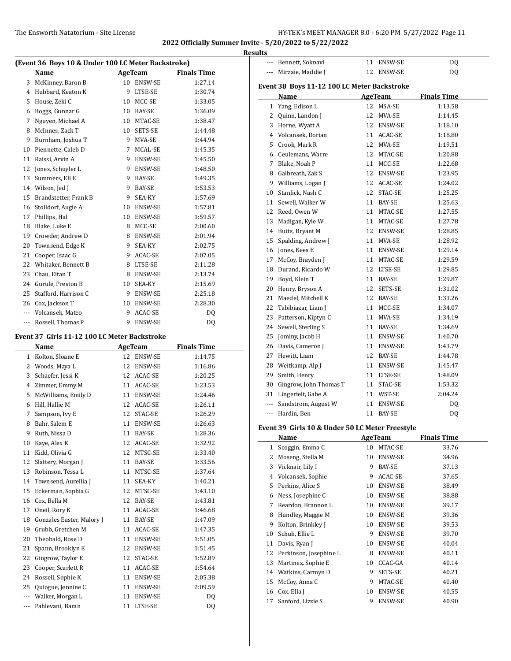--- Bennett, Soknavi 11 ENSW-SE DQ --- Mirzaie, Maddie J 12 ENSW-SE DQ

**Name Age Team Finals Time** 1 Yang, Edison L 12 MSA-SE 1:13.58 2 Quinn, Landon J 12 MVA-SE 1:14.45 3 Horne, Wyatt A 12 ENSW-SE 1:18.10 4 Volcansek, Dorian 11 ACAC-SE 1:18.80 5 Crook, Mark R 12 MVA-SE 1:19.51 6 Ceulemans, Warre 12 MTAC-SE 1:20.88 7 Blake, Noah P 11 MCC-SE 1:22.68 8 Galbreath, Zak S 12 ENSW-SE 1:23.95 9 Williams, Logan J 12 ACAC-SE 1:24.02 10 Stanlick, Nash C 12 STAC-SE 1:25.25 11 Sewell, Walker W 11 BAY-SE 1:25.63 12 Reed, Owen W 11 MTAC-SE 1:27.55 13 Madigan, Kyle W 11 MTAC-SE 1:27.78 14 Butts, Bryant M 12 ENSW-SE 1:28.85 15 Spalding, Andrew J 11 MVA-SE 1:28.92 16 Jones, Kees E 11 ENSW-SE 1:29.14 17 McCoy, Brayden J 11 MTAC-SE 1:29.59 18 Durand, Ricardo W 12 LTSE-SE 1:29.85 19 Boyd, Klein T 11 BAY-SE 1:29.87 20 Henry, Bryson A 12 SETS-SE 1:31.02 21 Maedel, Mitchell K 12 BAY-SE 1:33.26 22 Tabibiazar, Liam J 11 MCC-SE 1:34.07 23 Patterson, Kiptyn C 11 MVA-SE 1:34.19 24 Sewell, Sterling S 11 BAY-SE 1:34.69 25 Jominy, Jacob H 11 ENSW-SE 1:40.70 26 Davis, Cameron J 11 ENSW-SE 1:43.79 27 Hewitt, Liam 12 BAY-SE 1:44.78 28 Weitkamp, Alp J 11 ENSW-SE 1:45.47 29 Smith, Henry 11 LTSE-SE 1:48.09 30 Gingrow, John Thomas T 11 STAC-SE 1:53.32 31 Lingerfelt, Gabe A 11 WST-SE 2:04.24 --- Sandstrom, August W 11 ENSW-SE DQ --- Hardin, Ben 11 BAY-SE DQ

**Event 38 Boys 11-12 100 LC Meter Backstroke**

**2022 Officially Summer Invite - 5/20/2022 to 5/22/2022 Results**

| (Event 36 Boys 10 & Under 100 LC Meter Backstroke) |                                              |    |                |                    |  |  |
|----------------------------------------------------|----------------------------------------------|----|----------------|--------------------|--|--|
|                                                    | Name                                         |    | AgeTeam        | <b>Finals Time</b> |  |  |
| 3                                                  | McKinney, Baron B                            |    | 10 ENSW-SE     | 1:27.14            |  |  |
| 4                                                  | Hubbard, Keaton K                            | 9  | LTSE-SE        | 1:30.74            |  |  |
| 5                                                  | House, Zeki C                                |    | 10 MCC-SE      | 1:33.05            |  |  |
| 6                                                  | Boggs, Gunnar G                              |    | 10 BAY-SE      | 1:36.09            |  |  |
| 7                                                  | Nguyen, Michael A                            |    | 10 MTAC-SE     | 1:38.47            |  |  |
| 8                                                  | McInnes, Zack T                              |    | 10 SETS-SE     | 1:44.48            |  |  |
| 9                                                  | Burnham, Joshua T                            |    | 9 MVA-SE       | 1:44.94            |  |  |
| 10                                                 | Piennette, Caleb D                           | 7  | MCAL-SE        | 1:45.35            |  |  |
| 11                                                 | Raissi, Arvin A                              |    | 9 ENSW-SE      | 1:45.50            |  |  |
| 12                                                 | Jones, Schuyler L                            |    | 9 ENSW-SE      | 1:48.50            |  |  |
| 13                                                 | Summers, Eli E                               |    | 9 BAY-SE       | 1:49.35            |  |  |
| 14                                                 | Wilson, Jed J                                | 9  | BAY-SE         | 1:53.53            |  |  |
| 15                                                 | Brandstetter, Frank B                        | 9  | SEA-KY         | 1:57.69            |  |  |
| 16                                                 | Stolldorf, Augie A                           |    | 10 ENSW-SE     | 1:57.81            |  |  |
| 17                                                 | Phillips, Hal                                |    | 10 ENSW-SE     | 1:59.57            |  |  |
| 18                                                 | Blake, Luke E                                |    | 8 MCC-SE       | 2:00.60            |  |  |
| 19                                                 | Crowder, Andrew D                            | 8  | ENSW-SE        | 2:01.94            |  |  |
| 20                                                 | Townsend, Edge K                             | 9  | SEA-KY         | 2:02.75            |  |  |
| 21                                                 | Cooper, Isaac G                              | 9  | ACAC-SE        | 2:07.05            |  |  |
| 22                                                 | Whitaker, Bennett B                          | 8  | LTSE-SE        | 2:11.28            |  |  |
| 23                                                 | Chau, Eitan T                                |    | 8 ENSW-SE      | 2:13.74            |  |  |
| 24                                                 | Gurule, Preston B                            | 10 | SEA-KY         | 2:15.69            |  |  |
| 25                                                 | Stafford, Harrison C                         | 9  | ENSW-SE        | 2:25.18            |  |  |
| 26                                                 | Cox, Jackson T                               | 10 | ENSW-SE        | 2:28.30            |  |  |
| $\overline{a}$                                     | Volcansek, Mateo                             | 9  | ACAC-SE        | DQ                 |  |  |
| $\overline{a}$                                     | Rossell, Thomas P                            | 9  | <b>ENSW-SE</b> | DQ                 |  |  |
|                                                    | Event 37 Girls 11-12 100 LC Meter Backstroke |    |                |                    |  |  |
|                                                    | Name                                         |    | AgeTeam        | <b>Finals Time</b> |  |  |
| $\mathbf{1}$                                       | Kolton, Sloane E                             |    | 12 ENSW-SE     | 1:14.75            |  |  |
| 2                                                  | Woods, Maya L                                |    | 12 ENSW-SE     | 1:16.86            |  |  |
| 3                                                  | Schaefer, Jessi K                            |    | 12 ACAC-SE     | 1:20.25            |  |  |
| 4                                                  | Zimmer, Emmy M                               |    | 11 ACAC-SE     | 1:23.53            |  |  |
| 5                                                  | McWilliams, Emily D                          |    | 11 ENSW-SE     | 1:24.46            |  |  |
| 6                                                  | Hill, Hallie M                               | 12 | ACAC-SE        | 1:26.11            |  |  |
| 7                                                  | Sampson, Ivy E                               | 12 | STAC-SE        | 1:26.29            |  |  |

8 Bahr, Salem E 11 ENSW-SE 1:26.63 9 Ruth, Nissa D 11 BAY-SE 1:28.36 10 Kaye, Alex K 12 ACAC-SE 1:32.92 11 Kidd, Olivia G 12 MTSC-SE 1:33.40 12 Slattery, Morgan J 11 BAY-SE 1:33.56 13 Robinson, Tessa L 11 MTSC-SE 1:37.64 14 Townsend, Aurellia J 11 SEA-KY 1:40.21 15 Eckerman, Sophia G 12 MTSC-SE 1:43.10 16 Cox, Bella M 12 BAY-SE 1:43.81 17 Oneil, Rory K 11 ACAC-SE 1:46.68 18 Gonzales Easter, Malory J 11 BAY-SE 1:47.09 19 Grubb, Gretchen M 11 ACAC-SE 1:47.35 20 Theobald, Rose D 11 ENSW-SE 1:51.05 21 Spann, Brooklyn E 12 ENSW-SE 1:51.45 22 Gingrow, Taylor E 12 STAC-SE 1:52.89 23 Cooper, Scarlett R 11 ACAC-SE 1:54.64 24 Rossell, Sophie K 11 ENSW-SE 2:05.38 25 Quiogue, Jennine C 11 ENSW-SE 2:09.59 --- Walker, Morgan L 11 ENSW-SE DQ --- Pahlevani, Baran 11 LTSE-SE DQ

#### **Event 39 Girls 10 & Under 50 LC Meter Freestyle**

| Name |                        |    | AgeTeam        | <b>Finals Time</b> |  |  |
|------|------------------------|----|----------------|--------------------|--|--|
| 1    | Scoggin, Emma C        | 10 | MTAC-SE        | 33.76              |  |  |
| 2    | Moseng, Stella M       | 10 | ENSW-SE        | 34.96              |  |  |
| 3    | Vicknair, Lily I       | 9  | BAY-SE         | 37.13              |  |  |
| 4    | Volcansek, Sophie      | 9  | ACAC-SE        | 37.65              |  |  |
| 5    | Perkins, Alice S       | 10 | <b>ENSW-SE</b> | 38.49              |  |  |
| 6    | Ness, Josephine C      | 10 | <b>ENSW-SE</b> | 38.88              |  |  |
| 7    | Reardon, Brannon L     | 10 | ENSW-SE        | 39.17              |  |  |
| 8    | Hundley, Maggie M      | 10 | <b>ENSW-SE</b> | 39.36              |  |  |
| 9    | Kolton, Brinkley J     | 10 | <b>ENSW-SE</b> | 39.53              |  |  |
| 10   | Schuh, Ellie L         | 9  | <b>ENSW-SE</b> | 39.70              |  |  |
| 11   | Davis, Ryan J          | 10 | <b>ENSW-SE</b> | 40.04              |  |  |
| 12   | Perkinson, Josephine L | 8  | <b>ENSW-SE</b> | 40.11              |  |  |
| 13   | Martinez, Sophie E     | 10 | CCAC-GA        | 40.14              |  |  |
| 14   | Watkins, Carmyn D      | 9  | SETS-SE        | 40.21              |  |  |
| 15   | McCoy, Anna C          | 9  | MTAC-SE        | 40.40              |  |  |
| 16   | Cox, Ella J            | 10 | <b>ENSW-SE</b> | 40.55              |  |  |
| 17   | Sanford, Lizzie S      | 9  | <b>ENSW-SE</b> | 40.90              |  |  |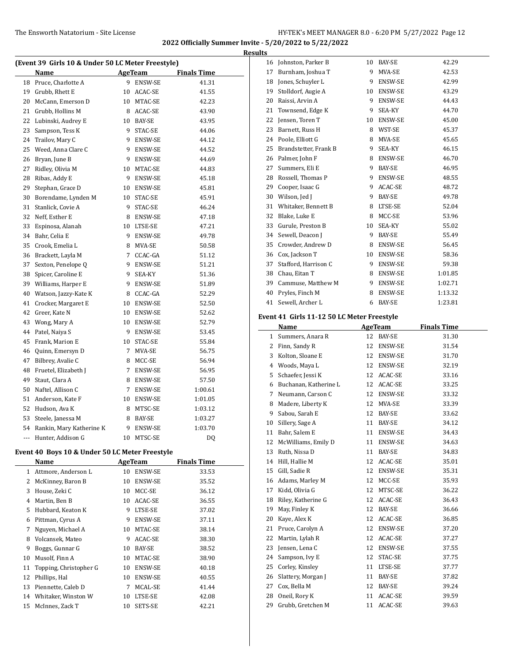## The Ensworth Natatorium - Site License **HY-TEK's MEET MANAGER 8.0 - 6:20 PM 5/27/2022** Page 12

**2022 Officially Summer Invite - 5/20/2022 to 5/22/2022 Results**

| (Event 39 Girls 10 & Under 50 LC Meter Freestyle) |                          |   |                |                    |  |
|---------------------------------------------------|--------------------------|---|----------------|--------------------|--|
|                                                   | Name                     |   | <b>AgeTeam</b> | <b>Finals Time</b> |  |
| 18                                                | Pruce, Charlotte A       |   | 9 ENSW-SE      | 41.31              |  |
| 19                                                | Grubb, Rhett E           |   | 10 ACAC-SE     | 41.55              |  |
| 20                                                | McCann, Emerson D        |   | 10 MTAC-SE     | 42.23              |  |
| 21                                                | Grubb, Hollins M         |   | 8 ACAC-SE      | 43.90              |  |
| 22                                                | Lubinski, Audrey E       |   | 10 BAY-SE      | 43.95              |  |
| 23                                                | Sampson, Tess K          | 9 | STAC-SE        | 44.06              |  |
| 24                                                | Trailov, Mary C          |   | 9 ENSW-SE      | 44.12              |  |
| 25                                                | Weed, Anna Clare C       |   | 9 ENSW-SE      | 44.52              |  |
| 26                                                | Bryan, June B            |   | 9 ENSW-SE      | 44.69              |  |
| 27                                                | Ridley, Olivia M         |   | 10 MTAC-SE     | 44.83              |  |
| 28                                                | Ribas, Addy E            |   | 9 ENSW-SE      | 45.18              |  |
| 29                                                | Stephan, Grace D         |   | 10 ENSW-SE     | 45.81              |  |
| 30                                                | Borendame, Lynden M      |   | 10 STAC-SE     | 45.91              |  |
| 31                                                | Stanlick, Covie A        |   | 9 STAC-SE      | 46.24              |  |
| 32                                                | Neff, Esther E           |   | 8 ENSW-SE      | 47.18              |  |
| 33                                                | Espinosa, Alanah         |   | 10 LTSE-SE     | 47.21              |  |
| 34                                                | Bahr, Celia E            |   | 9 ENSW-SE      | 49.78              |  |
| 35                                                | Crook, Emelia L          | 8 | MVA-SE         | 50.58              |  |
| 36                                                | Brackett, Layla M        |   | 7 CCAC-GA      | 51.12              |  |
| 37                                                | Sexton, Penelope Q       |   | 9 ENSW-SE      | 51.21              |  |
| 38                                                | Spicer, Caroline E       |   | 9 SEA-KY       | 51.36              |  |
| 39                                                | Williams, Harper E       | 9 | ENSW-SE        | 51.89              |  |
| 40                                                | Watson, Jazzy-Kate K     |   | 8 CCAC-GA      | 52.29              |  |
| 41                                                | Crocker, Margaret E      |   | 10 ENSW-SE     | 52.50              |  |
| 42                                                | Greer, Kate N            |   | 10 ENSW-SE     | 52.62              |  |
| 43                                                | Wong, Mary A             |   | 10 ENSW-SE     | 52.79              |  |
| 44                                                | Patel, Naiya S           |   | 9 ENSW-SE      | 53.45              |  |
| 45                                                | Frank, Marion E          |   | 10 STAC-SE     | 55.84              |  |
| 46                                                | Quinn, Emersyn D         | 7 | MVA-SE         | 56.75              |  |
| 47                                                | Bilbrey, Avalie C        | 8 | MCC-SE         | 56.94              |  |
| 48                                                | Fruetel, Elizabeth J     | 7 | ENSW-SE        | 56.95              |  |
| 49                                                | Staut, Clara A           |   | 8 ENSW-SE      | 57.50              |  |
| 50                                                | Naftel, Allison C        |   | 7 ENSW-SE      | 1:00.61            |  |
| 51                                                | Anderson, Kate F         |   | 10 ENSW-SE     | 1:01.05            |  |
| 52                                                | Hudson, Ava K            |   | 8 MTSC-SE      | 1:03.12            |  |
| 53                                                | Steele, Janessa M        | 8 | BAY-SE         | 1:03.27            |  |
| 54                                                | Rankin, Mary Katherine K | 9 | ENSW-SE        | 1:03.70            |  |
| $\frac{1}{2}$                                     | Hunter, Addison G        |   | 10 MTSC-SE     | DQ                 |  |
|                                                   |                          |   |                |                    |  |

# **Event 40 Boys 10 & Under 50 LC Meter Freestyle**

|    | Name                   |    | AgeTeam        | <b>Finals Time</b> |  |
|----|------------------------|----|----------------|--------------------|--|
| 1  | Attmore, Anderson L    | 10 | <b>ENSW-SE</b> | 33.53              |  |
| 2  | McKinney, Baron B      | 10 | ENSW-SE        | 35.52              |  |
| 3  | House, Zeki C          | 10 | MCC-SE         | 36.12              |  |
| 4  | Martin, Ben B          | 10 | ACAC-SE        | 36.55              |  |
| 5  | Hubbard, Keaton K      | 9  | LTSE-SE        | 37.02              |  |
| 6  | Pittman, Cyrus A       | 9  | <b>ENSW-SE</b> | 37.11              |  |
| 7  | Nguyen, Michael A      | 10 | MTAC-SE        | 38.14              |  |
| 8  | Volcansek, Mateo       | 9  | ACAC-SE        | 38.30              |  |
| 9  | Boggs, Gunnar G        | 10 | <b>BAY-SE</b>  | 38.52              |  |
| 10 | Musolf, Finn A         | 10 | MTAC-SE        | 38.90              |  |
| 11 | Topping, Christopher G | 10 | <b>ENSW-SE</b> | 40.18              |  |
| 12 | Phillips, Hal          | 10 | <b>ENSW-SE</b> | 40.55              |  |
| 13 | Piennette, Caleb D     | 7  | MCAL-SE        | 41.44              |  |
| 14 | Whitaker, Winston W    | 10 | LTSE-SE        | 42.08              |  |
| 15 | McInnes, Zack T        | 10 | SETS-SE        | 42.21              |  |

| 16 | Johnston, Parker B    | 10 | BAY-SE  | 42.29   |
|----|-----------------------|----|---------|---------|
| 17 | Burnham, Joshua T     | 9  | MVA-SE  | 42.53   |
| 18 | Jones, Schuyler L     | 9  | ENSW-SE | 42.99   |
| 19 | Stolldorf, Augie A    | 10 | ENSW-SE | 43.29   |
| 20 | Raissi, Arvin A       | 9  | ENSW-SE | 44.43   |
| 21 | Townsend, Edge K      | 9  | SEA-KY  | 44.70   |
| 22 | Jensen, Toren T       | 10 | ENSW-SE | 45.00   |
| 23 | Barnett, Russ H       | 8  | WST-SE  | 45.37   |
| 24 | Poole, Elliott G      | 8  | MVA-SE  | 45.65   |
| 25 | Brandstetter, Frank B | 9  | SEA-KY  | 46.15   |
| 26 | Palmer, John F        | 8  | ENSW-SE | 46.70   |
| 27 | Summers, Eli E        | 9  | BAY-SE  | 46.95   |
| 28 | Rossell, Thomas P     | 9  | ENSW-SE | 48.55   |
| 29 | Cooper, Isaac G       | 9  | ACAC-SE | 48.72   |
| 30 | Wilson, Jed J         | 9  | BAY-SE  | 49.78   |
| 31 | Whitaker, Bennett B   | 8  | LTSE-SE | 52.04   |
| 32 | Blake, Luke E         | 8  | MCC-SE  | 53.96   |
| 33 | Gurule, Preston B     | 10 | SEA-KY  | 55.02   |
| 34 | Sewell, Deacon J      | 9  | BAY-SE  | 55.49   |
| 35 | Crowder, Andrew D     | 8  | ENSW-SE | 56.45   |
| 36 | Cox, Jackson T        | 10 | ENSW-SE | 58.36   |
| 37 | Stafford, Harrison C  | 9  | ENSW-SE | 59.38   |
| 38 | Chau, Eitan T         | 8  | ENSW-SE | 1:01.85 |
| 39 | Cammuse, Matthew M    | 9  | ENSW-SE | 1:02.71 |
| 40 | Pryles, Finch M       | 8  | ENSW-SE | 1:13.32 |
| 41 | Sewell, Archer L      | 6  | BAY-SE  | 1:23.81 |
|    |                       |    |         |         |

# **Event 41 Girls 11-12 50 LC Meter Freestyle**

|    | Name                  |    | <b>AgeTeam</b> | <b>Finals Time</b> |
|----|-----------------------|----|----------------|--------------------|
| 1  | Summers, Anara R      | 12 | <b>BAY-SE</b>  | 31.30              |
| 2  | Finn, Sandy R         | 12 | ENSW-SE        | 31.54              |
| 3  | Kolton, Sloane E      | 12 | ENSW-SE        | 31.70              |
| 4  | Woods, Maya L         | 12 | <b>ENSW-SE</b> | 32.19              |
| 5  | Schaefer, Jessi K     | 12 | ACAC-SE        | 33.16              |
| 6  | Buchanan, Katherine L | 12 | ACAC-SE        | 33.25              |
| 7  | Neumann, Carson C     | 12 | <b>ENSW-SE</b> | 33.32              |
| 8  | Madere, Liberty K     | 12 | MVA-SE         | 33.39              |
| 9  | Sabou, Sarah E        | 12 | BAY-SE         | 33.62              |
| 10 | Sillery, Sage A       | 11 | <b>BAY-SE</b>  | 34.12              |
| 11 | Bahr, Salem E         | 11 | ENSW-SE        | 34.43              |
| 12 | McWilliams, Emily D   | 11 | ENSW-SE        | 34.63              |
| 13 | Ruth, Nissa D         | 11 | <b>BAY-SE</b>  | 34.83              |
| 14 | Hill, Hallie M        | 12 | ACAC-SE        | 35.01              |
| 15 | Gill, Sadie R         | 12 | <b>ENSW-SE</b> | 35.31              |
| 16 | Adams, Marley M       | 12 | MCC-SE         | 35.93              |
| 17 | Kidd, Olivia G        | 12 | MTSC-SE        | 36.22              |
| 18 | Riley, Katherine G    | 12 | ACAC-SE        | 36.43              |
| 19 | May, Finley K         | 12 | BAY-SE         | 36.66              |
| 20 | Kaye, Alex K          | 12 | ACAC-SE        | 36.85              |
| 21 | Pruce, Carolyn A      | 12 | ENSW-SE        | 37.20              |
| 22 | Martin, Lylah R       | 12 | ACAC-SE        | 37.27              |
| 23 | Jensen, Lena C        | 12 | ENSW-SE        | 37.55              |
| 24 | Sampson, Ivy E        | 12 | STAC-SE        | 37.75              |
| 25 | Corley, Kinsley       | 11 | LTSE-SE        | 37.77              |
| 26 | Slattery, Morgan J    | 11 | BAY-SE         | 37.82              |
| 27 | Cox, Bella M          | 12 | <b>BAY-SE</b>  | 39.24              |
| 28 | Oneil, Rory K         | 11 | ACAC-SE        | 39.59              |
| 29 | Grubb, Gretchen M     | 11 | <b>ACAC-SE</b> | 39.63              |
|    |                       |    |                |                    |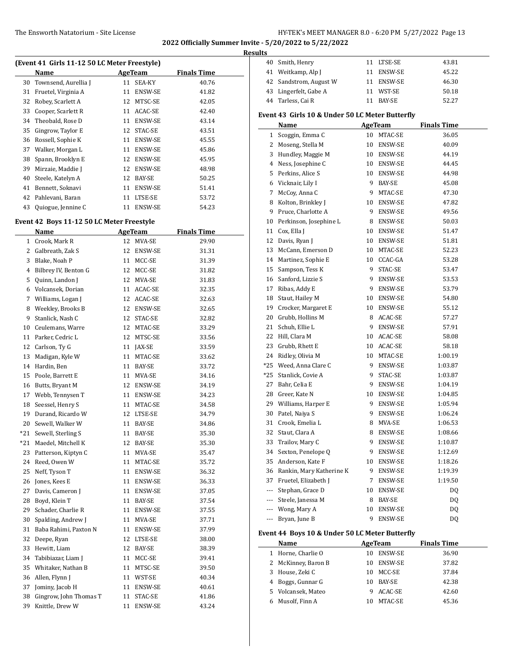### The Ensworth Natatorium - Site License **HY-TEK's MEET MANAGER 8.0 - 6:20 PM 5/27/2022** Page 13

**2022 Officially Summer Invite - 5/20/2022 to 5/22/2022**

| (Event 41 Girls 11-12 50 LC Meter Freestyle) |                      |    |                |                    |  |  |  |
|----------------------------------------------|----------------------|----|----------------|--------------------|--|--|--|
|                                              | Name                 |    | AgeTeam        | <b>Finals Time</b> |  |  |  |
| 30                                           | Townsend, Aurellia J | 11 | <b>SEA-KY</b>  | 40.76              |  |  |  |
| 31                                           | Fruetel, Virginia A  | 11 | <b>ENSW-SE</b> | 41.82              |  |  |  |
| 32                                           | Robey, Scarlett A    | 12 | MTSC-SE        | 42.05              |  |  |  |
| 33                                           | Cooper, Scarlett R   | 11 | ACAC-SE        | 42.40              |  |  |  |
| 34                                           | Theobald, Rose D     | 11 | <b>ENSW-SE</b> | 43.14              |  |  |  |
| 35                                           | Gingrow, Taylor E    | 12 | STAC-SE        | 43.51              |  |  |  |
| 36                                           | Rossell, Sophie K    | 11 | <b>ENSW-SE</b> | 45.55              |  |  |  |
| 37                                           | Walker, Morgan L     | 11 | <b>ENSW-SE</b> | 45.86              |  |  |  |
| 38                                           | Spann, Brooklyn E    | 12 | <b>ENSW-SE</b> | 45.95              |  |  |  |
| 39                                           | Mirzaie, Maddie J    | 12 | <b>ENSW-SE</b> | 48.98              |  |  |  |
| 40                                           | Steele, Katelyn A    | 12 | BAY-SE         | 50.25              |  |  |  |
| 41                                           | Bennett, Soknavi     | 11 | <b>ENSW-SE</b> | 51.41              |  |  |  |
| 42                                           | Pahlevani, Baran     | 11 | LTSE-SE        | 53.72              |  |  |  |
| 43                                           | Quiogue, Jennine C   | 11 | <b>ENSW-SE</b> | 54.23              |  |  |  |
|                                              |                      |    |                |                    |  |  |  |

#### **Event 42 Boys 11-12 50 LC Meter Freestyle**

|     | Name                      |    | <b>AgeTeam</b> | <b>Finals Time</b> |
|-----|---------------------------|----|----------------|--------------------|
|     | 1 Crook, Mark R           | 12 | MVA-SE         | 29.90              |
| 2   | Galbreath, Zak S          | 12 | <b>ENSW-SE</b> | 31.31              |
| 3   | Blake, Noah P             | 11 | MCC-SE         | 31.39              |
| 4   | Bilbrey IV, Benton G      | 12 | MCC-SE         | 31.82              |
| 5   | Quinn, Landon J           | 12 | MVA-SE         | 31.83              |
| 6   | Volcansek, Dorian         | 11 | ACAC-SE        | 32.35              |
| 7   | Williams, Logan J         | 12 | ACAC-SE        | 32.63              |
| 8   | Weekley, Brooks B         | 12 | ENSW-SE        | 32.65              |
| 9   | Stanlick, Nash C          | 12 | STAC-SE        | 32.82              |
|     | 10 Ceulemans, Warre       | 12 | MTAC-SE        | 33.29              |
|     | 11 Parker, Cedric L       | 12 | MTSC-SE        | 33.56              |
|     | 12 Carlson, Ty G          | 11 | JAX-SE         | 33.59              |
| 13  | Madigan, Kyle W           | 11 | MTAC-SE        | 33.62              |
|     | 14 Hardin, Ben            | 11 | BAY-SE         | 33.72              |
|     | 15 Poole, Barrett E       | 11 | MVA-SE         | 34.16              |
| 16  | Butts, Bryant M           | 12 | ENSW-SE        | 34.19              |
|     | 17 Webb, Tennysen T       | 11 | ENSW-SE        | 34.23              |
|     | 18 Seessel, Henry S       | 11 | MTAC-SE        | 34.58              |
|     | 19 Durand, Ricardo W      | 12 | LTSE-SE        | 34.79              |
| 20  | Sewell, Walker W          | 11 | BAY-SE         | 34.86              |
| *21 | Sewell, Sterling S        | 11 | BAY-SE         | 35.30              |
| *21 | Maedel, Mitchell K        | 12 | BAY-SE         | 35.30              |
| 23  | Patterson, Kiptyn C       | 11 | MVA-SE         | 35.47              |
| 24  | Reed, Owen W              | 11 | MTAC-SE        | 35.72              |
| 25  | Neff, Tyson T             | 11 | ENSW-SE        | 36.32              |
| 26  | Jones, Kees E             | 11 | ENSW-SE        | 36.33              |
| 27  | Davis, Cameron J          | 11 | ENSW-SE        | 37.05              |
|     | 28 Boyd, Klein T          | 11 | BAY-SE         | 37.54              |
| 29  | Schader, Charlie R        |    | 11 ENSW-SE     | 37.55              |
| 30  | Spalding, Andrew J        | 11 | MVA-SE         | 37.71              |
| 31  | Baba Rahimi, Paxton N     | 11 | ENSW-SE        | 37.99              |
| 32  | Deepe, Ryan               | 12 | LTSE-SE        | 38.00              |
| 33  | Hewitt, Liam              | 12 | BAY-SE         | 38.39              |
| 34  | Tabibiazar, Liam J        | 11 | MCC-SE         | 39.41              |
|     | 35 Whitaker, Nathan B     | 11 | MTSC-SE        | 39.50              |
| 36  | Allen, Flynn J            |    | 11 WST-SE      | 40.34              |
| 37  | Jominy, Jacob H           |    | 11 ENSW-SE     | 40.61              |
|     | 38 Gingrow, John Thomas T | 11 | STAC-SE        | 41.86              |
| 39  | Knittle, Drew W           | 11 | <b>ENSW-SE</b> | 43.24              |

| <b>Results</b> |                        |    |            |       |  |
|----------------|------------------------|----|------------|-------|--|
|                | 40 Smith, Henry        |    | 11 LTSE-SE | 43.81 |  |
|                | 41 Weitkamp, Alp J     | 11 | ENSW-SE    | 45.22 |  |
|                | 42 Sandstrom, August W | 11 | ENSW-SE    | 46.30 |  |
|                | 43 Lingerfelt, Gabe A  | 11 | WST-SE     | 50.18 |  |
|                | 44 Tarless, Cai R      | 11 | BAY-SE     | 52.27 |  |
|                |                        |    |            |       |  |

## **Event 43 Girls 10 & Under 50 LC Meter Butterfly**

|              | <u>Name</u>              | <b>AgeTeam</b> |                | <b>Finals Time</b> |
|--------------|--------------------------|----------------|----------------|--------------------|
| $\mathbf{1}$ | Scoggin, Emma C          | 10             | MTAC-SE        | 36.05              |
| 2            | Moseng, Stella M         |                | 10 ENSW-SE     | 40.09              |
| 3            | Hundley, Maggie M        |                | 10 ENSW-SE     | 44.19              |
| 4            | Ness, Josephine C        |                | 10 ENSW-SE     | 44.45              |
| 5            | Perkins, Alice S         |                | 10 ENSW-SE     | 44.98              |
| 6            | Vicknair, Lily I         |                | 9 BAY-SE       | 45.08              |
| 7            | McCoy, Anna C            |                | 9 MTAC-SE      | 47.30              |
| 8            | Kolton, Brinkley J       |                | 10 ENSW-SE     | 47.82              |
| 9            | Pruce, Charlotte A       |                | 9 ENSW-SE      | 49.56              |
| 10           | Perkinson, Josephine L   |                | 8 ENSW-SE      | 50.03              |
| 11           | Cox, Ella J              |                | 10 ENSW-SE     | 51.47              |
| 12           | Davis, Ryan J            |                | 10 ENSW-SE     | 51.81              |
| 13           | McCann, Emerson D        |                | 10 MTAC-SE     | 52.23              |
| 14           | Martinez, Sophie E       |                | 10 CCAC-GA     | 53.28              |
| 15           | Sampson, Tess K          | 9              | STAC-SE        | 53.47              |
| 16           | Sanford, Lizzie S        | 9              | ENSW-SE        | 53.53              |
| 17           | Ribas, Addy E            |                | 9 ENSW-SE      | 53.79              |
| 18           | Staut, Hailey M          |                | 10 ENSW-SE     | 54.80              |
| 19           | Crocker, Margaret E      |                | 10 ENSW-SE     | 55.12              |
| 20           | Grubb, Hollins M         |                | 8 ACAC-SE      | 57.27              |
| 21           | Schuh, Ellie L           |                | 9 ENSW-SE      | 57.91              |
| 22           | Hill, Clara M            |                | 10 ACAC-SE     | 58.08              |
| 23           | Grubb, Rhett E           |                | 10 ACAC-SE     | 58.18              |
| 24           | Ridley, Olivia M         |                | 10 MTAC-SE     | 1:00.19            |
| $*25$        | Weed, Anna Clare C       |                | 9 ENSW-SE      | 1:03.87            |
| $*25$        | Stanlick, Covie A        |                | 9 STAC-SE      | 1:03.87            |
| 27           | Bahr, Celia E            | 9              | ENSW-SE        | 1:04.19            |
| 28           | Greer, Kate N            |                | 10 ENSW-SE     | 1:04.85            |
| 29           | Williams, Harper E       |                | 9 ENSW-SE      | 1:05.94            |
| 30           | Patel, Naiya S           |                | 9 ENSW-SE      | 1:06.24            |
| 31           | Crook, Emelia L          | 8              | MVA-SE         | 1:06.53            |
| 32           | Staut, Clara A           | 8              | ENSW-SE        | 1:08.66            |
| 33           | Trailov, Mary C          |                | 9 ENSW-SE      | 1:10.87            |
| 34           | Sexton, Penelope Q       |                | 9 ENSW-SE      | 1:12.69            |
| 35           | Anderson, Kate F         |                | 10 ENSW-SE     | 1:18.26            |
| 36           | Rankin, Mary Katherine K |                | 9 ENSW-SE      | 1:19.39            |
| 37           | Fruetel, Elizabeth J     |                | 7 ENSW-SE      | 1:19.50            |
| ---          | Stephan, Grace D         |                | 10 ENSW-SE     | DQ                 |
| $---$        | Steele, Janessa M        |                | 8 BAY-SE       | DQ                 |
|              | --- Wong, Mary A         | 10             | ENSW-SE        | DQ                 |
|              | --- Bryan, June B        | 9              | <b>ENSW-SE</b> | DQ                 |

### **Event 44 Boys 10 & Under 50 LC Meter Butterfly**

 $\frac{1}{2}$ 

|   | Name                | AgeTeam |                | <b>Finals Time</b> |
|---|---------------------|---------|----------------|--------------------|
|   | Horne, Charlie O    | 10      | <b>ENSW-SE</b> | 36.90              |
|   | 2 McKinney, Baron B | 10      | <b>ENSW-SE</b> | 37.82              |
| 3 | House, Zeki C       | 10      | MCC-SE         | 37.84              |
| 4 | Boggs, Gunnar G     | 10      | <b>BAY-SE</b>  | 42.38              |
|   | 5 Volcansek, Mateo  | 9       | ACAC-SE        | 42.60              |
|   | Musolf, Finn A      | 10      | MTAC-SE        | 45.36              |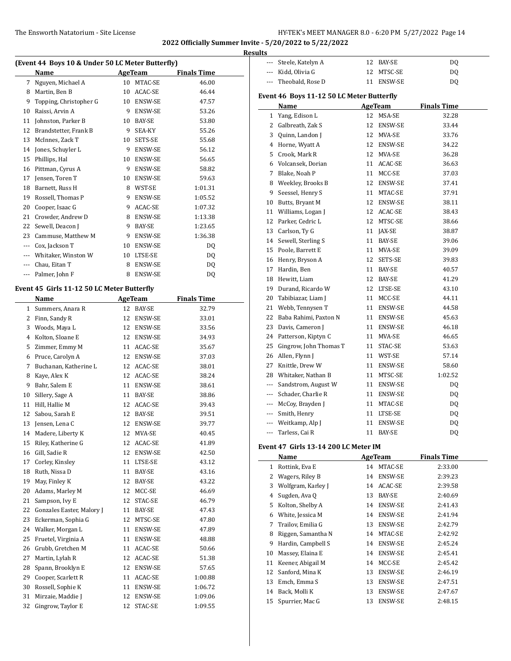| (Event 44 Boys 10 & Under 50 LC Meter Butterfly) |                                            |          |                    |                    |  |
|--------------------------------------------------|--------------------------------------------|----------|--------------------|--------------------|--|
|                                                  | Name                                       |          | <b>AgeTeam</b>     | <b>Finals Time</b> |  |
| 7                                                | Nguyen, Michael A                          |          | 10 MTAC-SE         | 46.00              |  |
|                                                  | 8 Martin, Ben B                            |          | 10 ACAC-SE         | 46.44              |  |
|                                                  | 9 Topping, Christopher G                   |          | 10 ENSW-SE         | 47.57              |  |
|                                                  | 10 Raissi, Arvin A                         |          | 9 ENSW-SE          | 53.26              |  |
|                                                  | 11 Johnston, Parker B                      |          | 10 BAY-SE          | 53.80              |  |
|                                                  | 12 Brandstetter, Frank B                   | 9        | SEA-KY             | 55.26              |  |
|                                                  | 13 McInnes, Zack T                         | 10       | SETS-SE            | 55.68              |  |
|                                                  | 14 Jones, Schuyler L                       |          | 9 ENSW-SE          | 56.12              |  |
| 15                                               | Phillips, Hal                              |          | 10 ENSW-SE         | 56.65              |  |
|                                                  | 16 Pittman, Cyrus A                        |          | 9 ENSW-SE          | 58.82              |  |
| 17                                               | Jensen, Toren T                            |          | 10 ENSW-SE         | 59.63              |  |
|                                                  | 18 Barnett, Russ H                         |          | 8 WST-SE           | 1:01.31            |  |
|                                                  | 19 Rossell, Thomas P                       |          | 9 ENSW-SE          | 1:05.52            |  |
|                                                  | 20 Cooper, Isaac G                         |          | 9 ACAC-SE          | 1:07.32            |  |
| 21                                               | Crowder, Andrew D                          |          | 8 ENSW-SE          | 1:13.38            |  |
| 22                                               | Sewell, Deacon J                           |          | 9 BAY-SE           | 1:23.65            |  |
|                                                  | 23 Cammuse, Matthew M                      |          | 9 ENSW-SE          | 1:36.38            |  |
|                                                  | --- Cox, Jackson T                         |          | 10 ENSW-SE         | DQ                 |  |
|                                                  | --- Whitaker, Winston W                    |          | 10 LTSE-SE         | DQ                 |  |
|                                                  | --- Chau. Eitan T                          | 8        | ENSW-SE            | DQ                 |  |
|                                                  | --- Palmer, John F                         | 8        | ENSW-SE            | DQ                 |  |
|                                                  | Event 45 Girls 11-12 50 LC Meter Butterfly |          |                    |                    |  |
|                                                  | Name                                       |          | <b>AgeTeam</b>     | <b>Finals Time</b> |  |
|                                                  | 1 Summers, Anara R                         |          | 12 BAY-SE          | 32.79              |  |
|                                                  | 2 Finn, Sandy R                            | 12       | ENSW-SE            | 33.01              |  |
|                                                  | 3 Woods, Maya L                            |          | 12 ENSW-SE         | 33.56              |  |
|                                                  | 4 Kolton, Sloane E                         |          | 12 ENSW-SE         | 34.93              |  |
|                                                  | 5 Zimmer, Emmy M                           |          | 11 ACAC-SE         | 35.67              |  |
|                                                  | 6 Pruce, Carolyn A                         | 12       | ENSW-SE            | 37.03              |  |
| 7                                                | Buchanan, Katherine L                      |          | 12 ACAC-SE         | 38.01              |  |
| 8                                                | Kaye, Alex K                               |          | 12 ACAC-SE         | 38.24              |  |
|                                                  | 9 Bahr, Salem E                            |          | 11 ENSW-SE         | 38.61              |  |
| 10                                               | Sillery, Sage A                            |          | 11 BAY-SE          | 38.86              |  |
| 11                                               | Hill, Hallie M                             |          | 12 ACAC-SE         | 39.43              |  |
| 12                                               | Sabou, Sarah E                             | 12       | BAY-SE             | 39.51              |  |
|                                                  | 13 Jensen, Lena C                          |          | 12 ENSW-SE         | 39.77              |  |
| 14                                               | Madere, Liberty K                          | 12       | MVA-SE             | 40.45              |  |
| 15                                               | Riley, Katherine G                         | 12       | ACAC-SE            |                    |  |
| 16                                               | Gill, Sadie R                              | 12       |                    | 41.89<br>42.50     |  |
| 17                                               | Corley, Kinsley                            |          | ENSW-SE<br>LTSE-SE | 43.12              |  |
|                                                  | Ruth, Nissa D                              | 11       |                    |                    |  |
| 18<br>19                                         | May, Finley K                              | 11<br>12 | BAY-SE             | 43.16              |  |
|                                                  | Adams, Marley M                            |          | BAY-SE             | 43.22              |  |
| 20                                               |                                            | 12       | MCC-SE             | 46.69              |  |
| 21                                               | Sampson, Ivy E                             | 12       | STAC-SE            | 46.79              |  |
| 22                                               | Gonzales Easter, Malory J                  | 11       | BAY-SE             | 47.43              |  |
| 23                                               | Eckerman, Sophia G                         | 12       | MTSC-SE            | 47.80              |  |
| 24                                               | Walker, Morgan L                           | 11       | ENSW-SE            | 47.89              |  |
| 25                                               | Fruetel, Virginia A                        | 11       | ENSW-SE            | 48.88              |  |
| 26                                               | Grubb, Gretchen M                          | 11       | ACAC-SE            | 50.66              |  |
| 27                                               | Martin, Lylah R                            | 12       | ACAC-SE            | 51.38              |  |
| 28                                               | Spann, Brooklyn E                          | 12       | ENSW-SE            | 57.65              |  |
| 29                                               | Cooper, Scarlett R                         | 11       | ACAC-SE            | 1:00.88            |  |
| 30                                               | Rossell, Sophie K                          | 11       | ENSW-SE            | 1:06.72            |  |
| 31                                               | Mirzaie, Maddie J                          | 12       | ENSW-SE            | 1:09.06            |  |
| 32                                               | Gingrow, Taylor E                          | 12       | STAC-SE            | 1:09.55            |  |

| <b>Results</b> |                                           |    |                         |                        |
|----------------|-------------------------------------------|----|-------------------------|------------------------|
| ---            | Steele, Katelyn A                         |    | 12 BAY-SE               | DQ                     |
| ---            | Kidd, Olivia G                            | 12 | MTSC-SE                 | DQ                     |
| ---            | Theobald, Rose D                          |    | 11 ENSW-SE              | DQ                     |
|                | Event 46 Boys 11-12 50 LC Meter Butterfly |    |                         |                        |
|                | Name                                      |    | <b>AgeTeam</b>          | <b>Finals Time</b>     |
| $\mathbf{1}$   | Yang, Edison L                            | 12 | MSA-SE                  | 32.28                  |
|                | 2 Galbreath, Zak S                        | 12 | ENSW-SE                 | 33.44                  |
|                | 3 Quinn, Landon J                         |    | 12 MVA-SE               | 33.76                  |
|                | 4 Horne, Wyatt A                          |    | 12 ENSW-SE              | 34.22                  |
|                | 5 Crook, Mark R                           |    | 12 MVA-SE               | 36.28                  |
|                | 6 Volcansek, Dorian                       |    | 11 ACAC-SE              | 36.63                  |
|                | 7 Blake, Noah P                           |    | 11 MCC-SE               | 37.03                  |
|                | 8 Weekley, Brooks B                       |    | 12 ENSW-SE              | 37.41                  |
| 9              | Seessel, Henry S                          |    | 11 MTAC-SE              | 37.91                  |
|                | 10 Butts, Bryant M                        |    | 12 ENSW-SE              | 38.11                  |
| 11             | Williams, Logan J                         |    | 12 ACAC-SE              | 38.43                  |
|                | 12 Parker, Cedric L                       |    | 12 MTSC-SE              | 38.66                  |
|                | 13 Carlson, Ty G                          |    | 11 JAX-SE               | 38.87                  |
|                | 14 Sewell, Sterling S                     |    | 11 BAY-SE               | 39.06                  |
|                | 15 Poole, Barrett E                       |    | 11 MVA-SE               | 39.09                  |
|                | 16 Henry, Bryson A                        |    | 12 SETS-SE              | 39.83                  |
|                | 17 Hardin, Ben                            |    | 11 BAY-SE               |                        |
|                |                                           |    |                         | 40.57                  |
|                | 18 Hewitt, Liam<br>19 Durand, Ricardo W   |    | 12 BAY-SE<br>12 LTSE-SE | 41.29<br>43.10         |
|                |                                           |    |                         |                        |
| 20             | Tabibiazar, Liam J                        |    | 11 MCC-SE               | 44.11                  |
|                | 21 Webb, Tennysen T                       |    | 11 ENSW-SE              | 44.58                  |
|                | 22 Baba Rahimi, Paxton N                  |    | 11 ENSW-SE              | 45.63                  |
| 23             | Davis, Cameron J                          |    | 11 ENSW-SE              | 46.18                  |
|                | 24 Patterson, Kiptyn C                    |    | 11 MVA-SE               | 46.65                  |
| 25             | Gingrow, John Thomas T                    |    | 11 STAC-SE              | 53.63                  |
| 26             | Allen, Flynn J                            |    | 11 WST-SE               | 57.14                  |
| 27             | Knittle, Drew W                           |    | 11 ENSW-SE              | 58.60                  |
|                | 28 Whitaker, Nathan B                     |    | 11 MTSC-SE              | 1:02.52                |
|                | --- Sandstrom, August W                   |    | 11 ENSW-SE              | DQ                     |
|                | --- Schader, Charlie R                    |    | 11 ENSW-SE              | <b>DQ</b>              |
|                | --- McCoy, Brayden J                      |    | 11 MTAC-SE              | DQ                     |
|                | Smith, Henry                              |    | 11 LTSE-SE              | DQ                     |
|                | Weitkamp, Alp J                           |    | 11 ENSW-SE              | $\mathbf{D}\mathbf{Q}$ |
|                | --- Tarless, Cai R                        |    | 11 BAY-SE               | DQ                     |
|                | Event 47 Girls 13-14 200 LC Meter IM      |    |                         |                        |
|                | Name                                      |    | <b>AgeTeam</b>          | <b>Finals Time</b>     |
|                | 1 Rottink, Eva E                          |    | 14 MTAC-SE              | 2:33.00                |
|                | 2 Wagers, Riley B                         | 14 | <b>ENSW-SE</b>          | 2:39.23                |
|                | 3 Wolfgram, Karley J                      |    | 14 ACAC-SE              | 2:39.58                |
|                | 4 Sugden, Ava Q                           |    | 13 BAY-SE               | 2:40.69                |
|                | 5 Kolton, Shelby A                        |    | 14 ENSW-SE              | 2:41.43                |
|                | 6 White, Jessica M                        |    | 14 ENSW-SE              | 2:41.94                |
| 7              | Trailov, Emilia G                         |    | 13 ENSW-SE              | 2:42.79                |
|                |                                           |    |                         |                        |

8 Riggen, Samantha N 14 MTAC-SE 2:42.92 9 Hardin, Campbell S 14 ENSW-SE 2:45.24 10 Massey, Elaina E 14 ENSW-SE 2:45.41 11 Keener, Abigail M 14 MCC-SE 2:45.42 12 Sanford, Mina K 13 ENSW-SE 2:46.19 Emch, Emma S 13 ENSW-SE 2:47.51 Back, Molli K 13 ENSW-SE 2:47.67 Spurrier, Mac G 13 ENSW-SE 2:48.15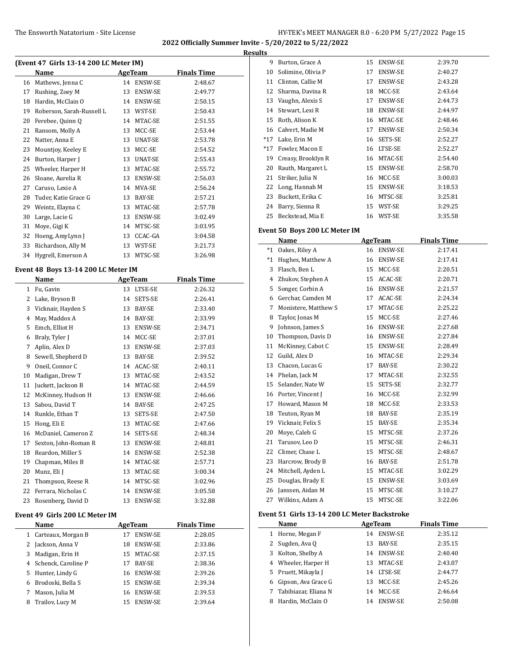$\overline{\phantom{0}}$ 

**2022 Officially Summer Invite - 5/20/2022 to 5/22/2022**

| (Event 47 Girls 13-14 200 LC Meter IM) |                           |    |               |                    |  |  |
|----------------------------------------|---------------------------|----|---------------|--------------------|--|--|
|                                        | Name                      |    | AgeTeam       | <b>Finals Time</b> |  |  |
| 16                                     | Mathews, Jenna C          | 14 | ENSW-SE       | 2:48.67            |  |  |
| 17                                     | Rushing, Zoey M           | 13 | ENSW-SE       | 2:49.77            |  |  |
| 18                                     | Hardin, McClain O         | 14 | ENSW-SE       | 2:50.15            |  |  |
| 19                                     | Roberson, Sarah-Russell L | 13 | WST-SE        | 2:50.43            |  |  |
| 20                                     | Ferebee, Quinn Q          | 14 | MTAC-SE       | 2:51.55            |  |  |
| 21                                     | Ransom, Molly A           | 13 | MCC-SE        | 2:53.44            |  |  |
| 22                                     | Natter, Anna E            | 13 | UNAT-SE       | 2:53.78            |  |  |
| 23                                     | Mountjoy, Keeley E        | 13 | MCC-SE        | 2:54.52            |  |  |
| 24                                     | Burton, Harper J          | 13 | UNAT-SE       | 2:55.43            |  |  |
| 25                                     | Wheeler, Harper H         | 13 | MTAC-SE       | 2:55.72            |  |  |
| 26                                     | Sloane, Aurelia R         | 13 | ENSW-SE       | 2:56.03            |  |  |
| 27                                     | Caruso, Lexie A           | 14 | MVA-SE        | 2:56.24            |  |  |
| 28                                     | Tuder, Katie Grace G      | 13 | <b>BAY-SE</b> | 2:57.21            |  |  |
| 29                                     | Weintz, Elayna C          | 13 | MTAC-SE       | 2:57.78            |  |  |
| 30                                     | Large, Lacie G            | 13 | ENSW-SE       | 3:02.49            |  |  |
| 31                                     | Moye, Gigi K              | 14 | MTSC-SE       | 3:03.95            |  |  |
| 32                                     | Hoeng, AmyLynn J          | 13 | CCAC-GA       | 3:04.58            |  |  |
| 33                                     | Richardson, Ally M        | 13 | WST-SE        | 3:21.73            |  |  |
| 34                                     | Hygrell, Emerson A        | 13 | MTSC-SE       | 3:26.98            |  |  |

### **Event 48 Boys 13-14 200 LC Meter IM**

|    | Name                 |    | <b>AgeTeam</b> | <b>Finals Time</b> |  |
|----|----------------------|----|----------------|--------------------|--|
| 1  | Fu, Gavin            | 13 | LTSE-SE        | 2:26.32            |  |
| 2  | Lake, Bryson B       | 14 | SETS-SE        | 2:26.41            |  |
| 3  | Vicknair, Hayden S   | 13 | <b>BAY-SE</b>  | 2:33.40            |  |
| 4  | May, Maddox A        | 14 | <b>BAY-SE</b>  | 2:33.99            |  |
| 5  | Emch, Elliot H       | 13 | <b>ENSW-SE</b> | 2:34.71            |  |
| 6  | Braly, Tyler J       | 14 | MCC-SE         | 2:37.01            |  |
| 7  | Aplin, Alex D        | 13 | ENSW-SE        | 2:37.03            |  |
| 8  | Sewell, Shepherd D   | 13 | <b>BAY-SE</b>  | 2:39.52            |  |
| 9  | Oneil, Connor C      | 14 | ACAC-SE        | 2:40.11            |  |
| 10 | Madigan, Drew T      | 13 | MTAC-SE        | 2:43.52            |  |
| 11 | Juckett, Jackson B   | 14 | MTAC-SE        | 2:44.59            |  |
| 12 | McKinney, Hudson H   | 13 | ENSW-SE        | 2:46.66            |  |
| 13 | Sabou, David T       | 14 | <b>BAY-SE</b>  | 2:47.25            |  |
| 14 | Runkle, Ethan T      | 13 | SETS-SE        | 2:47.50            |  |
| 15 | Hong, Eli E          | 13 | MTAC-SE        | 2:47.66            |  |
| 16 | McDaniel, Cameron Z  | 14 | SETS-SE        | 2:48.34            |  |
| 17 | Sexton, John-Roman R | 13 | ENSW-SE        | 2:48.81            |  |
| 18 | Reardon, Miller S    | 14 | ENSW-SE        | 2:52.38            |  |
| 19 | Chapman, Miles B     | 14 | MTAC-SE        | 2:57.71            |  |
| 20 | Munz, Eli J          | 13 | MTAC-SE        | 3:00.34            |  |
| 21 | Thompson, Reese R    | 14 | MTSC-SE        | 3:02.96            |  |
| 22 | Ferrara, Nicholas C  | 14 | <b>ENSW-SE</b> | 3:05.58            |  |
| 23 | Rosenberg, David D   | 13 | <b>ENSW-SE</b> | 3:32.88            |  |

#### **Event 49 Girls 200 LC Meter IM**

|   | Name                  | AgeTeam |                | <b>Finals Time</b> |
|---|-----------------------|---------|----------------|--------------------|
| 1 | Carteaux, Morgan B    | 17      | <b>ENSW-SE</b> | 2:28.05            |
|   | 2 Jackson, Anna V     | 18      | <b>ENSW-SE</b> | 2:33.86            |
| 3 | Madigan, Erin H       | 15      | MTAC-SE        | 2:37.15            |
|   | 4 Schenck, Caroline P | 17      | BAY-SE         | 2:38.36            |
|   | 5 Hunter, Lindy G     | 16      | <b>ENSW-SE</b> | 2:39.26            |
| 6 | Brodoski, Bella S     | 15      | <b>ENSW-SE</b> | 2:39.34            |
|   | Mason, Julia M        | 16      | <b>ENSW-SE</b> | 2:39.53            |
| 8 | Trailov, Lucy M       | 15      | <b>ENSW-SE</b> | 2:39.64            |

| <b>Results</b> |                               |    |                |                    |
|----------------|-------------------------------|----|----------------|--------------------|
| 9              | Burton, Grace A               | 15 | <b>ENSW-SE</b> | 2:39.70            |
| 10             | Solimine, Olivia P            | 17 | <b>ENSW-SE</b> | 2:40.27            |
| 11             | Clinton, Callie M             | 17 | ENSW-SE        | 2:43.28            |
| 12             | Sharma, Davina R              | 18 | MCC-SE         | 2:43.64            |
| 13             | Vaughn, Alexis S              | 17 | ENSW-SE        | 2:44.73            |
| 14             | Stewart, Lexi R               | 18 | ENSW-SE        | 2:44.97            |
| 15             | Roth, Alison K                | 16 | MTAC-SE        | 2:48.46            |
| 16             | Calvert, Madie M              | 17 | ENSW-SE        | 2:50.34            |
| $*17$          | Lake, Erin M                  | 16 | SETS-SE        | 2:52.27            |
| $*17$          | Fowler, Macon E               | 16 | LTSE-SE        | 2:52.27            |
| 19             | Creasy, Brooklyn R            | 16 | MTAC-SE        | 2:54.40            |
| 20             | Rauth, Margaret L             | 15 | ENSW-SE        | 2:58.70            |
| 21             | Striker, Julia N              | 16 | MCC-SE         | 3:00.03            |
| 22             | Long, Hannah M                | 15 | ENSW-SE        | 3:18.53            |
| 23             | Buckett, Erika C              | 16 | MTSC-SE        | 3:25.81            |
| 24             | Barry, Sienna R               | 15 | WST-SE         | 3:29.25            |
| 25             | Beckstead, Mia E              | 16 | WST-SE         | 3:35.58            |
|                | Event 50 Boys 200 LC Meter IM |    |                |                    |
|                | Name                          |    | <b>AgeTeam</b> | <b>Finals Time</b> |
| $*1$           | Oakes, Riley A                | 16 | <b>ENSW-SE</b> | 2:17.41            |
|                | *1 Hughes, Matthew A          | 16 | <b>ENSW-SE</b> | 2:17.41            |
| $\mathbf{R}$   | Flasch Ren L                  |    | $15$ MCC-SF    | 2.2051             |

| $^*1$ | Hughes, Matthew A    | 16 | <b>ENSW-SE</b> | 2:17.41 |
|-------|----------------------|----|----------------|---------|
| 3     | Flasch, Ben L        | 15 | MCC-SE         | 2:20.51 |
| 4     | Zhukov, Stephen A    | 15 | ACAC-SE        | 2:20.71 |
| 5     | Songer, Corbin A     | 16 | ENSW-SE        | 2:21.57 |
| 6     | Gerchar, Camden M    | 17 | ACAC-SE        | 2:24.34 |
| 7     | Monistere, Matthew S | 17 | MTAC-SE        | 2:25.22 |
| 8     | Taylor, Jonas M      | 15 | MCC-SE         | 2:27.46 |
| 9     | Johnson, James S     | 16 | ENSW-SE        | 2:27.68 |
| 10    | Thompson, Davis D    | 16 | ENSW-SE        | 2:27.84 |
| 11    | McKinney, Cabot C    | 15 | ENSW-SE        | 2:28.49 |
| 12    | Guild, Alex D        | 16 | MTAC-SE        | 2:29.34 |
| 13    | Chacon, Lucas G      | 17 | BAY-SE         | 2:30.22 |
| 14    | Phelan, Jack M       | 17 | MTAC-SE        | 2:32.55 |
| 15    | Selander, Nate W     | 15 | SETS-SE        | 2:32.77 |
| 16    | Porter, Vincent J    | 16 | MCC-SE         | 2:32.99 |
| 17    | Howard, Mason M      | 18 | MCC-SE         | 2:33.53 |
| 18    | Teuton, Ryan M       | 18 | BAY-SE         | 2:35.19 |
| 19    | Vicknair, Felix S    | 15 | BAY-SE         | 2:35.34 |
| 20    | Moye, Caleb G        | 15 | MTSC-SE        | 2:37.26 |
| 21    | Tarusov, Leo D       | 15 | MTSC-SE        | 2:46.31 |
| 22    | Climer, Chase L      | 15 | MTSC-SE        | 2:48.67 |
| 23    | Harcrow, Brody B     | 16 | BAY-SE         | 2:51.78 |
| 24    | Mitchell, Ayden L    | 15 | MTAC-SE        | 3:02.29 |
| 25    | Douglas, Brady E     | 15 | ENSW-SE        | 3:03.69 |
| 26    | Janssen, Aidan M     | 15 | MTSC-SE        | 3:10.27 |
| 27    | Wilkins, Adam A      | 15 | MTSC-SE        | 3:22.06 |

#### **Event 51 Girls 13-14 200 LC Meter Backstroke**

|   | Name                 | AgeTeam |                | <b>Finals Time</b> |
|---|----------------------|---------|----------------|--------------------|
| 1 | Horne, Megan F       | 14      | <b>ENSW-SE</b> | 2:35.12            |
|   | 2 Sugden, Ava Q      | 13      | <b>BAY-SE</b>  | 2:35.15            |
| 3 | Kolton, Shelby A     | 14      | <b>ENSW-SE</b> | 2:40.40            |
|   | 4 Wheeler, Harper H  | 13      | MTAC-SE        | 2:43.07            |
|   | 5 Pruett, Mikayla J  | 14      | LTSE-SE        | 2:44.77            |
| 6 | Gipson, Ava Grace G  | 13      | MCC-SE         | 2:45.26            |
| 7 | Tabibiazar, Eliana N | 14      | MCC-SE         | 2:46.64            |
| 8 | Hardin, McClain O    | 14      | <b>ENSW-SE</b> | 2:50.08            |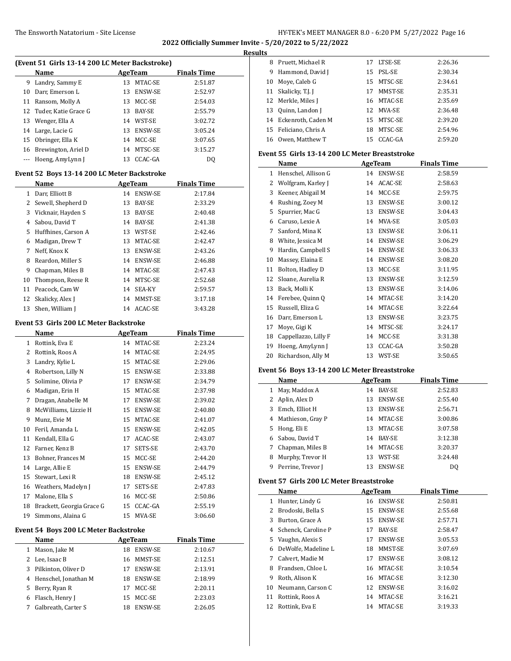### The Ensworth Natatorium - Site License 16 Company of the HY-TEK's MEET MANAGER 8.0 - 6:20 PM 5/27/2022 Page 16

**2022 Officially Summer Invite - 5/20/2022 to 5/22/2022**

#### **Results**

| (Event 51 Girls 13-14 200 LC Meter Backstroke) |                         |     |                |                    |  |
|------------------------------------------------|-------------------------|-----|----------------|--------------------|--|
|                                                | Name                    |     | AgeTeam        | <b>Finals Time</b> |  |
| 9                                              | Landry, Sammy E         | 13  | MTAC-SE        | 2:51.87            |  |
| 10                                             | Darr, Emerson L         | 13  | <b>ENSW-SE</b> | 2:52.97            |  |
| 11                                             | Ransom, Molly A         |     | 13 MCC-SE      | 2:54.03            |  |
|                                                | 12 Tuder, Katie Grace G | 13  | <b>BAY-SE</b>  | 2:55.79            |  |
| 13                                             | Wenger, Ella A          | 14  | WST-SE         | 3:02.72            |  |
|                                                | 14 Large, Lacie G       | 13  | <b>ENSW-SE</b> | 3:05.24            |  |
|                                                | 15 Obringer, Ella K     | 14  | MCC-SE         | 3:07.65            |  |
| 16                                             | Brewington, Ariel D     | 14  | MTSC-SE        | 3:15.27            |  |
|                                                | Hoeng, AmyLynn J        | 13. | CCAC-GA        | DO                 |  |

#### **Event 52 Boys 13-14 200 LC Meter Backstroke**

|    | Name                |    | <b>AgeTeam</b> | <b>Finals Time</b> |  |
|----|---------------------|----|----------------|--------------------|--|
| 1  | Darr, Elliott B     | 14 | <b>ENSW-SE</b> | 2:17.84            |  |
| 2  | Sewell, Shepherd D  | 13 | BAY-SE         | 2:33.29            |  |
| 3  | Vicknair, Hayden S  | 13 | <b>BAY-SE</b>  | 2:40.48            |  |
| 4  | Sabou, David T      | 14 | BAY-SE         | 2:41.38            |  |
| 5  | Huffhines, Carson A | 13 | WST-SE         | 2:42.46            |  |
| 6  | Madigan, Drew T     | 13 | MTAC-SE        | 2:42.47            |  |
| 7  | Neff, Knox K        | 13 | <b>ENSW-SE</b> | 2:43.26            |  |
| 8  | Reardon, Miller S   | 14 | <b>ENSW-SE</b> | 2:46.88            |  |
| 9  | Chapman, Miles B    | 14 | MTAC-SE        | 2:47.43            |  |
| 10 | Thompson, Reese R   | 14 | MTSC-SE        | 2:52.68            |  |
| 11 | Peacock, Cam W      | 14 | <b>SEA-KY</b>  | 2:59.57            |  |
|    | 12 Skalicky, Alex J | 14 | MMST-SE        | 3:17.18            |  |
| 13 | Shen, William I     | 14 | ACAC-SE        | 3:43.28            |  |

### **Event 53 Girls 200 LC Meter Backstroke**

|                                              | Name                      |    | AgeTeam    | <b>Finals Time</b> |  |  |
|----------------------------------------------|---------------------------|----|------------|--------------------|--|--|
| 1                                            | Rottink, Eva E            |    | 14 MTAC-SE | 2:23.24            |  |  |
| 2                                            | Rottink, Roos A           | 14 | MTAC-SE    | 2:24.95            |  |  |
| 3                                            | Landry, Kylie L           | 15 | MTAC-SE    | 2:29.06            |  |  |
| 4                                            | Robertson, Lilly N        | 15 | ENSW-SE    | 2:33.88            |  |  |
| 5                                            | Solimine, Olivia P        | 17 | ENSW-SE    | 2:34.79            |  |  |
| 6                                            | Madigan, Erin H           | 15 | MTAC-SE    | 2:37.98            |  |  |
| 7                                            | Dragan, Anabelle M        | 17 | ENSW-SE    | 2:39.02            |  |  |
| 8                                            | McWilliams, Lizzie H      | 15 | ENSW-SE    | 2:40.80            |  |  |
| 9                                            | Munz, Evie M              | 15 | MTAC-SE    | 2:41.07            |  |  |
| 10                                           | Feril, Amanda L           | 15 | ENSW-SE    | 2:42.05            |  |  |
| 11                                           | Kendall, Ella G           | 17 | ACAC-SE    | 2:43.07            |  |  |
| 12                                           | Farner, Kenz B            | 17 | SETS-SE    | 2:43.70            |  |  |
| 13                                           | Bohner, Frances M         | 15 | MCC-SE     | 2:44.20            |  |  |
| 14                                           | Large, Allie E            | 15 | ENSW-SE    | 2:44.79            |  |  |
| 15                                           | Stewart, Lexi R           | 18 | ENSW-SE    | 2:45.12            |  |  |
| 16                                           | Weathers, Madelyn J       | 17 | SETS-SE    | 2:47.83            |  |  |
| 17                                           | Malone, Ella S            | 16 | MCC-SE     | 2:50.86            |  |  |
| 18                                           | Brackett, Georgia Grace G | 15 | CCAC-GA    | 2:55.19            |  |  |
| 19                                           | Simmons, Alaina G         | 15 | MVA-SE     | 3:06.60            |  |  |
| <b>Event 54 Boys 200 LC Meter Backstroke</b> |                           |    |            |                    |  |  |

|   | Name                   |     | AgeTeam        | <b>Finals Time</b> |
|---|------------------------|-----|----------------|--------------------|
| 1 | Mason, Jake M          | 18  | <b>ENSW-SE</b> | 2:10.67            |
|   | 2 Lee, Isaac B         | 16. | MMST-SE        | 2:12.51            |
|   | 3 Pilkinton, Oliver D  |     | <b>ENSW-SE</b> | 2:13.91            |
|   | 4 Henschel, Jonathan M | 18  | <b>ENSW-SE</b> | 2:18.99            |
|   | 5 Berry, Ryan R        | 17  | MCC-SE         | 2:20.11            |
| 6 | Flasch, Henry J        | 15. | MCC-SE         | 2:23.03            |
|   | Galbreath, Carter S    | 18  | <b>ENSW-SE</b> | 2:26.05            |

| 8  | Pruett, Michael R     |    | 17 LTSE-SE | 2:26.36 |
|----|-----------------------|----|------------|---------|
| 9  | Hammond, David J      |    | 15 PSL-SE  | 2:30.34 |
| 10 | Moye, Caleb G         |    | 15 MTSC-SE | 2:34.61 |
| 11 | Skalicky, T.J. J      | 17 | MMST-SE    | 2:35.31 |
| 12 | Merkle, Miles J       |    | 16 MTAC-SE | 2:35.69 |
| 13 | Quinn, Landon J       |    | 12 MVA-SE  | 2:36.48 |
|    | 14 Eckenroth, Caden M |    | 15 MTSC-SE | 2:39.20 |
| 15 | Feliciano, Chris A    | 18 | MTSC-SE    | 2:54.96 |
| 16 | Owen, Matthew T       |    | 15 CCAC-GA | 2:59.20 |

### **Event 55 Girls 13-14 200 LC Meter Breaststroke**

|    | Name                 | <b>AgeTeam</b> |         | <b>Finals Time</b> |
|----|----------------------|----------------|---------|--------------------|
| 1  | Henschel, Allison G  | 14             | ENSW-SE | 2:58.59            |
| 2  | Wolfgram, Karley J   | 14             | ACAC-SE | 2:58.63            |
| 3  | Keener, Abigail M    | 14             | MCC-SE  | 2:59.75            |
| 4  | Rushing, Zoey M      | 13             | ENSW-SE | 3:00.12            |
| 5  | Spurrier, Mac G      | 13             | ENSW-SE | 3:04.43            |
| 6  | Caruso, Lexie A      | 14             | MVA-SE  | 3:05.03            |
| 7  | Sanford, Mina K      | 13             | ENSW-SE | 3:06.11            |
| 8  | White, Jessica M     | 14             | ENSW-SE | 3:06.29            |
| 9  | Hardin, Campbell S   | 14             | ENSW-SE | 3:06.33            |
| 10 | Massey, Elaina E     | 14             | ENSW-SE | 3:08.20            |
| 11 | Bolton, Hadley D     | 13             | MCC-SE  | 3:11.95            |
| 12 | Sloane, Aurelia R    | 13             | ENSW-SE | 3:12.59            |
| 13 | Back, Molli K        | 13             | ENSW-SE | 3:14.06            |
| 14 | Ferebee, Quinn Q     | 14             | MTAC-SE | 3:14.20            |
| 15 | Russell, Eliza G     | 14             | MTAC-SE | 3:22.64            |
| 16 | Darr, Emerson L      | 13             | ENSW-SE | 3:23.75            |
| 17 | Moye, Gigi K         | 14             | MTSC-SE | 3:24.17            |
| 18 | Cappellazzo, Lilly F | 14             | MCC-SE  | 3:31.38            |
| 19 | Hoeng, AmyLynn J     | 13             | CCAC-GA | 3:50.28            |
| 20 | Richardson, Ally M   | 13             | WST-SE  | 3:50.65            |

### **Event 56 Boys 13-14 200 LC Meter Breaststroke**

|              | Name                |    | AgeTeam        | <b>Finals Time</b> |
|--------------|---------------------|----|----------------|--------------------|
| $\mathbf{1}$ | May, Maddox A       | 14 | BAY-SE         | 2:52.83            |
|              | 2 Aplin, Alex D     | 13 | ENSW-SE        | 2:55.40            |
| 3            | Emch, Elliot H      | 13 | <b>ENSW-SE</b> | 2:56.71            |
|              | 4 Mathieson, Gray P |    | 14 MTAC-SE     | 3:00.86            |
|              | 5 Hong, Eli E       | 13 | MTAC-SE        | 3:07.58            |
| 6.           | Sabou, David T      | 14 | BAY-SE         | 3:12.38            |
| 7            | Chapman, Miles B    |    | 14 MTAC-SE     | 3:20.37            |
| 8            | Murphy, Trevor H    | 13 | WST-SE         | 3:24.48            |
| 9            | Perrine, Trevor J   | 13 | <b>ENSW-SE</b> | D <sub>0</sub>     |

### **Event 57 Girls 200 LC Meter Breaststroke**

|    | Name                  |     | AgeTeam        | <b>Finals Time</b> |
|----|-----------------------|-----|----------------|--------------------|
| 1  | Hunter, Lindy G       | 16  | <b>ENSW-SE</b> | 2:50.81            |
|    | Brodoski, Bella S     | 15  | <b>ENSW-SE</b> | 2:55.68            |
| 3  | Burton, Grace A       | 15  | <b>ENSW-SE</b> | 2:57.71            |
|    | 4 Schenck, Caroline P | 17  | BAY-SE         | 2:58.47            |
| 5  | Vaughn, Alexis S      | 17  | <b>ENSW-SE</b> | 3:05.53            |
| 6  | DeWolfe. Madeline L   | 18  | MMST-SE        | 3:07.69            |
| 7  | Calvert, Madie M      | 17  | <b>ENSW-SE</b> | 3:08.12            |
| 8  | Frandsen, Chloe L     | 16  | MTAC-SE        | 3:10.54            |
| 9  | Roth, Alison K        | 16  | MTAC-SE        | 3:12.30            |
| 10 | Neumann, Carson C     | 12. | <b>ENSW-SE</b> | 3:16.02            |
| 11 | Rottink, Roos A       | 14  | MTAC-SE        | 3:16.21            |
|    | Rottink, Eva E        | 14  | MTAC-SE        | 3:19.33            |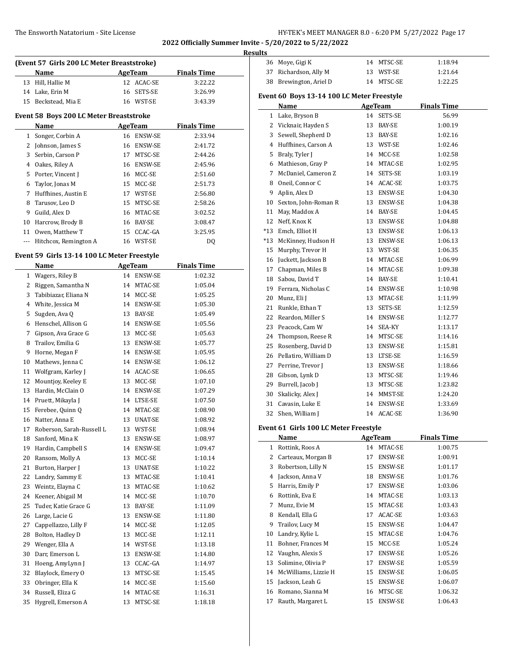## The Ensworth Natatorium - Site License **HY-TEK's MEET MANAGER 8.0 - 6:20 PM 5/27/2022** Page 17

**2022 Officially Summer Invite - 5/20/2022 to 5/22/2022**

**Results**

|              | (Event 57 Girls 200 LC Meter Breaststroke)  |    |                |                    |  |
|--------------|---------------------------------------------|----|----------------|--------------------|--|
|              | Name                                        |    | AgeTeam        | <b>Finals Time</b> |  |
| 13           | Hill, Hallie M                              |    | 12 ACAC-SE     | 3:22.22            |  |
|              | 14 Lake, Erin M                             | 16 | SETS-SE        | 3:26.99            |  |
|              | 15 Beckstead, Mia E                         |    | 16 WST-SE      | 3:43.39            |  |
|              |                                             |    |                |                    |  |
|              | Event 58 Boys 200 LC Meter Breaststroke     |    |                |                    |  |
|              | Name                                        |    | <b>AgeTeam</b> | <b>Finals Time</b> |  |
| $\mathbf{1}$ | Songer, Corbin A                            |    | 16 ENSW-SE     | 2:33.94            |  |
| 2            | Johnson, James S                            |    | 16 ENSW-SE     | 2:41.72            |  |
| 3            | Serbin, Carson P                            |    | 17 MTSC-SE     | 2:44.26            |  |
| 4            | Oakes, Riley A                              |    | 16 ENSW-SE     | 2:45.96            |  |
| 5            | Porter, Vincent J                           |    | 16 MCC-SE      | 2:51.60            |  |
| 6            | Taylor, Jonas M                             |    | 15 MCC-SE      | 2:51.73            |  |
| 7            | Huffhines, Austin E                         |    | 17 WST-SE      | 2:56.80            |  |
| 8            | Tarusov, Leo D                              |    | 15 MTSC-SE     | 2:58.26            |  |
| 9            | Guild, Alex D                               |    | 16 MTAC-SE     | 3:02.52            |  |
| 10           | Harcrow, Brody B                            |    | 16 BAY-SE      | 3:08.47            |  |
| 11           | Owen, Matthew T                             |    | 15 CCAC-GA     | 3:25.95            |  |
|              | --- Hitchcox, Remington A                   |    | 16 WST-SE      | DQ                 |  |
|              | Event 59 Girls 13-14 100 LC Meter Freestyle |    |                |                    |  |
|              | Name                                        |    | <b>AgeTeam</b> | <b>Finals Time</b> |  |
|              | 1 Wagers, Riley B                           |    | 14 ENSW-SE     | 1:02.32            |  |
| 2            | Riggen, Samantha N                          |    | 14 MTAC-SE     | 1:05.04            |  |
| 3            | Tabibiazar, Eliana N                        |    | 14 MCC-SE      | 1:05.25            |  |
| 4            | White, Jessica M                            |    | 14 ENSW-SE     | 1:05.30            |  |
| 5            | Sugden, Ava Q                               |    | 13 BAY-SE      | 1:05.49            |  |
| 6            | Henschel, Allison G                         |    | 14 ENSW-SE     | 1:05.56            |  |
| 7            | Gipson, Ava Grace G                         |    | 13 MCC-SE      | 1:05.63            |  |
| 8            | Trailov, Emilia G                           |    | 13 ENSW-SE     | 1:05.77            |  |
| 9            | Horne, Megan F                              |    | 14 ENSW-SE     | 1:05.95            |  |
| 10           | Mathews, Jenna C                            |    | 14 ENSW-SE     | 1:06.12            |  |
| 11           | Wolfgram, Karley J                          |    | 14 ACAC-SE     | 1:06.65            |  |
| 12           | Mountjoy, Keeley E                          |    | 13 MCC-SE      | 1:07.10            |  |
| 13           | Hardin, McClain O                           |    | 14 ENSW-SE     | 1:07.29            |  |
| 14           | Pruett, Mikayla J                           |    | 14 LTSE-SE     | 1:07.50            |  |
| 15           | Ferebee, Quinn Q                            |    | 14 MTAC-SE     | 1:08.90            |  |
|              | 16 Natter, Anna E                           |    | 13 UNAT-SE     | 1:08.92            |  |
| 17           | Roberson, Sarah-Russell L                   |    | 13 WST-SE      | 1:08.94            |  |
| 18           | Sanford, Mina K                             | 13 | ENSW-SE        | 1:08.97            |  |
| 19           | Hardin, Campbell S                          | 14 | <b>ENSW-SE</b> | 1:09.47            |  |
| 20           | Ransom, Molly A                             | 13 | MCC-SE         | 1:10.14            |  |
| 21           | Burton, Harper J                            | 13 | UNAT-SE        | 1:10.22            |  |
| 22           | Landry, Sammy E                             | 13 | MTAC-SE        | 1:10.41            |  |
| 23           | Weintz, Elayna C                            | 13 | MTAC-SE        | 1:10.62            |  |
| 24           | Keener, Abigail M                           | 14 | MCC-SE         | 1:10.70            |  |
| 25           | Tuder, Katie Grace G                        | 13 | BAY-SE         | 1:11.09            |  |
| 26           | Large, Lacie G                              | 13 | ENSW-SE        | 1:11.80            |  |
| 27           | Cappellazzo, Lilly F                        | 14 | MCC-SE         | 1:12.05            |  |
| 28           | Bolton, Hadley D                            | 13 | MCC-SE         | 1:12.11            |  |
| 29           | Wenger, Ella A                              | 14 | WST-SE         | 1:13.18            |  |
| 30           | Darr, Emerson L                             | 13 |                |                    |  |
|              |                                             |    | ENSW-SE        | 1:14.80            |  |
| 31           | Hoeng, AmyLynn J                            | 13 | CCAC-GA        | 1:14.97            |  |
| 32           | Blaylock, Emery O                           | 13 | MTSC-SE        | 1:15.45            |  |
| 33           | Obringer, Ella K                            | 14 | MCC-SE         | 1:15.60            |  |
| 34           | Russell, Eliza G                            | 14 | MTAC-SE        | 1:16.31            |  |
| 35           | Hygrell, Emerson A                          | 13 | MTSC-SE        | 1:18.18            |  |

|                                              | 36 Moye, Gigi K                            |    | 14 MTSC-SE     | 1:18.94            |  |  |  |  |
|----------------------------------------------|--------------------------------------------|----|----------------|--------------------|--|--|--|--|
| 37                                           | Richardson, Ally M                         |    | 13 WST-SE      | 1:21.64            |  |  |  |  |
| 38                                           | Brewington, Ariel D                        |    | 14 MTSC-SE     | 1:22.25            |  |  |  |  |
|                                              | Event 60 Boys 13-14 100 LC Meter Freestyle |    |                |                    |  |  |  |  |
| Name<br><b>AgeTeam</b><br><b>Finals Time</b> |                                            |    |                |                    |  |  |  |  |
| $\mathbf{1}$                                 | Lake, Bryson B                             |    | 14 SETS-SE     | 56.99              |  |  |  |  |
|                                              | 2 Vicknair, Hayden S                       |    | 13 BAY-SE      | 1:00.19            |  |  |  |  |
| 3                                            | Sewell, Shepherd D                         |    | 13 BAY-SE      | 1:02.16            |  |  |  |  |
|                                              | 4 Huffhines, Carson A                      |    | 13 WST-SE      | 1:02.46            |  |  |  |  |
|                                              | 5 Braly, Tyler J                           |    | 14 MCC-SE      | 1:02.58            |  |  |  |  |
|                                              | 6 Mathieson, Gray P                        |    | 14 MTAC-SE     | 1:02.95            |  |  |  |  |
| 7                                            | McDaniel, Cameron Z                        |    | 14 SETS-SE     | 1:03.19            |  |  |  |  |
|                                              | 8 Oneil, Connor C                          |    | 14 ACAC-SE     | 1:03.75            |  |  |  |  |
| 9                                            | Aplin, Alex D                              |    | 13 ENSW-SE     | 1:04.30            |  |  |  |  |
| 10                                           | Sexton, John-Roman R                       |    | 13 ENSW-SE     | 1:04.38            |  |  |  |  |
| 11                                           | May, Maddox A                              |    | 14 BAY-SE      | 1:04.45            |  |  |  |  |
| 12                                           | Neff, Knox K                               |    | 13 ENSW-SE     | 1:04.88            |  |  |  |  |
| *13                                          | Emch, Elliot H                             |    | 13 ENSW-SE     | 1:06.13            |  |  |  |  |
| *13                                          | McKinney, Hudson H                         |    | 13 ENSW-SE     | 1:06.13            |  |  |  |  |
| 15                                           | Murphy, Trevor H                           |    | 13 WST-SE      | 1:06.35            |  |  |  |  |
|                                              | 16 Juckett, Jackson B                      |    | 14 MTAC-SE     | 1:06.99            |  |  |  |  |
|                                              | 17 Chapman, Miles B                        |    | 14 MTAC-SE     | 1:09.38            |  |  |  |  |
|                                              | 18 Sabou, David T                          |    | 14 BAY-SE      | 1:10.41            |  |  |  |  |
|                                              | 19 Ferrara, Nicholas C                     |    | 14 ENSW-SE     | 1:10.98            |  |  |  |  |
|                                              | 20 Munz, Eli J                             |    | 13 MTAC-SE     | 1:11.99            |  |  |  |  |
|                                              | 21 Runkle, Ethan T                         |    | 13 SETS-SE     | 1:12.59            |  |  |  |  |
|                                              | 22 Reardon, Miller S                       |    | 14 ENSW-SE     | 1:12.77            |  |  |  |  |
|                                              | 23 Peacock, Cam W                          |    | 14 SEA-KY      | 1:13.17            |  |  |  |  |
| 24                                           | Thompson, Reese R                          |    | 14 MTSC-SE     | 1:14.16            |  |  |  |  |
| 25                                           | Rosenberg, David D                         |    | 13 ENSW-SE     | 1:15.81            |  |  |  |  |
|                                              | 26 Pellatiro, William D                    |    | 13 LTSE-SE     | 1:16.59            |  |  |  |  |
|                                              | 27 Perrine, Trevor J                       |    | 13 ENSW-SE     | 1:18.66            |  |  |  |  |
|                                              | 28 Gibson, Lynk D                          |    | 13 MTSC-SE     | 1:19.46            |  |  |  |  |
|                                              | 29 Burrell, Jacob J                        |    | 13 MTSC-SE     | 1:23.82            |  |  |  |  |
| 30                                           | Skalicky, Alex J                           | 14 | MMST-SE        | 1:24.20            |  |  |  |  |
| 31                                           | Cavasin, Luke E                            |    | 14 ENSW-SE     | 1:33.69            |  |  |  |  |
| 32                                           | Shen, William J                            |    | 14 ACAC-SE     | 1:36.90            |  |  |  |  |
|                                              | Event 61 Girls 100 LC Meter Freestyle      |    |                |                    |  |  |  |  |
|                                              | <b>Name</b>                                |    | <b>AgeTeam</b> | <b>Finals Time</b> |  |  |  |  |
| $\mathbf{1}$                                 | Rottink, Roos A                            | 14 | MTAC-SE        | 1:00.75            |  |  |  |  |
| 2                                            | Carteaux, Morgan B                         | 17 | ENSW-SE        | 1:00.91            |  |  |  |  |
| 3                                            | Robertson, Lilly N                         | 15 | ENSW-SE        | 1:01.17            |  |  |  |  |
| 4                                            | Jackson, Anna V                            | 18 | ENSW-SE        | 1:01.76            |  |  |  |  |
| 5                                            | Harris, Emily P                            | 17 | ENSW-SE        | 1:03.06            |  |  |  |  |
| 6                                            | Rottink, Eva E                             | 14 | MTAC-SE        | 1:03.13            |  |  |  |  |
| 7                                            | Munz, Evie M                               | 15 | MTAC-SE        | 1:03.43            |  |  |  |  |
| 8                                            | Kendall, Ella G                            | 17 | ACAC-SE        | 1:03.63            |  |  |  |  |
| 9                                            | Trailov, Lucy M                            | 15 | ENSW-SE        | 1:04.47            |  |  |  |  |
| 10                                           | Landry, Kylie L                            | 15 | MTAC-SE        | 1:04.76            |  |  |  |  |
| 11                                           | Bohner, Frances M                          | 15 | MCC-SE         | 1:05.24            |  |  |  |  |
| 12                                           | Vaughn, Alexis S                           | 17 | ENSW-SE        | 1:05.26            |  |  |  |  |
| 13                                           | Solimine, Olivia P                         | 17 | ENSW-SE        | 1:05.59            |  |  |  |  |
| 14                                           | McWilliams, Lizzie H                       | 15 | ENSW-SE        | 1:06.05            |  |  |  |  |
| 15                                           | Jackson, Leah G                            | 15 | ENSW-SE        | 1:06.07            |  |  |  |  |
| 16                                           | Romano, Sianna M                           | 16 | MTSC-SE        | 1:06.32            |  |  |  |  |
| 17                                           | Rauth, Margaret L                          | 15 | ENSW-SE        | 1:06.43            |  |  |  |  |
|                                              |                                            |    |                |                    |  |  |  |  |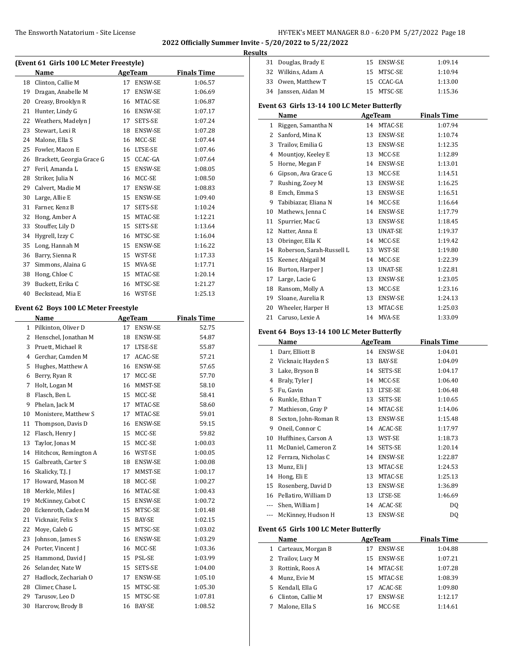|    |                                         |    |                |                    | <b>Results</b> |
|----|-----------------------------------------|----|----------------|--------------------|----------------|
|    | (Event 61 Girls 100 LC Meter Freestyle) |    |                |                    | 3              |
|    | Name                                    |    | <b>AgeTeam</b> | <b>Finals Time</b> | 3              |
| 18 | Clinton, Callie M                       | 17 | <b>ENSW-SE</b> | 1:06.57            | 3              |
| 19 | Dragan, Anabelle M                      | 17 | <b>ENSW-SE</b> | 1:06.69            | 3              |
| 20 | Creasy, Brooklyn R                      | 16 | MTAC-SE        | 1:06.87            | Eve            |
| 21 | Hunter, Lindy G                         | 16 | <b>ENSW-SE</b> | 1:07.17            |                |
| 22 | Weathers, Madelyn J                     | 17 | SETS-SE        | 1:07.24            |                |
| 23 | Stewart, Lexi R                         | 18 | <b>ENSW-SE</b> | 1:07.28            |                |
| 24 | Malone, Ella S                          | 16 | MCC-SE         | 1:07.44            |                |
| 25 | Fowler, Macon E                         | 16 | LTSE-SE        | 1:07.46            |                |
| 26 | Brackett, Georgia Grace G               | 15 | CCAC-GA        | 1:07.64            |                |
| 27 | Feril, Amanda L                         | 15 | <b>ENSW-SE</b> | 1:08.05            |                |
| 28 | Striker, Julia N                        | 16 | MCC-SE         | 1:08.50            |                |
| 29 | Calvert, Madie M                        | 17 | <b>ENSW-SE</b> | 1:08.83            |                |
| 30 | Large, Allie E                          | 15 | <b>ENSW-SE</b> | 1:09.40            |                |
| 31 | Farner, Kenz B                          | 17 | SETS-SE        | 1:10.24            | 1              |
| 32 | Hong, Amber A                           | 15 | MTAC-SE        | 1:12.21            | 1              |
| 33 | Stouffer, Lily D                        | 15 | SETS-SE        | 1:13.64            | 1              |
| 34 | Hygrell, Izzy C                         | 16 | MTSC-SE        | 1:16.04            | 1              |
| 35 | Long, Hannah M                          | 15 | <b>ENSW-SE</b> | 1:16.22            | 1              |
| 36 | Barry, Sienna R                         | 15 | WST-SE         | 1:17.33            | 1              |
| 37 | Simmons, Alaina G                       | 15 | MVA-SE         | 1:17.71            | 1              |
| 38 | Hong, Chloe C                           | 15 | MTAC-SE        | 1:20.14            |                |
| 39 | Buckett, Erika C                        | 16 | MTSC-SE        | 1:21.27            | 1              |

#### **Event 62 Boys 100 LC Meter Freestyle**

 $\overline{a}$ 

| Name                  | <b>AgeTeam</b>                 |               | <b>Finals Time</b> |
|-----------------------|--------------------------------|---------------|--------------------|
| Pilkinton, Oliver D   | 17                             | ENSW-SE       | 52.75              |
| Henschel, Jonathan M  | 18                             | ENSW-SE       | 54.87              |
| Pruett, Michael R     | 17                             | LTSE-SE       | 55.87              |
| Gerchar, Camden M     | 17                             | ACAC-SE       | 57.21              |
| Hughes, Matthew A     | 16                             | ENSW-SE       | 57.65              |
| Berry, Ryan R         | 17                             | MCC-SE        | 57.70              |
| Holt, Logan M         | 16                             | MMST-SE       | 58.10              |
| Flasch, Ben L         | 15                             | MCC-SE        | 58.41              |
| Phelan, Jack M        | 17                             | MTAC-SE       | 58.60              |
| Monistere, Matthew S  | 17                             | MTAC-SE       | 59.01              |
| Thompson, Davis D     | 16                             | ENSW-SE       | 59.15              |
| Flasch, Henry J       | 15                             | MCC-SE        | 59.82              |
| Taylor, Jonas M       | 15                             | MCC-SE        | 1:00.03            |
| Hitchcox, Remington A | 16                             | WST-SE        | 1:00.05            |
| Galbreath, Carter S   | 18                             | ENSW-SE       | 1:00.08            |
| Skalicky, T.J. J      | 17                             | MMST-SE       | 1:00.17            |
| Howard, Mason M       | 18                             | MCC-SE        | 1:00.27            |
| Merkle, Miles J       | 16                             | MTAC-SE       | 1:00.43            |
| McKinney, Cabot C     | 15                             | ENSW-SE       | 1:00.72            |
| Eckenroth, Caden M    | 15                             | MTSC-SE       | 1:01.48            |
| Vicknair, Felix S     | 15                             | BAY-SE        | 1:02.15            |
| Moye, Caleb G         | 15                             | MTSC-SE       | 1:03.02            |
| Johnson, James S      | 16                             | ENSW-SE       | 1:03.29            |
| Porter, Vincent J     | 16                             | MCC-SE        | 1:03.36            |
| Hammond, David J      | 15                             | PSL-SE        | 1:03.99            |
| Selander, Nate W      | 15                             | SETS-SE       | 1:04.00            |
| Hadlock, Zechariah O  | 17                             | ENSW-SE       | 1:05.10            |
| Climer, Chase L       | 15                             | MTSC-SE       | 1:05.30            |
| Tarusov, Leo D        | 15                             | MTSC-SE       | 1:07.81            |
| Harcrow, Brody B      | 16                             | <b>BAY-SE</b> | 1:08.52            |
|                       | $\mathbf{1}$<br>14<br>17<br>26 |               |                    |

Beckstead, Mia E 16 WST-SE 1:25.13

| 31           | Douglas, Brady E                            | 15 | ENSW-SE    | 1:09.14            |  |  |  |  |
|--------------|---------------------------------------------|----|------------|--------------------|--|--|--|--|
| 32           | Wilkins, Adam A                             | 15 | MTSC-SE    | 1:10.94            |  |  |  |  |
| 33           | Owen, Matthew T                             | 15 | CCAC-GA    | 1:13.00            |  |  |  |  |
|              | 34 Janssen, Aidan M                         |    | 15 MTSC-SE | 1:15.36            |  |  |  |  |
|              | Event 63 Girls 13-14 100 LC Meter Butterfly |    |            |                    |  |  |  |  |
|              | Name                                        |    | AgeTeam    | <b>Finals Time</b> |  |  |  |  |
| 1            | Riggen, Samantha N                          | 14 | MTAC-SE    | 1:07.94            |  |  |  |  |
| $\mathbf{2}$ | Sanford, Mina K                             | 13 | ENSW-SE    | 1:10.74            |  |  |  |  |
| 3            | Trailov, Emilia G                           | 13 | ENSW-SE    | 1:12.35            |  |  |  |  |
| 4            | Mountjoy, Keeley E                          | 13 | MCC-SE     | 1:12.89            |  |  |  |  |
| 5            | Horne, Megan F                              | 14 | ENSW-SE    | 1:13.01            |  |  |  |  |
| 6            | Gipson, Ava Grace G                         | 13 | MCC-SE     | 1:14.51            |  |  |  |  |
| 7            | Rushing, Zoey M                             | 13 | ENSW-SE    | 1:16.25            |  |  |  |  |
| 8            | Emch, Emma S                                | 13 | ENSW-SE    | 1:16.51            |  |  |  |  |
| 9            | Tabibiazar, Eliana N                        | 14 | MCC-SE     | 1:16.64            |  |  |  |  |
| 10           | Mathews, Jenna C                            | 14 | ENSW-SE    | 1:17.79            |  |  |  |  |
| 11           | Spurrier, Mac G                             | 13 | ENSW-SE    | 1:18.45            |  |  |  |  |
| 12           | Natter, Anna E                              | 13 | UNAT-SE    | 1:19.37            |  |  |  |  |
| 13           | Obringer, Ella K                            | 14 | MCC-SE     | 1:19.42            |  |  |  |  |
| 14           | Roberson, Sarah-Russell L                   | 13 | WST-SE     | 1:19.80            |  |  |  |  |
| 15           | Keener, Abigail M                           | 14 | MCC-SE     | 1:22.39            |  |  |  |  |
| 16           | Burton, Harper J                            | 13 | UNAT-SE    | 1:22.81            |  |  |  |  |
| 17           | Large, Lacie G                              | 13 | ENSW-SE    | 1:23.05            |  |  |  |  |
| 18           | Ransom, Molly A                             | 13 | MCC-SE     | 1:23.16            |  |  |  |  |
| 19           | Sloane, Aurelia R                           | 13 | ENSW-SE    | 1:24.13            |  |  |  |  |
| 20           | Wheeler, Harper H                           | 13 | MTAC-SE    | 1:25.03            |  |  |  |  |
| 21           | Caruso, Lexie A                             | 14 | MVA-SE     | 1:33.09            |  |  |  |  |
|              |                                             |    |            |                    |  |  |  |  |

# **Event 64 Boys 13-14 100 LC Meter Butterfly**

|       | Name                 | AgeTeam |                | <b>Finals Time</b> |  |
|-------|----------------------|---------|----------------|--------------------|--|
| 1     | Darr, Elliott B      | 14      | ENSW-SE        | 1:04.01            |  |
| 2     | Vicknair, Hayden S   | 13      | BAY-SE         | 1:04.09            |  |
| 3     | Lake, Bryson B       | 14      | SETS-SE        | 1:04.17            |  |
| 4     | Braly, Tyler J       | 14      | MCC-SE         | 1:06.40            |  |
| 5.    | Fu, Gavin            | 13      | LTSE-SE        | 1:06.48            |  |
| 6     | Runkle, Ethan T      | 13      | SETS-SE        | 1:10.65            |  |
| 7     | Mathieson, Gray P    | 14      | MTAC-SE        | 1:14.06            |  |
| 8     | Sexton, John-Roman R | 13      | ENSW-SE        | 1:15.48            |  |
| 9     | Oneil, Connor C      | 14      | ACAC-SE        | 1:17.97            |  |
| 10    | Huffhines, Carson A  |         | 13 WST-SE      | 1:18.73            |  |
| 11    | McDaniel, Cameron Z  | 14      | SETS-SE        | 1:20.14            |  |
| 12    | Ferrara, Nicholas C  | 14      | ENSW-SE        | 1:22.87            |  |
| 13    | Munz, Eli J          | 13      | MTAC-SE        | 1:24.53            |  |
| 14    | Hong, Eli E          | 13      | MTAC-SE        | 1:25.13            |  |
| 15    | Rosenberg, David D   | 13      | ENSW-SE        | 1:36.89            |  |
| 16    | Pellatiro, William D | 13      | LTSE-SE        | 1:46.69            |  |
| ---   | Shen, William J      | 14      | ACAC-SE        | DQ                 |  |
| $---$ | McKinney, Hudson H   | 13      | <b>ENSW-SE</b> | DQ                 |  |

#### **Event 65 Girls 100 LC Meter Butterfly**

| Name                 |    |                |                                  |  |
|----------------------|----|----------------|----------------------------------|--|
|                      |    |                | <b>Finals Time</b>               |  |
| 1 Carteaux, Morgan B | 17 | <b>ENSW-SE</b> | 1:04.88                          |  |
| 2 Trailov, Lucy M    | 15 |                | 1:07.21                          |  |
| Rottink, Roos A      | 14 | MTAC-SE        | 1:07.28                          |  |
| 4 Munz, Evie M       |    |                | 1:08.39                          |  |
| 5 Kendall, Ella G    | 17 | ACAC-SE        | 1:09.80                          |  |
| Clinton, Callie M    | 17 | <b>ENSW-SE</b> | 1:12.17                          |  |
| Malone, Ella S       | 16 | MCC-SE         | 1:14.61                          |  |
|                      |    |                | AgeTeam<br>ENSW-SE<br>15 MTAC-SE |  |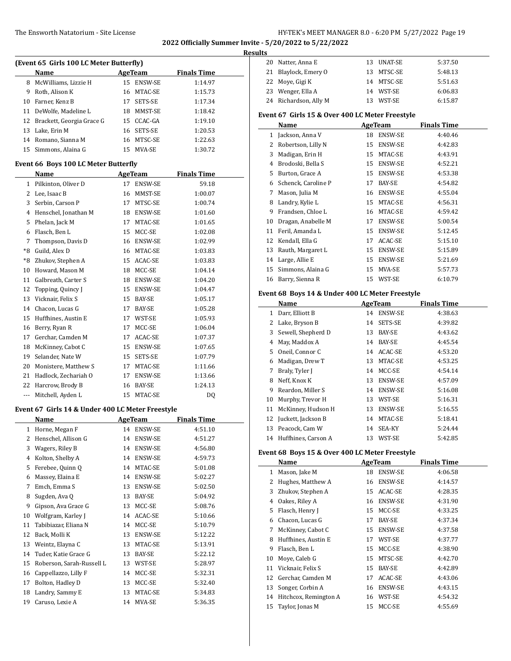| (Event 65 Girls 100 LC Meter Butterfly) |                           |    |                |                    |  |  |  |
|-----------------------------------------|---------------------------|----|----------------|--------------------|--|--|--|
|                                         | Name                      |    | AgeTeam        | <b>Finals Time</b> |  |  |  |
| 8                                       | McWilliams, Lizzie H      |    | 15 ENSW-SE     | 1:14.97            |  |  |  |
| 9                                       | Roth, Alison K            | 16 | MTAC-SE        | 1:15.73            |  |  |  |
| 10                                      | Farner, Kenz B            | 17 | <b>SETS-SE</b> | 1:17.34            |  |  |  |
| 11                                      | DeWolfe, Madeline L       | 18 | MMST-SE        | 1:18.42            |  |  |  |
| 12                                      | Brackett, Georgia Grace G | 15 | CCAC-GA        | 1:19.10            |  |  |  |
| 13                                      | Lake, Erin M              | 16 | SETS-SE        | 1:20.53            |  |  |  |
| 14                                      | Romano, Sianna M          | 16 | MTSC-SE        | 1:22.63            |  |  |  |
| 15                                      | Simmons, Alaina G         | 15 | MVA-SE         | 1:30.72            |  |  |  |
| Event 66 Boys 100 LC Meter Butterfly    |                           |    |                |                    |  |  |  |
|                                         | Name                      |    | AgeTeam        | <b>Finals Time</b> |  |  |  |
| 1                                       | Pilkinton, Oliver D       | 17 | <b>ENSW-SE</b> | 59.18              |  |  |  |
| 2                                       | Lee, Isaac B              | 16 | MMST-SE        | 1:00.07            |  |  |  |

| 2    | Lee, Isaac B         | 16 | MMST-SE        | 1:00.07 |
|------|----------------------|----|----------------|---------|
| 3    | Serbin, Carson P     | 17 | MTSC-SE        | 1:00.74 |
| 4    | Henschel, Jonathan M | 18 | <b>ENSW-SE</b> | 1:01.60 |
| 5    | Phelan, Jack M       | 17 | MTAC-SE        | 1:01.65 |
| 6    | Flasch, Ben L        | 15 | MCC-SE         | 1:02.08 |
| 7    | Thompson, Davis D    | 16 | ENSW-SE        | 1:02.99 |
| $*8$ | Guild, Alex D        | 16 | MTAC-SE        | 1:03.83 |
| $*8$ | Zhukov, Stephen A    | 15 | ACAC-SE        | 1:03.83 |
| 10   | Howard, Mason M      | 18 | MCC-SE         | 1:04.14 |
| 11   | Galbreath, Carter S  | 18 | ENSW-SE        | 1:04.20 |
| 12   | Topping, Quincy J    | 15 | ENSW-SE        | 1:04.47 |
| 13   | Vicknair, Felix S    | 15 | BAY-SE         | 1:05.17 |
| 14   | Chacon, Lucas G      | 17 | BAY-SE         | 1:05.28 |
| 15   | Huffhines, Austin E  | 17 | WST-SE         | 1:05.93 |
| 16   | Berry, Ryan R        | 17 | MCC-SE         | 1:06.04 |
| 17   | Gerchar, Camden M    | 17 | ACAC-SE        | 1:07.37 |
| 18   | McKinney, Cabot C    | 15 | ENSW-SE        | 1:07.65 |
| 19   | Selander, Nate W     | 15 | SETS-SE        | 1:07.79 |
| 20   | Monistere, Matthew S | 17 | MTAC-SE        | 1:11.66 |
| 21   | Hadlock, Zechariah O | 17 | ENSW-SE        | 1:13.66 |
| 22   | Harcrow, Brody B     | 16 | <b>BAY-SE</b>  | 1:24.13 |
| ---  | Mitchell, Ayden L    | 15 | MTAC-SE        | DQ      |

#### **Event 67 Girls 14 & Under 400 LC Meter Freestyle**

|    | Name                      |    | AgeTeam        | <b>Finals Time</b> |
|----|---------------------------|----|----------------|--------------------|
| 1  | Horne, Megan F            | 14 | <b>ENSW-SE</b> | 4:51.10            |
| 2  | Henschel, Allison G       | 14 | <b>ENSW-SE</b> | 4:51.27            |
| 3  | Wagers, Riley B           | 14 | ENSW-SE        | 4:56.80            |
| 4  | Kolton, Shelby A          | 14 | ENSW-SE        | 4:59.73            |
| 5  | Ferebee, Quinn Q          | 14 | MTAC-SE        | 5:01.08            |
| 6  | Massey, Elaina E          | 14 | <b>ENSW-SE</b> | 5:02.27            |
| 7  | Emch, Emma S              | 13 | ENSW-SE        | 5:02.50            |
| 8  | Sugden, Ava Q             | 13 | BAY-SE         | 5:04.92            |
| 9  | Gipson, Ava Grace G       | 13 | MCC-SE         | 5:08.76            |
| 10 | Wolfgram, Karley J        | 14 | ACAC-SE        | 5:10.66            |
| 11 | Tabibiazar, Eliana N      | 14 | MCC-SE         | 5:10.79            |
| 12 | Back, Molli K             | 13 | ENSW-SE        | 5:12.22            |
| 13 | Weintz, Elayna C          | 13 | MTAC-SE        | 5:13.91            |
| 14 | Tuder, Katie Grace G      | 13 | BAY-SE         | 5:22.12            |
| 15 | Roberson, Sarah-Russell L | 13 | WST-SE         | 5:28.97            |
| 16 | Cappellazzo, Lilly F      | 14 | MCC-SE         | 5:32.31            |
| 17 | Bolton, Hadley D          | 13 | MCC-SE         | 5:32.40            |
| 18 | Landry, Sammy E           | 13 | MTAC-SE        | 5:34.83            |
| 19 | Caruso, Lexie A           | 14 | MVA-SE         | 5:36.35            |

| <b>Results</b> |                       |     |            |         |  |  |  |  |
|----------------|-----------------------|-----|------------|---------|--|--|--|--|
|                | 20 Natter, Anna E     |     | 13 UNAT-SE | 5:37.50 |  |  |  |  |
|                | 21 Blaylock, Emery O  |     | 13 MTSC-SE | 5:48.13 |  |  |  |  |
|                | 22 Move, Gigi K       |     | 14 MTSC-SE | 5:51.63 |  |  |  |  |
|                | 23 Wenger, Ella A     |     | 14 WST-SE  | 6:06.83 |  |  |  |  |
|                | 24 Richardson, Ally M | 13. | WST-SE     | 6:15.87 |  |  |  |  |

## **Event 67 Girls 15 & Over 400 LC Meter Freestyle**

|    | AgeTeam<br>Name     |    |         | <b>Finals Time</b> |
|----|---------------------|----|---------|--------------------|
| 1  | Jackson, Anna V     | 18 | ENSW-SE | 4:40.46            |
| 2  | Robertson, Lilly N  | 15 | ENSW-SE | 4:42.83            |
| 3  | Madigan, Erin H     | 15 | MTAC-SE | 4:43.91            |
| 4  | Brodoski, Bella S   | 15 | ENSW-SE | 4:52.21            |
| 5  | Burton, Grace A     | 15 | ENSW-SE | 4:53.38            |
| 6  | Schenck, Caroline P | 17 | BAY-SE  | 4:54.82            |
| 7  | Mason, Julia M      | 16 | ENSW-SE | 4:55.04            |
| 8  | Landry, Kylie L     | 15 | MTAC-SE | 4:56.31            |
| 9  | Frandsen, Chloe L   | 16 | MTAC-SE | 4:59.42            |
| 10 | Dragan, Anabelle M  | 17 | ENSW-SE | 5:00.54            |
| 11 | Feril, Amanda L     | 15 | ENSW-SE | 5:12.45            |
| 12 | Kendall, Ella G     | 17 | ACAC-SE | 5:15.10            |
| 13 | Rauth, Margaret L   | 15 | ENSW-SE | 5:15.89            |
| 14 | Large, Allie E      | 15 | ENSW-SE | 5:21.69            |
| 15 | Simmons, Alaina G   | 15 | MVA-SE  | 5:57.73            |
| 16 | Barry, Sienna R     | 15 | WST-SE  | 6:10.79            |
|    |                     |    |         |                    |

### **Event 68 Boys 14 & Under 400 LC Meter Freestyle**

|    | Name                |    | AgeTeam        | <b>Finals Time</b> |
|----|---------------------|----|----------------|--------------------|
| 1  | Darr, Elliott B     | 14 | ENSW-SE        | 4:38.63            |
| 2  | Lake, Bryson B      | 14 | SETS-SE        | 4:39.82            |
| 3  | Sewell, Shepherd D  | 13 | BAY-SE         | 4:43.62            |
| 4  | May, Maddox A       | 14 | BAY-SE         | 4:45.54            |
| 5  | Oneil, Connor C     | 14 | ACAC-SE        | 4:53.20            |
| 6  | Madigan, Drew T     | 13 | MTAC-SE        | 4:53.25            |
| 7  | Braly, Tyler J      | 14 | MCC-SE         | 4:54.14            |
| 8  | Neff, Knox K        | 13 | <b>ENSW-SE</b> | 4:57.09            |
| 9  | Reardon, Miller S   | 14 | <b>ENSW-SE</b> | 5:16.08            |
| 10 | Murphy, Trevor H    | 13 | WST-SE         | 5:16.31            |
| 11 | McKinney, Hudson H  | 13 | <b>ENSW-SE</b> | 5:16.55            |
| 12 | Juckett, Jackson B  | 14 | MTAC-SE        | 5:18.41            |
| 13 | Peacock, Cam W      | 14 | SEA-KY         | 5:24.44            |
| 14 | Huffhines, Carson A | 13 | WST-SE         | 5:42.85            |

## **Event 68 Boys 15 & Over 400 LC Meter Freestyle**

| Name |                       |    | AgeTeam        | <b>Finals Time</b> |  |  |
|------|-----------------------|----|----------------|--------------------|--|--|
| 1    | Mason, Jake M         | 18 | <b>ENSW-SE</b> | 4:06.58            |  |  |
| 2    | Hughes, Matthew A     | 16 | <b>ENSW-SE</b> | 4:14.57            |  |  |
| 3    | Zhukov, Stephen A     | 15 | ACAC-SE        | 4:28.35            |  |  |
| 4    | Oakes, Riley A        | 16 | <b>ENSW-SE</b> | 4:31.90            |  |  |
| 5    | Flasch, Henry J       | 15 | MCC-SE         | 4:33.25            |  |  |
| 6    | Chacon, Lucas G       | 17 | BAY-SE         | 4:37.34            |  |  |
| 7    | McKinney, Cabot C     | 15 | <b>ENSW-SE</b> | 4:37.58            |  |  |
| 8    | Huffhines, Austin E   | 17 | WST-SE         | 4:37.77            |  |  |
| 9    | Flasch, Ben L         | 15 | MCC-SE         | 4:38.90            |  |  |
| 10   | Moye, Caleb G         | 15 | MTSC-SE        | 4:42.70            |  |  |
| 11   | Vicknair, Felix S     | 15 | BAY-SE         | 4:42.89            |  |  |
| 12   | Gerchar, Camden M     | 17 | ACAC-SE        | 4:43.06            |  |  |
| 13   | Songer, Corbin A      | 16 | <b>ENSW-SE</b> | 4:43.15            |  |  |
| 14   | Hitchcox, Remington A | 16 | WST-SE         | 4:54.32            |  |  |
| 15   | Taylor, Jonas M       | 15 | MCC-SE         | 4:55.69            |  |  |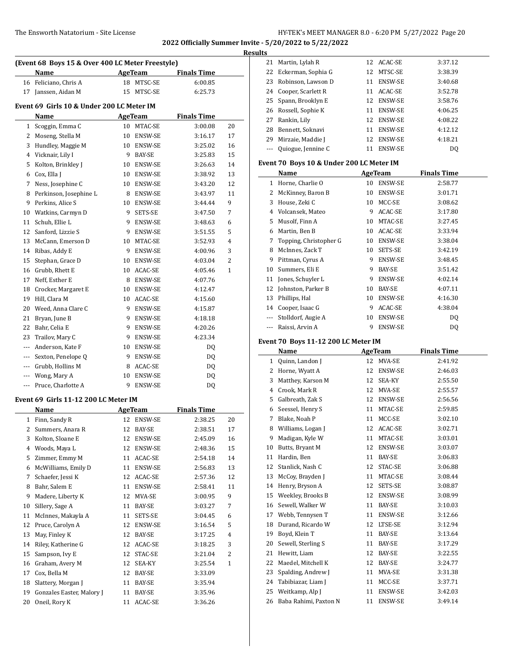### The Ensworth Natatorium - Site License 10 Company 3 and HY-TEK's MEET MANAGER 8.0 - 6:20 PM 5/27/2022 Page 20

21 Martin, Lylah R 12 ACAC-SE 3:37.12 22 Eckerman, Sophia G 12 MTSC-SE 3:38.39 23 Robinson, Lawson D 11 ENSW-SE 3:40.68

**2022 Officially Summer Invite - 5/20/2022 to 5/22/2022**

|          |                                                          |    |                                       |                    |                | Results |
|----------|----------------------------------------------------------|----|---------------------------------------|--------------------|----------------|---------|
|          | (Event 68 Boys 15 & Over 400 LC Meter Freestyle)<br>Name |    | AgeTeam                               | <b>Finals Time</b> |                |         |
|          | 16 Feliciano, Chris A                                    |    | 18 MTSC-SE                            | 6:00.85            |                |         |
| 17       | Janssen, Aidan M                                         | 15 | MTSC-SE                               | 6:25.73            |                |         |
|          |                                                          |    |                                       |                    |                |         |
|          | Event 69 Girls 10 & Under 200 LC Meter IM                |    |                                       |                    |                |         |
|          | Name                                                     |    | AgeTeam                               | <b>Finals Time</b> |                |         |
| 1        | Scoggin, Emma C                                          |    | 10 MTAC-SE                            | 3:00.08            | 20             |         |
|          | 2 Moseng, Stella M                                       |    | 10 ENSW-SE                            | 3:16.17            | 17             |         |
|          | 3 Hundley, Maggie M                                      |    | 10 ENSW-SE                            | 3:25.02            | 16             |         |
|          | 4 Vicknair, Lily I                                       |    | 9 BAY-SE                              | 3:25.83            | 15             |         |
| 5        | Kolton, Brinkley J                                       |    | 10 ENSW-SE                            | 3:26.63            | 14             |         |
|          | 6 Cox, Ella J                                            |    | 10 ENSW-SE                            | 3:38.92            | 13             |         |
| 7        | Ness, Josephine C                                        |    | 10 ENSW-SE                            | 3:43.20            | 12             |         |
| 8        | Perkinson, Josephine L                                   |    | 8 ENSW-SE                             | 3:43.97            | 11             |         |
| 9        | Perkins, Alice S                                         | 10 | ENSW-SE                               | 3:44.44            | 9              |         |
| 10       | Watkins, Carmyn D                                        | 9  | SETS-SE                               | 3:47.50            | 7              |         |
| 11       | Schuh, Ellie L                                           | 9  | ENSW-SE                               | 3:48.63            | 6              |         |
| 12       | Sanford, Lizzie S                                        | 9  | ENSW-SE                               | 3:51.55            | 5              |         |
| 13       | McCann, Emerson D                                        | 10 | MTAC-SE                               | 3:52.93            | $\overline{4}$ |         |
|          | 14 Ribas, Addy E                                         |    | 9 ENSW-SE                             | 4:00.96            | 3              |         |
| 15       | Stephan, Grace D                                         |    | 10 ENSW-SE                            | 4:03.04            | $\overline{2}$ |         |
|          | 16 Grubb, Rhett E                                        |    | 10 ACAC-SE                            | 4:05.46            | 1              |         |
| 17       | Neff, Esther E                                           |    | 8 ENSW-SE                             | 4:07.76            |                |         |
| 18       | Crocker, Margaret E                                      |    | 10 ENSW-SE                            | 4:12.47            |                |         |
| 19       | Hill, Clara M                                            |    | 10 ACAC-SE                            | 4:15.60            |                |         |
| 20       | Weed, Anna Clare C                                       |    | 9 ENSW-SE                             | 4:15.87            |                |         |
| 21       | Bryan, June B                                            | 9  | ENSW-SE                               | 4:18.18            |                |         |
| 22       | Bahr, Celia E                                            | 9  | ENSW-SE                               | 4:20.26            |                |         |
| 23       | Trailov, Mary C                                          | 9  | <b>ENSW-SE</b>                        | 4:23.34            |                |         |
| $\cdots$ | Anderson, Kate F                                         | 10 | ENSW-SE                               | DQ                 |                |         |
| ---      | Sexton, Penelope Q                                       |    | 9 ENSW-SE                             | DQ                 |                |         |
|          | --- Grubb, Hollins M                                     |    | 8 ACAC-SE                             | DQ                 |                |         |
| $\cdots$ | Wong, Mary A                                             | 10 | ENSW-SE                               | DQ                 |                |         |
| $---$    | Pruce, Charlotte A                                       |    | 9 ENSW-SE                             | DQ                 |                |         |
|          | Event 69 Girls 11-12 200 LC Meter IM                     |    |                                       |                    |                |         |
|          | Name                                                     |    | AgeTeam                               | <b>Finals Time</b> |                |         |
| 1        | Finn, Sandy R                                            | 12 | ENSW-SE                               | 2:38.25            | 20             |         |
| 2        | Summers, Anara R                                         | 12 | <b>BAY-SE</b>                         | 2:38.51            | 17             |         |
| 3        | Kolton, Sloane E                                         | 12 | ENSW-SE                               | 2:45.09            | 16             |         |
| 4        | Woods, Maya L                                            | 12 | ENSW-SE                               | 2:48.36            | 15             |         |
| 5        | Zimmer, Emmy M                                           | 11 | ACAC-SE                               | 2:54.18            | 14             |         |
| 6        | McWilliams, Emily D                                      | 11 | ENSW-SE                               | 2:56.83            | 13             |         |
| 7        | Schaefer, Jessi K                                        | 12 | ACAC-SE                               | 2:57.36            | 12             |         |
| 8        | Bahr, Salem E                                            | 11 | ENSW-SE                               | 2:58.41            | 11             |         |
| 9        | Madere, Liberty K                                        | 12 | MVA-SE                                | 3:00.95            | 9              |         |
| 10       | Sillery, Sage A                                          | 11 | $\ensuremath{\mathsf{BAY\text{-}SE}}$ | 3:03.27            | 7              |         |
| 11       | McInnes, Makayla A                                       | 11 | SETS-SE                               | 3:04.45            | 6              |         |
| 12       | Pruce, Carolyn A                                         | 12 | ENSW-SE                               | 3:16.54            | 5              |         |
| 13       | May, Finley K                                            | 12 | BAY-SE                                | 3:17.25            | 4              |         |
|          | 14 Riley, Katherine G                                    |    | 12 ACAC-SE                            | 3:18.25            | 3              |         |

15 Sampson, Ivy E 12 STAC-SE 3:21.04 2 Graham, Avery M 12 SEA-KY 3:25.54 1 17 Cox, Bella M 12 BAY-SE 3:33.09 18 Slattery, Morgan J 11 BAY-SE 3:35.94 19 Gonzales Easter, Malory J 11 BAY-SE 3:35.96 Oneil, Rory K 11 ACAC-SE 3:36.26

| 24           | Cooper, Scarlett R                        |    | 11 ACAC-SE            | 3:52.78            |  |
|--------------|-------------------------------------------|----|-----------------------|--------------------|--|
| 25           | Spann, Brooklyn E                         |    | 12 ENSW-SE            | 3:58.76            |  |
| 26           | Rossell, Sophie K                         |    | 11 ENSW-SE            | 4:06.25            |  |
| 27           | Rankin, Lily                              |    | 12 ENSW-SE            | 4:08.22            |  |
| 28           | Bennett, Soknavi                          |    | 11 ENSW-SE            | 4:12.12            |  |
| 29           | Mirzaie, Maddie J                         |    | 12 ENSW-SE            | 4:18.21            |  |
| ---          | Quiogue, Jennine C                        |    | 11 ENSW-SE            | DQ                 |  |
|              |                                           |    |                       |                    |  |
|              | Event 70 Boys 10 & Under 200 LC Meter IM  |    |                       |                    |  |
|              | Name                                      |    | AgeTeam               | <b>Finals Time</b> |  |
| 1            | Horne, Charlie O                          | 10 | ENSW-SE               | 2:58.77            |  |
| 2            | McKinney, Baron B                         |    | 10 ENSW-SE            | 3:01.71            |  |
| 3            | House, Zeki C                             |    | 10 MCC-SE             | 3:08.62            |  |
| 4            | Volcansek, Mateo                          |    | 9 ACAC-SE             | 3:17.80            |  |
| 5            | Musolf, Finn A                            |    | 10 MTAC-SE            | 3:27.45            |  |
| 6            | Martin, Ben B                             |    | 10 ACAC-SE            | 3:33.94            |  |
| 7            | Topping, Christopher G<br>McInnes, Zack T |    | 10 ENSW-SE            | 3:38.04            |  |
| 8            |                                           |    | 10 SETS-SE            | 3:42.19            |  |
| 9            | Pittman, Cyrus A                          |    | 9 ENSW-SE             | 3:48.45            |  |
| 10           | Summers, Eli E                            |    | 9 BAY-SE              | 3:51.42            |  |
| 11<br>12     | Jones, Schuyler L<br>Johnston, Parker B   |    | 9 ENSW-SE             | 4:02.14            |  |
|              |                                           |    | 10 BAY-SE             | 4:07.11            |  |
| 13           | Phillips, Hal                             |    | 10 ENSW-SE            | 4:16.30            |  |
|              | 14 Cooper, Isaac G                        |    | 9 ACAC-SE             | 4:38.04            |  |
| ---<br>---   | Stolldorf, Augie A<br>Raissi, Arvin A     | 9  | 10 ENSW-SE<br>ENSW-SE | DQ                 |  |
|              |                                           |    |                       | DQ                 |  |
|              | Event 70 Boys 11-12 200 LC Meter IM       |    |                       |                    |  |
|              |                                           |    |                       |                    |  |
|              | Name                                      |    | <b>AgeTeam</b>        | <b>Finals Time</b> |  |
| $\mathbf{1}$ | Quinn, Landon J                           |    | 12 MVA-SE             | 2:41.92            |  |
| 2            | Horne, Wyatt A                            |    | 12 ENSW-SE            | 2:46.03            |  |
| 3            | Matthey, Karson M                         |    | 12 SEA-KY             | 2:55.50            |  |
| 4            | Crook, Mark R                             |    | 12 MVA-SE             | 2:55.57            |  |
| 5            | Galbreath, Zak S                          |    | 12 ENSW-SE            | 2:56.56            |  |
| 6            | Seessel, Henry S                          |    | 11 MTAC-SE            | 2:59.85            |  |
| 7            | Blake, Noah P                             |    | 11 MCC-SE             | 3:02.10            |  |
| 8            | Williams, Logan J                         |    | 12 ACAC-SE            | 3:02.71            |  |
| 9            | Madigan, Kyle W                           |    | 11 MTAC-SE            | 3:03.01            |  |
| 10           | Butts, Bryant M                           |    | 12 ENSW-SE            | 3:03.07            |  |
| 11           | Hardin, Ben                               | 11 | BAY-SE                | 3:06.83            |  |
| 12           | Stanlick, Nash C                          | 12 | STAC-SE               | 3:06.88            |  |
| 13           | McCoy, Brayden J                          | 11 | MTAC-SE               | 3:08.44            |  |
| 14           | Henry, Bryson A                           | 12 | SETS-SE               | 3:08.87            |  |
| 15           | Weekley, Brooks B                         | 12 | ENSW-SE               | 3:08.99            |  |
| 16           | Sewell, Walker W                          | 11 | BAY-SE                | 3:10.03            |  |
| 17           | Webb, Tennysen T                          | 11 | ENSW-SE               | 3:12.66            |  |
| 18           | Durand, Ricardo W                         | 12 | LTSE-SE               | 3:12.94            |  |
| 19           | Boyd, Klein T                             | 11 | BAY-SE                | 3:13.64            |  |
| 20           | Sewell, Sterling S                        | 11 | BAY-SE                | 3:17.29            |  |
| 21           | Hewitt, Liam                              | 12 | BAY-SE                | 3:22.55            |  |
| 22           | Maedel, Mitchell K                        | 12 | BAY-SE                | 3:24.77            |  |
| 23           | Spalding, Andrew J                        | 11 | MVA-SE                | 3:31.38            |  |
| 24           | Tabibiazar, Liam J                        | 11 | MCC-SE                | 3:37.71            |  |
| 25           | Weitkamp, Alp J                           | 11 | ENSW-SE               | 3:42.03            |  |
| 26           | Baba Rahimi, Paxton N                     | 11 | ENSW-SE               | 3:49.14            |  |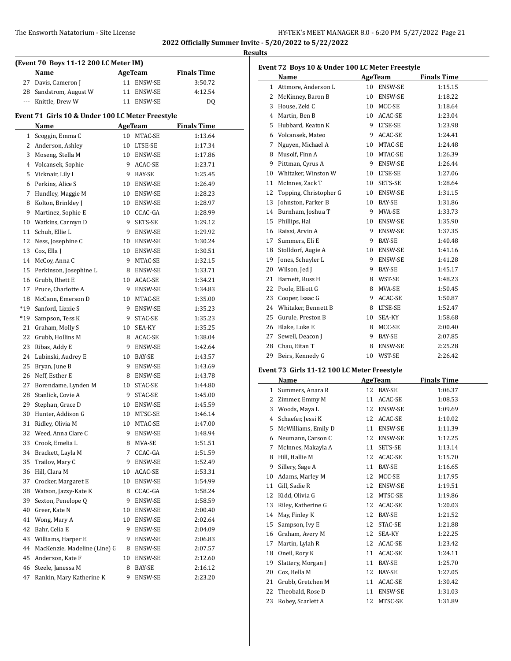#### The Ensworth Natatorium - Site License

| HY-TEK's MEET MANAGER 8.0 - 6:20 PM 5/27/2022 Page 21 |  |  |  |  |
|-------------------------------------------------------|--|--|--|--|
|-------------------------------------------------------|--|--|--|--|

**2022 Officially Summer Invite - 5/20/2022 to 5/22/2022 Results**

| (Event 70 Boys 11-12 200 LC Meter IM)            |                                       |         |                   |                    |  |  |  |  |
|--------------------------------------------------|---------------------------------------|---------|-------------------|--------------------|--|--|--|--|
|                                                  | Name                                  |         | AgeTeam           | <b>Finals Time</b> |  |  |  |  |
| 27                                               | Davis, Cameron J                      |         | 11 ENSW-SE        | 3:50.72            |  |  |  |  |
|                                                  | 28 Sandstrom, August W                |         | 11 ENSW-SE        | 4:12.54            |  |  |  |  |
|                                                  | --- Knittle, Drew W                   |         | 11 ENSW-SE        | DQ                 |  |  |  |  |
| Event 71 Girls 10 & Under 100 LC Meter Freestyle |                                       |         |                   |                    |  |  |  |  |
|                                                  | Name                                  |         | AgeTeam           | <b>Finals Time</b> |  |  |  |  |
|                                                  | 1 Scoggin, Emma C                     |         | 10 MTAC-SE        | 1:13.64            |  |  |  |  |
|                                                  | 2 Anderson, Ashley                    |         | 10 LTSE-SE        | 1:17.34            |  |  |  |  |
|                                                  | 3 Moseng, Stella M                    |         | 10 ENSW-SE        | 1:17.86            |  |  |  |  |
|                                                  | 4 Volcansek, Sophie                   |         | 9 ACAC-SE         | 1:23.71            |  |  |  |  |
|                                                  | 5 Vicknair, Lily I                    |         | 9 BAY-SE          | 1:25.45            |  |  |  |  |
| 6                                                | Perkins, Alice S                      | 10      | ENSW-SE           | 1:26.49            |  |  |  |  |
| 7                                                | Hundley, Maggie M                     |         | 10 ENSW-SE        | 1:28.23            |  |  |  |  |
| 8                                                | Kolton, Brinkley J                    |         | 10 ENSW-SE        | 1:28.97            |  |  |  |  |
|                                                  | 9 Martinez, Sophie E                  |         | 10 CCAC-GA        | 1:28.99            |  |  |  |  |
|                                                  | 10 Watkins, Carmyn D                  | 9.      | SETS-SE           | 1:29.12            |  |  |  |  |
|                                                  | 11 Schuh, Ellie L                     |         | 9 ENSW-SE         | 1:29.92            |  |  |  |  |
|                                                  | 12 Ness, Josephine C                  |         | 10 ENSW-SE        | 1:30.24            |  |  |  |  |
|                                                  | 13 Cox, Ella J                        |         | 10 ENSW-SE        | 1:30.51            |  |  |  |  |
|                                                  | 14 McCoy, Anna C                      |         | 9 MTAC-SE         | 1:32.15            |  |  |  |  |
|                                                  | 15 Perkinson, Josephine L             |         | 8 ENSW-SE         | 1:33.71            |  |  |  |  |
|                                                  | 16 Grubb, Rhett E                     |         | 10 ACAC-SE        | 1:34.21            |  |  |  |  |
|                                                  | 17 Pruce, Charlotte A                 | 9.      | ENSW-SE           | 1:34.83            |  |  |  |  |
| 18                                               | McCann, Emerson D                     | 10      | MTAC-SE           | 1:35.00            |  |  |  |  |
|                                                  | *19 Sanford, Lizzie S                 | 9       | ENSW-SE           | 1:35.23            |  |  |  |  |
|                                                  | *19 Sampson, Tess K                   | 9       | STAC-SE           | 1:35.23            |  |  |  |  |
|                                                  | 21 Graham, Molly S                    | 10      | SEA-KY            | 1:35.25            |  |  |  |  |
|                                                  | 22 Grubb, Hollins M                   | 8       | ACAC-SE           | 1:38.04            |  |  |  |  |
|                                                  | 23 Ribas, Addy E                      | 9.      | ENSW-SE           | 1:42.64            |  |  |  |  |
|                                                  | 24 Lubinski, Audrey E                 | 10      | BAY-SE            | 1:43.57            |  |  |  |  |
|                                                  | 25 Bryan, June B                      |         | 9 ENSW-SE         | 1:43.69            |  |  |  |  |
|                                                  | 26 Neff, Esther E                     |         | 8 ENSW-SE         | 1:43.78            |  |  |  |  |
|                                                  | 27 Borendame, Lynden M                | 10      | STAC-SE           | 1:44.80            |  |  |  |  |
|                                                  | 28 Stanlick, Covie A                  | 9       | STAC-SE           | 1:45.00            |  |  |  |  |
|                                                  | 29 Stephan, Grace D                   |         | 10 ENSW-SE        | 1:45.59            |  |  |  |  |
|                                                  | 30 Hunter, Addison G                  | 10      | MTSC-SE           | 1:46.14            |  |  |  |  |
| 31                                               | Ridley, Olivia M                      | 10      | MTAC-SE           | 1:47.00            |  |  |  |  |
| 32                                               | Weed, Anna Clare C                    | 9       | ENSW-SE           | 1:48.94            |  |  |  |  |
| 33                                               | Crook, Emelia L                       | 8       | MVA-SE            | 1:51.51            |  |  |  |  |
| 34                                               | Brackett, Layla M                     | 7       | CCAC-GA           | 1:51.59            |  |  |  |  |
| 35                                               | Trailov, Mary C                       | 9       | ENSW-SE           | 1:52.49            |  |  |  |  |
| 36                                               | Hill, Clara M                         | 10      | ACAC-SE           | 1:53.31            |  |  |  |  |
| 37                                               | Crocker, Margaret E                   | 10      | ENSW-SE           | 1:54.99            |  |  |  |  |
| 38                                               | Watson, Jazzy-Kate K                  | 8.      | CCAC-GA           | 1:58.24            |  |  |  |  |
| 39                                               | Sexton, Penelope Q                    | 9       | ENSW-SE           |                    |  |  |  |  |
| 40                                               | Greer, Kate N                         | 10      | ENSW-SE           | 1:58.59<br>2:00.40 |  |  |  |  |
| 41                                               | Wong, Mary A                          | 10      | ENSW-SE           | 2:02.64            |  |  |  |  |
| 42                                               | Bahr, Celia E                         | 9.      | ENSW-SE           | 2:04.09            |  |  |  |  |
| 43                                               | Williams, Harper E                    | 9.      | ENSW-SE           | 2:06.83            |  |  |  |  |
| 44                                               | MacKenzie, Madeline (Line) G          | 8.      | ENSW-SE           | 2:07.57            |  |  |  |  |
| 45                                               |                                       |         |                   |                    |  |  |  |  |
| 46                                               | Anderson, Kate F<br>Steele, Janessa M | 10<br>8 | ENSW-SE<br>BAY-SE | 2:12.60<br>2:16.12 |  |  |  |  |
| 47                                               | Rankin, Mary Katherine K              | 9.      |                   |                    |  |  |  |  |
|                                                  |                                       |         | ENSW-SE           | 2:23.20            |  |  |  |  |

|    | Event 72 Boys 10 & Under 100 LC Meter Freestyle<br>Name |    | <b>AgeTeam</b>      | <b>Finals Time</b> |
|----|---------------------------------------------------------|----|---------------------|--------------------|
|    | 1 Attmore, Anderson L                                   |    | 10 ENSW-SE          | 1:15.15            |
|    | 2 McKinney, Baron B                                     |    | 10 ENSW-SE          | 1:18.22            |
|    | 3 House, Zeki C                                         |    | 10 MCC-SE           | 1:18.64            |
|    | 4 Martin, Ben B                                         |    | 10 ACAC-SE          | 1:23.04            |
|    | 5 Hubbard, Keaton K                                     |    | 9 LTSE-SE           | 1:23.98            |
|    | 6 Volcansek, Mateo                                      |    | 9 ACAC-SE           | 1:24.41            |
| 7  | Nguyen, Michael A                                       |    | 10 MTAC-SE          | 1:24.48            |
|    | 8 Musolf, Finn A                                        |    | 10 MTAC-SE          | 1:26.39            |
|    | 9 Pittman, Cyrus A                                      |    | 9 ENSW-SE           | 1:26.44            |
|    | 10 Whitaker, Winston W                                  |    | 10 LTSE-SE          | 1:27.06            |
| 11 | McInnes, Zack T                                         |    | 10 SETS-SE          | 1:28.64            |
| 12 | Topping, Christopher G                                  |    | 10 ENSW-SE          | 1:31.15            |
| 13 | Johnston, Parker B                                      |    | 10 BAY-SE           | 1:31.86            |
|    | 14 Burnham, Joshua T                                    |    | 9 MVA-SE            | 1:33.73            |
|    | 15 Phillips, Hal                                        |    | 10 ENSW-SE          | 1:35.90            |
|    | 16 Raissi, Arvin A                                      |    | 9 ENSW-SE           | 1:37.35            |
|    | 17 Summers, Eli E                                       |    | 9 BAY-SE            | 1:40.48            |
|    |                                                         |    | 10 ENSW-SE          |                    |
|    | 18 Stolldorf, Augie A<br>19 Jones, Schuyler L           |    | 9 ENSW-SE           | 1:41.16<br>1:41.28 |
|    | 20 Wilson, Jed J                                        |    | 9 BAY-SE            | 1:45.17            |
|    |                                                         |    |                     |                    |
| 21 | Barnett, Russ H<br>22 Poole, Elliott G                  |    | 8 WST-SE            | 1:48.23            |
|    |                                                         |    | 8 MVA-SE            | 1:50.45            |
|    | 23 Cooper, Isaac G                                      |    | 9 ACAC-SE           | 1:50.87            |
|    | 24 Whitaker, Bennett B                                  |    | 8 LTSE-SE<br>SEA-KY | 1:52.47            |
|    | 25 Gurule, Preston B                                    | 10 |                     | 1:58.68            |
|    | 26 Blake, Luke E                                        |    | 8 MCC-SE            | 2:00.40            |
|    | 27 Sewell, Deacon J<br>28 Chau, Eitan T                 | 9  | BAY-SE<br>8 ENSW-SE | 2:07.85            |
|    |                                                         |    |                     | 2:25.28            |
| 29 | Beirs, Kennedy G                                        |    | 10 WST-SE           | 2:26.42            |
|    | Event 73 Girls 11-12 100 LC Meter Freestyle             |    |                     |                    |
|    | Name                                                    |    | <b>AgeTeam</b>      | <b>Finals Time</b> |
|    | 1 Summers, Anara R                                      |    | 12 BAY-SE           | 1:06.37            |
|    | 2 Zimmer, Emmy M                                        |    | 11 ACAC-SE          | 1:08.53            |
|    | 3 Woods, Maya L                                         |    | 12 ENSW-SE          | 1:09.69            |
|    | 4 Schaefer, Jessi K                                     |    | 12 ACAC-SE          | 1:10.02            |
|    | 5 McWilliams, Emily D                                   |    | 11 ENSW-SE          | 1:11.39            |
|    | 6 Neumann, Carson C                                     |    | 12 ENSW-SE          | 1:12.25            |
| 7  | McInnes, Makayla A                                      | 11 | SETS-SE             | 1:13.14            |
| 8  | Hill, Hallie M                                          | 12 | ACAC-SE             | 1:15.70            |
| 9  | Sillery, Sage A                                         | 11 | BAY-SE              | 1:16.65            |
| 10 | Adams, Marley M                                         | 12 | MCC-SE              | 1:17.95            |
| 11 | Gill, Sadie R                                           | 12 | ENSW-SE             | 1:19.51            |
| 12 | Kidd, Olivia G                                          | 12 | MTSC-SE             | 1:19.86            |
| 13 | Riley, Katherine G                                      | 12 | ACAC-SE             | 1:20.03            |
| 14 | May, Finley K                                           | 12 | BAY-SE              | 1:21.52            |
| 15 | Sampson, Ivy E                                          | 12 | STAC-SE             | 1:21.88            |

 Graham, Avery M 12 SEA-KY 1:22.25 17 Martin, Lylah R 12 ACAC-SE 1:23.42 18 Oneil, Rory K 11 ACAC-SE 1:24.11 19 Slattery, Morgan J 11 BAY-SE 1:25.70 Cox, Bella M 12 BAY-SE 1:27.05 21 Grubb, Gretchen M 11 ACAC-SE 1:30.42 22 Theobald, Rose D 11 ENSW-SE 1:31.03 23 Robey, Scarlett A 12 MTSC-SE 1:31.89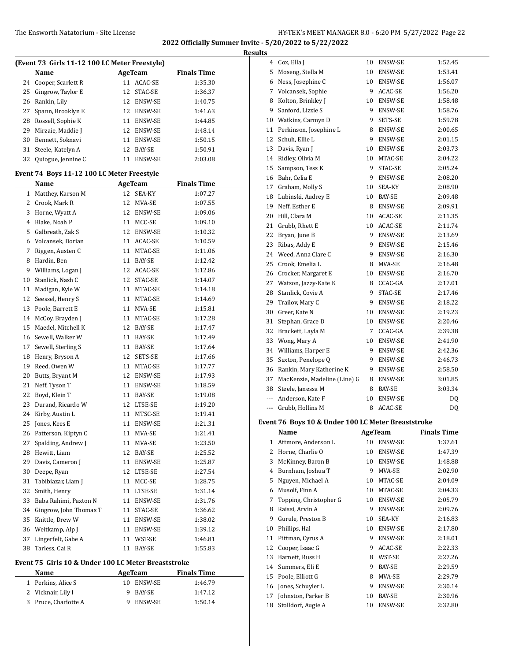|    |                                               |    |                |                    | <b>Results</b>       |
|----|-----------------------------------------------|----|----------------|--------------------|----------------------|
|    | (Event 73 Girls 11-12 100 LC Meter Freestyle) |    |                |                    |                      |
|    | Name                                          |    | AgeTeam        | <b>Finals Time</b> |                      |
|    | 24 Cooper, Scarlett R                         |    | 11 ACAC-SE     | 1:35.30            |                      |
| 25 | Gingrow, Taylor E                             |    | 12 STAC-SE     | 1:36.37            |                      |
| 26 | Rankin, Lily                                  |    | 12 ENSW-SE     | 1:40.75            |                      |
| 27 | Spann, Brooklyn E                             |    | 12 ENSW-SE     | 1:41.63            |                      |
| 28 | Rossell, Sophie K                             |    | 11 ENSW-SE     | 1:44.85            | 1                    |
| 29 | Mirzaie, Maddie J                             |    | 12 ENSW-SE     | 1:48.14            | $1^{\circ}$          |
| 30 | Bennett, Soknavi                              |    | 11 ENSW-SE     | 1:50.15            | 1:                   |
| 31 | Steele, Katelyn A                             |    | 12 BAY-SE      | 1:50.91            | 1:                   |
| 32 | Quiogue, Jennine C                            |    | 11 ENSW-SE     | 2:03.08            | 1.                   |
|    | Event 74 Boys 11-12 100 LC Meter Freestyle    |    |                |                    | 1!<br>1 <sub>0</sub> |
|    | Name                                          |    | <b>AgeTeam</b> | <b>Finals Time</b> | $1^{\prime}$         |
|    | 1 Matthey, Karson M                           |    | 12 SEA-KY      | 1:07.27            | $\mathbf{1}$         |
|    | 2 Crook, Mark R                               |    | 12 MVA-SE      | 1:07.55            | $1^{\prime}$         |
|    | 3 Horne, Wyatt A                              |    | 12 ENSW-SE     | 1:09.06            | $\overline{2}$       |
| 4  | Blake, Noah P                                 |    | 11 MCC-SE      | 1:09.10            | $\mathbf{2}$         |
| 5  | Galbreath, Zak S                              |    | 12 ENSW-SE     | 1:10.32            | 2:                   |
| 6  | Volcansek, Dorian                             |    | 11 ACAC-SE     | 1:10.59            | 2:                   |
| 7  | Riggen, Austen C                              |    | 11 MTAC-SE     | 1:11.06            | 2 <sup>1</sup>       |
| 8  | Hardin, Ben                                   |    | 11 BAY-SE      | 1:12.42            | 2!                   |
| 9  | Williams, Logan J                             |    | 12 ACAC-SE     | 1:12.86            | $\overline{2}$       |
| 10 | Stanlick, Nash C                              |    | 12 STAC-SE     | 1:14.07            | $2^{\prime}$         |
| 11 | Madigan, Kyle W                               |    | 11 MTAC-SE     | 1:14.18            | 2١                   |
| 12 | Seessel, Henry S                              |    | 11 MTAC-SE     | 1:14.69            | 2 <sup>0</sup>       |
| 13 | Poole, Barrett E                              |    | 11 MVA-SE      | 1:15.81            | 3                    |
| 14 | McCoy, Brayden J                              |    | 11 MTAC-SE     | 1:17.28            | $3^{\circ}$          |
| 15 | Maedel, Mitchell K                            |    | 12 BAY-SE      | 1:17.47            | 3                    |
| 16 | Sewell, Walker W                              |    | 11 BAY-SE      | 1:17.49            | 3.                   |
| 17 | Sewell, Sterling S                            |    | 11 BAY-SE      | 1:17.64            | 3.                   |
| 18 | Henry, Bryson A                               |    | 12 SETS-SE     | 1:17.66            | 3!                   |
| 19 | Reed, Owen W                                  |    | 11 MTAC-SE     | 1:17.77            | 3 <sub>0</sub>       |
| 20 | Butts, Bryant M                               |    | 12 ENSW-SE     | 1:17.93            | 3'                   |
| 21 | Neff, Tyson T                                 |    | 11 ENSW-SE     | 1:18.59            | 31                   |
| 22 | Boyd, Klein T                                 |    | 11 BAY-SE      | 1:19.08            |                      |
| 23 | Durand, Ricardo W                             |    | 12 LTSE-SE     | 1:19.20            |                      |
|    | 24 Kirby, Austin L                            |    | 11 MTSC-SE     | 1:19.41            |                      |
|    | 25 Jones, Kees E                              |    | 11 ENSW-SE     | 1:21.31            | Ever                 |
|    | 26 Patterson, Kiptyn C                        |    | 11 MVA-SE      | 1:21.41            |                      |
| 27 | Spalding, Andrew J                            | 11 | MVA-SE         | 1:23.50            |                      |
| 28 | Hewitt, Liam                                  | 12 | BAY-SE         | 1:25.52            |                      |
| 29 | Davis, Cameron J                              | 11 | ENSW-SE        | 1:25.87            |                      |
| 30 | Deepe, Ryan                                   | 12 | LTSE-SE        | 1:27.54            |                      |
| 31 | Tabibiazar, Liam J                            | 11 | MCC-SE         | 1:28.75            |                      |
| 32 | Smith, Henry                                  | 11 | LTSE-SE        | 1:31.14            |                      |
| 33 | Baba Rahimi, Paxton N                         | 11 | ENSW-SE        | 1:31.76            |                      |
| 34 | Gingrow, John Thomas T                        | 11 | STAC-SE        | 1:36.62            |                      |
| 35 | Knittle, Drew W                               | 11 | <b>ENSW-SE</b> | 1:38.02            |                      |
| 36 | Weitkamp, Alp J                               | 11 | ENSW-SE        | 1:39.12            | 1                    |
| 37 | Lingerfelt, Gabe A                            | 11 | WST-SE         | 1:46.81            | $1^{\cdot}$          |
| 38 | Tarless, Cai R                                | 11 | BAY-SE         | 1:55.83            | 1:                   |
|    |                                               |    |                |                    |                      |

### **Event 75 Girls 10 & Under 100 LC Meter Breaststroke**

| Name                 | AgeTeam    | <b>Finals Time</b> |  |
|----------------------|------------|--------------------|--|
| 1 Perkins, Alice S   | 10 ENSW-SE | 1:46.79            |  |
| 2 Vicknair, Lily I   | 9 BAY-SE   | 1:47.12            |  |
| 3 Pruce, Charlotte A | ENSW-SE    | 1:50.14            |  |

| 4   | Cox, Ella J                  | 10 | ENSW-SE | 1:52.45 |
|-----|------------------------------|----|---------|---------|
| 5   | Moseng, Stella M             | 10 | ENSW-SE | 1:53.41 |
| 6   | Ness, Josephine C            | 10 | ENSW-SE | 1:56.07 |
| 7   | Volcansek, Sophie            | 9  | ACAC-SE | 1:56.20 |
| 8   | Kolton, Brinkley J           | 10 | ENSW-SE | 1:58.48 |
| 9   | Sanford, Lizzie S            | 9  | ENSW-SE | 1:58.76 |
| 10  | Watkins, Carmyn D            | 9  | SETS-SE | 1:59.78 |
| 11  | Perkinson, Josephine L       | 8  | ENSW-SE | 2:00.65 |
| 12  | Schuh, Ellie L               | 9  | ENSW-SE | 2:01.15 |
| 13  | Davis, Ryan J                | 10 | ENSW-SE | 2:03.73 |
| 14  | Ridley, Olivia M             | 10 | MTAC-SE | 2:04.22 |
| 15  | Sampson, Tess K              | 9  | STAC-SE | 2:05.24 |
| 16  | Bahr, Celia E                | 9  | ENSW-SE | 2:08.20 |
| 17  | Graham, Molly S              | 10 | SEA-KY  | 2:08.90 |
| 18  | Lubinski, Audrey E           | 10 | BAY-SE  | 2:09.48 |
| 19  | Neff, Esther E               | 8  | ENSW-SE | 2:09.91 |
| 20  | Hill, Clara M                | 10 | ACAC-SE | 2:11.35 |
| 21  | Grubb, Rhett E               | 10 | ACAC-SE | 2:11.74 |
| 22  | Bryan, June B                | 9  | ENSW-SE | 2:13.69 |
| 23  | Ribas, Addy E                | 9  | ENSW-SE | 2:15.46 |
| 24  | Weed, Anna Clare C           | 9  | ENSW-SE | 2:16.30 |
| 25  | Crook, Emelia L              | 8  | MVA-SE  | 2:16.48 |
| 26  | Crocker, Margaret E          | 10 | ENSW-SE | 2:16.70 |
| 27  | Watson, Jazzy-Kate K         | 8  | CCAC-GA | 2:17.01 |
| 28  | Stanlick, Covie A            | 9  | STAC-SE | 2:17.46 |
| 29  | Trailov, Mary C              | 9  | ENSW-SE | 2:18.22 |
| 30  | Greer, Kate N                | 10 | ENSW-SE | 2:19.23 |
| 31  | Stephan, Grace D             | 10 | ENSW-SE | 2:20.46 |
| 32  | Brackett, Layla M            | 7  | CCAC-GA | 2:39.38 |
| 33  | Wong, Mary A                 | 10 | ENSW-SE | 2:41.90 |
| 34  | Williams, Harper E           | 9  | ENSW-SE | 2:42.36 |
| 35  | Sexton, Penelope Q           | 9  | ENSW-SE | 2:46.73 |
| 36  | Rankin, Mary Katherine K     | 9  | ENSW-SE | 2:58.50 |
| 37  | MacKenzie, Madeline (Line) G | 8  | ENSW-SE | 3:01.85 |
| 38  | Steele, Janessa M            | 8  | BAY-SE  | 3:03.34 |
| --- | Anderson, Kate F             | 10 | ENSW-SE | DQ      |
| --- | Grubb, Hollins M             | 8  | ACAC-SE | DQ      |

# **Event 76 Boys 10 & Under 100 LC Meter Breaststroke**

|    | Name                   |    | AgeTeam        | <b>Finals Time</b> |
|----|------------------------|----|----------------|--------------------|
| 1  | Attmore, Anderson L    | 10 | ENSW-SE        | 1:37.61            |
| 2  | Horne, Charlie O       | 10 | <b>ENSW-SE</b> | 1:47.39            |
| 3  | McKinney, Baron B      | 10 | ENSW-SE        | 1:48.88            |
| 4  | Burnham, Joshua T      | 9  | MVA-SE         | 2:02.90            |
| 5  | Nguyen, Michael A      | 10 | MTAC-SE        | 2:04.09            |
| 6  | Musolf, Finn A         | 10 | MTAC-SE        | 2:04.33            |
| 7  | Topping, Christopher G | 10 | ENSW-SE        | 2:05.79            |
| 8  | Raissi, Arvin A        | 9  | ENSW-SE        | 2:09.76            |
| 9  | Gurule, Preston B      | 10 | SEA-KY         | 2:16.83            |
| 10 | Phillips, Hal          | 10 | ENSW-SE        | 2:17.80            |
| 11 | Pittman, Cyrus A       | 9  | <b>ENSW-SE</b> | 2:18.01            |
| 12 | Cooper, Isaac G        | 9  | ACAC-SE        | 2:22.33            |
| 13 | Barnett, Russ H        | 8  | WST-SE         | 2:27.26            |
| 14 | Summers, Eli E         | 9  | BAY-SE         | 2:29.59            |
| 15 | Poole, Elliott G       | 8  | MVA-SE         | 2:29.79            |
| 16 | Jones, Schuyler L      | 9  | <b>ENSW-SE</b> | 2:30.14            |
| 17 | Johnston, Parker B     | 10 | BAY-SE         | 2:30.96            |
| 18 | Stolldorf, Augie A     | 10 | <b>ENSW-SE</b> | 2:32.80            |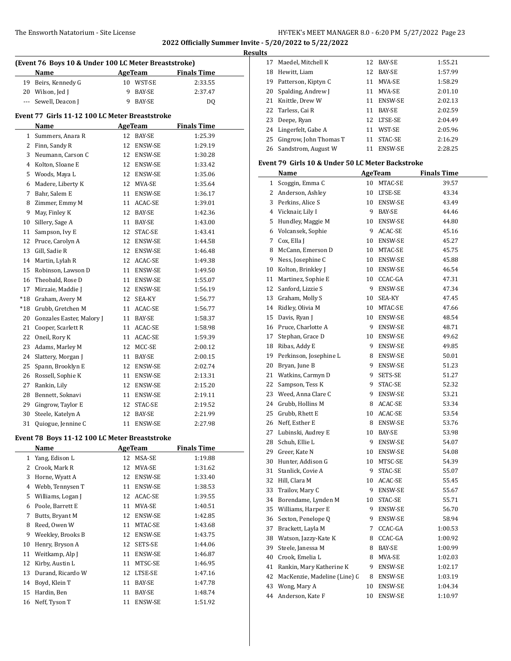### The Ensworth Natatorium - Site License

| HY-TEK's MEET MANAGER 8.0 - 6:20 PM 5/27/2022 Page 23 |  |  |  |
|-------------------------------------------------------|--|--|--|
|-------------------------------------------------------|--|--|--|

**2022 Officially Summer Invite - 5/20/2022 to 5/22/2022**

**Results**

| (Event 76 Boys 10 & Under 100 LC Meter Breaststroke) |                                                |    |                |                    |  |  |
|------------------------------------------------------|------------------------------------------------|----|----------------|--------------------|--|--|
|                                                      | Name                                           |    | AgeTeam        | <b>Finals Time</b> |  |  |
|                                                      | 19 Beirs, Kennedy G                            |    | 10 WST-SE      | 2:33.55            |  |  |
|                                                      | 20 Wilson, Jed J                               | 9  | BAY-SE         | 2:37.47            |  |  |
| ---                                                  | Sewell, Deacon J                               | 9  | BAY-SE         | DQ                 |  |  |
|                                                      | Event 77 Girls 11-12 100 LC Meter Breaststroke |    |                |                    |  |  |
|                                                      | Name                                           |    | <b>AgeTeam</b> | <b>Finals Time</b> |  |  |
| 1                                                    | Summers, Anara R                               | 12 | <b>BAY-SE</b>  | 1:25.39            |  |  |
| 2                                                    | Finn, Sandy R                                  | 12 | <b>ENSW-SE</b> | 1:29.19            |  |  |
| 3                                                    | Neumann, Carson C                              | 12 | ENSW-SE        | 1:30.28            |  |  |
| 4                                                    | Kolton, Sloane E                               | 12 | ENSW-SE        | 1:33.42            |  |  |
| 5                                                    | Woods, Maya L                                  |    | 12 ENSW-SE     | 1:35.06            |  |  |
| 6                                                    | Madere, Liberty K                              | 12 | MVA-SE         | 1:35.64            |  |  |
| 7                                                    | Bahr, Salem E                                  | 11 | ENSW-SE        | 1:36.17            |  |  |
| 8                                                    | Zimmer, Emmy M                                 | 11 | ACAC-SE        | 1:39.01            |  |  |
| 9                                                    | May, Finley K                                  | 12 | BAY-SE         | 1:42.36            |  |  |
| 10                                                   | Sillery, Sage A                                | 11 | BAY-SE         | 1:43.00            |  |  |
| 11                                                   | Sampson, Ivy E                                 | 12 | STAC-SE        | 1:43.41            |  |  |
| 12                                                   | Pruce, Carolyn A                               |    | 12 ENSW-SE     | 1:44.58            |  |  |
| 13                                                   | Gill, Sadie R                                  | 12 | ENSW-SE        | 1:46.48            |  |  |
| 14                                                   | Martin, Lylah R                                |    | 12 ACAC-SE     | 1:49.38            |  |  |
| 15                                                   | Robinson, Lawson D                             |    | 11 ENSW-SE     | 1:49.50            |  |  |
| 16                                                   | Theobald, Rose D                               | 11 | ENSW-SE        | 1:55.07            |  |  |
| 17                                                   | Mirzaie, Maddie J                              |    | 12 ENSW-SE     | 1:56.19            |  |  |
| $*18$                                                | Graham, Avery M                                | 12 | SEA-KY         | 1:56.77            |  |  |
| $*18$                                                | Grubb, Gretchen M                              |    | 11 ACAC-SE     | 1:56.77            |  |  |
| 20                                                   | Gonzales Easter, Malory J                      |    | 11 BAY-SE      | 1:58.37            |  |  |
| 21                                                   | Cooper, Scarlett R                             | 11 | ACAC-SE        | 1:58.98            |  |  |
| 22                                                   | Oneil, Rory K                                  |    | 11 ACAC-SE     | 1:59.39            |  |  |
| 23                                                   | Adams, Marley M                                | 12 | MCC-SE         | 2:00.12            |  |  |
| 24                                                   | Slattery, Morgan J                             | 11 | BAY-SE         | 2:00.15            |  |  |
| 25                                                   | Spann, Brooklyn E                              | 12 | ENSW-SE        | 2:02.74            |  |  |
| 26                                                   | Rossell, Sophie K                              | 11 | ENSW-SE        | 2:13.31            |  |  |
| 27                                                   | Rankin, Lily                                   | 12 | <b>ENSW-SE</b> | 2:15.20            |  |  |
| 28                                                   | Bennett, Soknavi                               | 11 | ENSW-SE        | 2:19.11            |  |  |
| 29                                                   | Gingrow, Taylor E                              | 12 | STAC-SE        | 2:19.52            |  |  |
| 30                                                   | Steele, Katelyn A                              | 12 | <b>BAY-SE</b>  | 2:21.99            |  |  |
| 31                                                   | Quiogue, Jennine C                             | 11 | <b>ENSW-SE</b> | 2:27.98            |  |  |
|                                                      |                                                |    |                |                    |  |  |

### **Event 78 Boys 11-12 100 LC Meter Breaststroke**

|    | Name              | <b>AgeTeam</b> |                | <b>Finals Time</b> |
|----|-------------------|----------------|----------------|--------------------|
| 1  | Yang, Edison L    | 12             | MSA-SE         | 1:19.88            |
| 2  | Crook, Mark R     | 12             | MVA-SE         | 1:31.62            |
| 3  | Horne, Wyatt A    | 12             | <b>ENSW-SE</b> | 1:33.40            |
| 4  | Webb, Tennysen T  | 11             | <b>ENSW-SE</b> | 1:38.53            |
| 5  | Williams, Logan J | 12             | ACAC-SE        | 1:39.55            |
| 6  | Poole, Barrett E  | 11             | MVA-SE         | 1:40.51            |
| 7  | Butts, Bryant M   | 12             | ENSW-SE        | 1:42.85            |
| 8  | Reed, Owen W      | 11             | MTAC-SE        | 1:43.68            |
| 9  | Weekley, Brooks B | 12             | <b>ENSW-SE</b> | 1:43.75            |
| 10 | Henry, Bryson A   | 12             | SETS-SE        | 1:44.06            |
| 11 | Weitkamp, Alp J   | 11             | <b>ENSW-SE</b> | 1:46.87            |
| 12 | Kirby, Austin L   | 11             | MTSC-SE        | 1:46.95            |
| 13 | Durand, Ricardo W | 12             | LTSE-SE        | 1:47.16            |
| 14 | Boyd, Klein T     | 11             | BAY-SE         | 1:47.78            |
| 15 | Hardin, Ben       | 11             | BAY-SE         | 1:48.74            |
| 16 | Neff, Tyson T     | 11             | <b>ENSW-SE</b> | 1:51.92            |

| 17 | Maedel, Mitchell K        | 12. | BAY-SE         | 1:55.21 |
|----|---------------------------|-----|----------------|---------|
| 18 | Hewitt, Liam              | 12  | BAY-SE         | 1:57.99 |
| 19 | Patterson, Kiptyn C       | 11  | MVA-SE         | 1:58.29 |
|    | 20 Spalding, Andrew J     | 11  | MVA-SE         | 2:01.10 |
| 21 | Knittle, Drew W           | 11  | <b>ENSW-SE</b> | 2:02.13 |
|    | 22 Tarless, Cai R         | 11  | <b>BAY-SE</b>  | 2:02.59 |
| 23 | Deepe, Ryan               | 12. | LTSE-SE        | 2:04.49 |
|    | 24 Lingerfelt, Gabe A     | 11  | WST-SE         | 2:05.96 |
|    | 25 Gingrow, John Thomas T | 11  | STAC-SE        | 2:16.29 |
|    | 26 Sandstrom, August W    | 11  | <b>ENSW-SE</b> | 2:28.25 |

### **Event 79 Girls 10 & Under 50 LC Meter Backstroke**

|    | Name                            |    | <u>AgeTeam</u> | <b>Finals Time</b> |
|----|---------------------------------|----|----------------|--------------------|
|    | 1 Scoggin, Emma C               |    | 10 MTAC-SE     | 39.57              |
|    | 2 Anderson, Ashley              |    | 10 LTSE-SE     | 43.34              |
|    | 3 Perkins, Alice S              |    | 10 ENSW-SE     | 43.49              |
|    | 4 Vicknair, Lily I              |    | 9 BAY-SE       | 44.46              |
|    | 5 Hundley, Maggie M             |    | 10 ENSW-SE     | 44.80              |
|    | 6 Volcansek, Sophie             |    | 9 ACAC-SE      | 45.16              |
|    | 7 Cox, Ella J                   |    | 10 ENSW-SE     | 45.27              |
|    | 8 McCann, Emerson D             |    | 10 MTAC-SE     | 45.75              |
|    | 9 Ness, Josephine C             |    | 10 ENSW-SE     | 45.88              |
|    | 10 Kolton, Brinkley J           |    | 10 ENSW-SE     | 46.54              |
|    | 11 Martinez, Sophie E           |    | 10 CCAC-GA     | 47.31              |
|    | 12 Sanford, Lizzie S            |    | 9 ENSW-SE      | 47.34              |
|    | 13 Graham, Molly S              |    | 10 SEA-KY      | 47.45              |
|    | 14 Ridley, Olivia M             |    | 10 MTAC-SE     | 47.66              |
|    | 15 Davis, Ryan J                |    | 10 ENSW-SE     | 48.54              |
|    | 16 Pruce, Charlotte A           |    | 9 ENSW-SE      | 48.71              |
|    | 17 Stephan, Grace D             |    | 10 ENSW-SE     | 49.62              |
|    | 18 Ribas, Addy E                |    | 9 ENSW-SE      | 49.85              |
|    | 19 Perkinson, Josephine L       |    | 8 ENSW-SE      | 50.01              |
|    | 20 Bryan, June B                |    | 9 ENSW-SE      | 51.23              |
|    | 21 Watkins, Carmyn D            | 9  | SETS-SE        | 51.27              |
|    | 22 Sampson, Tess K              | 9  | STAC-SE        | 52.32              |
|    | 23 Weed, Anna Clare C           |    | 9 ENSW-SE      | 53.21              |
|    | 24 Grubb, Hollins M             |    | 8 ACAC-SE      | 53.34              |
|    | 25 Grubb, Rhett E               |    | 10 ACAC-SE     | 53.54              |
|    | 26 Neff, Esther E               |    | 8 ENSW-SE      | 53.76              |
|    | 27 Lubinski, Audrey E           |    | 10 BAY-SE      | 53.98              |
|    | 28 Schuh, Ellie L               |    | 9 ENSW-SE      | 54.07              |
|    | 29 Greer, Kate N                |    | 10 ENSW-SE     | 54.08              |
|    | 30 Hunter, Addison G            |    | 10 MTSC-SE     | 54.39              |
|    | 31 Stanlick, Covie A            |    | 9 STAC-SE      | 55.07              |
|    | 32 Hill, Clara M                |    | 10 ACAC-SE     | 55.45              |
|    | 33 Trailov, Mary C              |    | 9 ENSW-SE      | 55.67              |
|    | 34 Borendame, Lynden M          |    | 10 STAC-SE     | 55.71              |
|    | 35 Williams, Harper E           |    | 9 ENSW-SE      | 56.70              |
|    | 36 Sexton, Penelope Q           |    | 9 ENSW-SE      | 58.94              |
|    | 37 Brackett, Layla M            | 7  | CCAC-GA        | 1:00.53            |
|    | 38 Watson, Jazzy-Kate K         |    | 8 CCAC-GA      | 1:00.92            |
|    | 39 Steele, Janessa M            |    | 8 BAY-SE       | 1:00.99            |
|    | 40 Crook, Emelia L              |    | 8 MVA-SE       | 1:02.03            |
|    | 41 Rankin, Mary Katherine K     |    | 9 ENSW-SE      | 1:02.17            |
|    | 42 MacKenzie, Madeline (Line) G |    | 8 ENSW-SE      | 1:03.19            |
|    | 43 Wong, Mary A                 |    | 10 ENSW-SE     | 1:04.34            |
| 44 | Anderson, Kate F                | 10 | ENSW-SE        | 1:10.97            |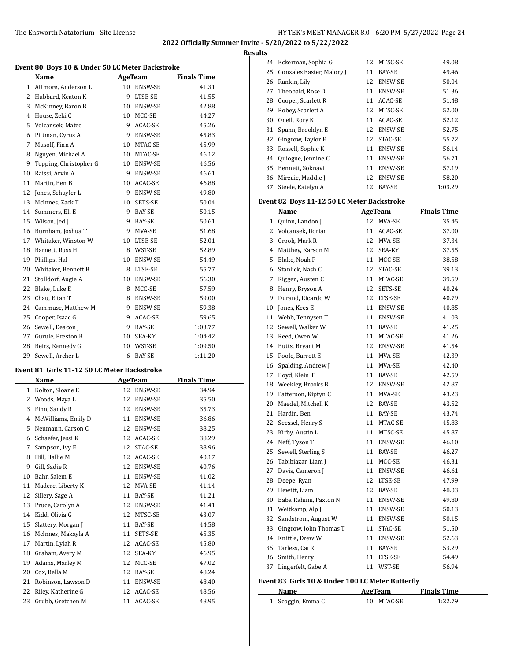$\overline{a}$ 

**2022 Officially Summer Invite - 5/20/2022 to 5/22/2022**

|    | Event 80 Boys 10 & Under 50 LC Meter Backstroke<br><b>Name</b> |    | <b>AgeTeam</b> | <b>Finals Time</b> |
|----|----------------------------------------------------------------|----|----------------|--------------------|
|    | 1 Attmore, Anderson L                                          |    | 10 ENSW-SE     | 41.31              |
| 2  | Hubbard, Keaton K                                              | 9  | LTSE-SE        | 41.55              |
| 3  | McKinney, Baron B                                              |    | 10 ENSW-SE     | 42.88              |
| 4  | House, Zeki C                                                  |    | 10 MCC-SE      | 44.27              |
| 5  | Volcansek, Mateo                                               | 9  | ACAC-SE        | 45.26              |
| 6  | Pittman, Cyrus A                                               |    | 9 ENSW-SE      | 45.83              |
| 7  | Musolf, Finn A                                                 |    | 10 MTAC-SE     | 45.99              |
| 8  | Nguyen, Michael A                                              |    | 10 MTAC-SE     | 46.12              |
| 9  | Topping, Christopher G                                         |    | 10 ENSW-SE     | 46.56              |
| 10 | Raissi, Arvin A                                                | 9  | <b>ENSW-SE</b> | 46.61              |
| 11 | Martin, Ben B                                                  |    | 10 ACAC-SE     | 46.88              |
| 12 | Jones, Schuyler L                                              |    | 9 ENSW-SE      | 49.80              |
| 13 | McInnes, Zack T                                                | 10 | SETS-SE        | 50.04              |
| 14 | Summers, Eli E                                                 | 9  | BAY-SE         | 50.15              |
| 15 | Wilson, Jed J                                                  | 9  | BAY-SE         | 50.61              |
| 16 | Burnham, Joshua T                                              | 9  | MVA-SE         | 51.68              |
| 17 | Whitaker. Winston W                                            |    | 10 LTSE-SE     | 52.01              |
| 18 | Barnett, Russ H                                                |    | 8 WST-SE       | 52.89              |
| 19 | Phillips, Hal                                                  |    | 10 ENSW-SE     | 54.49              |
| 20 | Whitaker, Bennett B                                            |    | 8 LTSE-SE      | 55.77              |
| 21 | Stolldorf, Augie A                                             | 10 | <b>ENSW-SE</b> | 56.30              |
| 22 | Blake, Luke E                                                  | 8  | MCC-SE         | 57.59              |
| 23 | Chau, Eitan T                                                  |    | 8 ENSW-SE      | 59.00              |
| 24 | Cammuse, Matthew M                                             |    | 9 ENSW-SE      | 59.38              |
| 25 | Cooper, Isaac G                                                | 9. | ACAC-SE        | 59.65              |
| 26 | Sewell, Deacon J                                               | 9  | BAY-SE         | 1:03.77            |
| 27 | Gurule, Preston B                                              | 10 | SEA-KY         | 1:04.42            |
| 28 | Beirs, Kennedy G                                               |    | 10 WST-SE      | 1:09.50            |
| 29 | Sewell, Archer L                                               | 6  | BAY-SE         | 1:11.20            |

#### **Event 81 Girls 11-12 50 LC Meter Backstroke**

| Name |                     |    | <b>AgeTeam</b> | <b>Finals Time</b> |
|------|---------------------|----|----------------|--------------------|
| 1    | Kolton, Sloane E    | 12 | ENSW-SE        | 34.94              |
| 2    | Woods, Maya L       | 12 | <b>ENSW-SE</b> | 35.50              |
| 3    | Finn, Sandy R       | 12 | <b>ENSW-SE</b> | 35.73              |
| 4    | McWilliams, Emily D | 11 | ENSW-SE        | 36.86              |
| 5    | Neumann, Carson C   | 12 | ENSW-SE        | 38.25              |
| 6    | Schaefer, Jessi K   | 12 | ACAC-SE        | 38.29              |
| 7    | Sampson, Ivy E      | 12 | STAC-SE        | 38.96              |
| 8    | Hill, Hallie M      | 12 | ACAC-SE        | 40.17              |
| 9    | Gill, Sadie R       | 12 | <b>ENSW-SE</b> | 40.76              |
| 10   | Bahr, Salem E       | 11 | ENSW-SE        | 41.02              |
| 11   | Madere, Liberty K   | 12 | MVA-SE         | 41.14              |
| 12   | Sillery, Sage A     | 11 | BAY-SE         | 41.21              |
| 13   | Pruce, Carolyn A    | 12 | ENSW-SE        | 41.41              |
| 14   | Kidd, Olivia G      | 12 | MTSC-SE        | 43.07              |
| 15   | Slattery, Morgan J  | 11 | <b>BAY-SE</b>  | 44.58              |
| 16   | McInnes, Makayla A  | 11 | SETS-SE        | 45.35              |
| 17   | Martin, Lylah R     | 12 | ACAC-SE        | 45.80              |
| 18   | Graham, Avery M     | 12 | SEA-KY         | 46.95              |
| 19   | Adams, Marley M     | 12 | MCC-SE         | 47.02              |
| 20   | Cox, Bella M        | 12 | <b>BAY-SE</b>  | 48.24              |
| 21   | Robinson, Lawson D  | 11 | ENSW-SE        | 48.40              |
| 22   | Riley, Katherine G  | 12 | ACAC-SE        | 48.56              |
| 23   | Grubb, Gretchen M   | 11 | ACAC-SE        | 48.95              |

| <b>Results</b> |                              |    |                |         |  |  |
|----------------|------------------------------|----|----------------|---------|--|--|
|                | 24 Eckerman, Sophia G        |    | 12 MTSC-SE     | 49.08   |  |  |
|                | 25 Gonzales Easter, Malory J | 11 | <b>BAY-SE</b>  | 49.46   |  |  |
| 26             | Rankin, Lily                 |    | 12 ENSW-SE     | 50.04   |  |  |
| 27             | Theobald, Rose D             | 11 | ENSW-SE        | 51.36   |  |  |
| 28             | Cooper, Scarlett R           |    | 11 ACAC-SE     | 51.48   |  |  |
| 29             | Robey, Scarlett A            | 12 | MTSC-SE        | 52.00   |  |  |
| 30             | Oneil, Rory K                | 11 | ACAC-SE        | 52.12   |  |  |
| 31             | Spann, Brooklyn E            | 12 | <b>ENSW-SE</b> | 52.75   |  |  |
| 32             | Gingrow, Taylor E            |    | 12 STAC-SE     | 55.72   |  |  |
| 33             | Rossell, Sophie K            | 11 | <b>ENSW-SE</b> | 56.14   |  |  |
| 34             | Quiogue, Jennine C           | 11 | <b>ENSW-SE</b> | 56.71   |  |  |
| 35             | Bennett, Soknavi             | 11 | <b>ENSW-SE</b> | 57.19   |  |  |
| 36             | Mirzaie, Maddie J            | 12 | ENSW-SE        | 58.20   |  |  |
| 37             | Steele, Katelyn A            | 12 | <b>BAY-SE</b>  | 1:03.29 |  |  |

### **Event 82 Boys 11-12 50 LC Meter Backstroke**

|    | Name                   |    | AgeTeam    | <b>Finals Time</b> |
|----|------------------------|----|------------|--------------------|
| 1  | Quinn, Landon J        | 12 | MVA-SE     | 35.45              |
| 2  | Volcansek, Dorian      | 11 | ACAC-SE    | 37.00              |
| 3  | Crook, Mark R          | 12 | MVA-SE     | 37.34              |
| 4  | Matthey, Karson M      | 12 | SEA-KY     | 37.55              |
| 5  | Blake, Noah P          | 11 | MCC-SE     | 38.58              |
| 6  | Stanlick, Nash C       |    | 12 STAC-SE | 39.13              |
| 7  | Riggen, Austen C       |    | 11 MTAC-SE | 39.59              |
| 8  | Henry, Bryson A        |    | 12 SETS-SE | 40.24              |
| 9  | Durand, Ricardo W      |    | 12 LTSE-SE | 40.79              |
| 10 | Jones, Kees E          |    | 11 ENSW-SE | 40.85              |
| 11 | Webb, Tennysen T       |    | 11 ENSW-SE | 41.03              |
| 12 | Sewell, Walker W       |    | 11 BAY-SE  | 41.25              |
| 13 | Reed, Owen W           | 11 | MTAC-SE    | 41.26              |
| 14 | Butts, Bryant M        |    | 12 ENSW-SE | 41.54              |
| 15 | Poole, Barrett E       |    | 11 MVA-SE  | 42.39              |
| 16 | Spalding, Andrew J     |    | 11 MVA-SE  | 42.40              |
| 17 | Boyd, Klein T          |    | 11 BAY-SE  | 42.59              |
| 18 | Weekley, Brooks B      |    | 12 ENSW-SE | 42.87              |
| 19 | Patterson, Kiptyn C    |    | 11 MVA-SE  | 43.23              |
| 20 | Maedel, Mitchell K     |    | 12 BAY-SE  | 43.52              |
| 21 | Hardin, Ben            |    | 11 BAY-SE  | 43.74              |
| 22 | Seessel, Henry S       |    | 11 MTAC-SE | 45.83              |
| 23 | Kirby, Austin L        |    | 11 MTSC-SE | 45.87              |
| 24 | Neff, Tyson T          |    | 11 ENSW-SE | 46.10              |
| 25 | Sewell, Sterling S     |    | 11 BAY-SE  | 46.27              |
| 26 | Tabibiazar, Liam J     |    | 11 MCC-SE  | 46.31              |
| 27 | Davis, Cameron J       |    | 11 ENSW-SE | 46.61              |
| 28 | Deepe, Ryan            |    | 12 LTSE-SE | 47.99              |
| 29 | Hewitt, Liam           |    | 12 BAY-SE  | 48.03              |
| 30 | Baba Rahimi, Paxton N  |    | 11 ENSW-SE | 49.80              |
| 31 | Weitkamp, Alp J        |    | 11 ENSW-SE | 50.13              |
| 32 | Sandstrom, August W    |    | 11 ENSW-SE | 50.15              |
| 33 | Gingrow, John Thomas T |    | 11 STAC-SE | 51.50              |
| 34 | Knittle, Drew W        |    | 11 ENSW-SE | 52.63              |
| 35 | Tarless, Cai R         | 11 | BAY-SE     | 53.29              |
| 36 | Smith, Henry           | 11 | LTSE-SE    | 54.49              |
| 37 | Lingerfelt, Gabe A     | 11 | WST-SE     | 56.94              |

# **Event 83 Girls 10 & Under 100 LC Meter Butterfly**

| Name              | AgeTeam    | <b>Finals Time</b> |  |  |
|-------------------|------------|--------------------|--|--|
| 1 Scoggin, Emma C | 10 MTAC-SE | 1:22.79            |  |  |